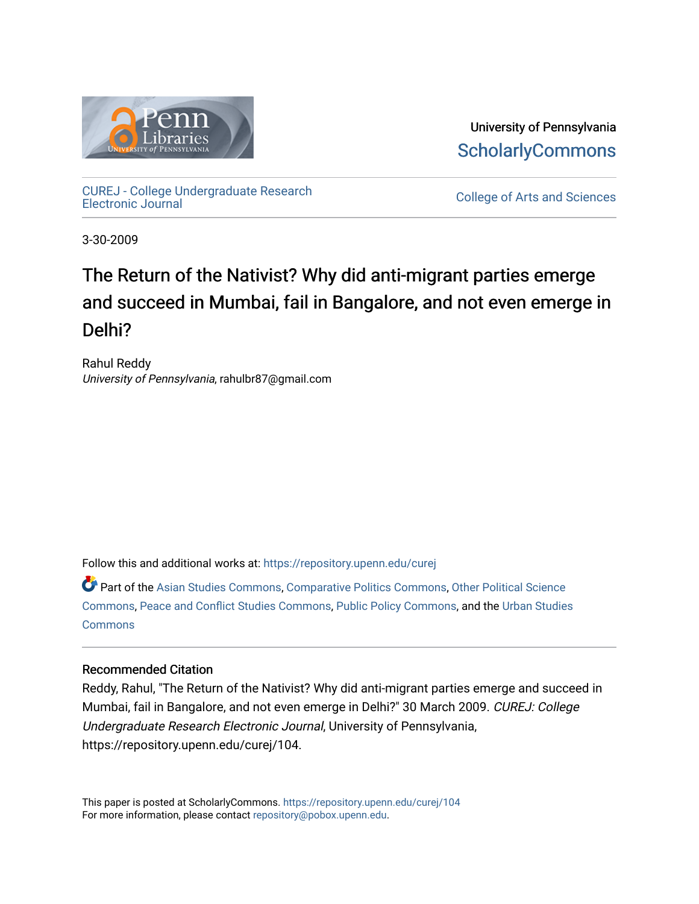

University of Pennsylvania **ScholarlyCommons** 

[CUREJ - College Undergraduate Research](https://repository.upenn.edu/curej) 

College of Arts and Sciences

3-30-2009

# The Return of the Nativist? Why did anti-migrant parties emerge and succeed in Mumbai, fail in Bangalore, and not even emerge in Delhi?

Rahul Reddy University of Pennsylvania, rahulbr87@gmail.com

Follow this and additional works at: [https://repository.upenn.edu/curej](https://repository.upenn.edu/curej?utm_source=repository.upenn.edu%2Fcurej%2F104&utm_medium=PDF&utm_campaign=PDFCoverPages)

Part of the [Asian Studies Commons,](http://network.bepress.com/hgg/discipline/361?utm_source=repository.upenn.edu%2Fcurej%2F104&utm_medium=PDF&utm_campaign=PDFCoverPages) [Comparative Politics Commons](http://network.bepress.com/hgg/discipline/388?utm_source=repository.upenn.edu%2Fcurej%2F104&utm_medium=PDF&utm_campaign=PDFCoverPages), [Other Political Science](http://network.bepress.com/hgg/discipline/392?utm_source=repository.upenn.edu%2Fcurej%2F104&utm_medium=PDF&utm_campaign=PDFCoverPages)  [Commons](http://network.bepress.com/hgg/discipline/392?utm_source=repository.upenn.edu%2Fcurej%2F104&utm_medium=PDF&utm_campaign=PDFCoverPages), [Peace and Conflict Studies Commons](http://network.bepress.com/hgg/discipline/397?utm_source=repository.upenn.edu%2Fcurej%2F104&utm_medium=PDF&utm_campaign=PDFCoverPages), [Public Policy Commons](http://network.bepress.com/hgg/discipline/400?utm_source=repository.upenn.edu%2Fcurej%2F104&utm_medium=PDF&utm_campaign=PDFCoverPages), and the [Urban Studies](http://network.bepress.com/hgg/discipline/402?utm_source=repository.upenn.edu%2Fcurej%2F104&utm_medium=PDF&utm_campaign=PDFCoverPages) **[Commons](http://network.bepress.com/hgg/discipline/402?utm_source=repository.upenn.edu%2Fcurej%2F104&utm_medium=PDF&utm_campaign=PDFCoverPages)** 

# Recommended Citation

Reddy, Rahul, "The Return of the Nativist? Why did anti-migrant parties emerge and succeed in Mumbai, fail in Bangalore, and not even emerge in Delhi?" 30 March 2009. CUREJ: College Undergraduate Research Electronic Journal, University of Pennsylvania, https://repository.upenn.edu/curej/104.

This paper is posted at ScholarlyCommons.<https://repository.upenn.edu/curej/104> For more information, please contact [repository@pobox.upenn.edu.](mailto:repository@pobox.upenn.edu)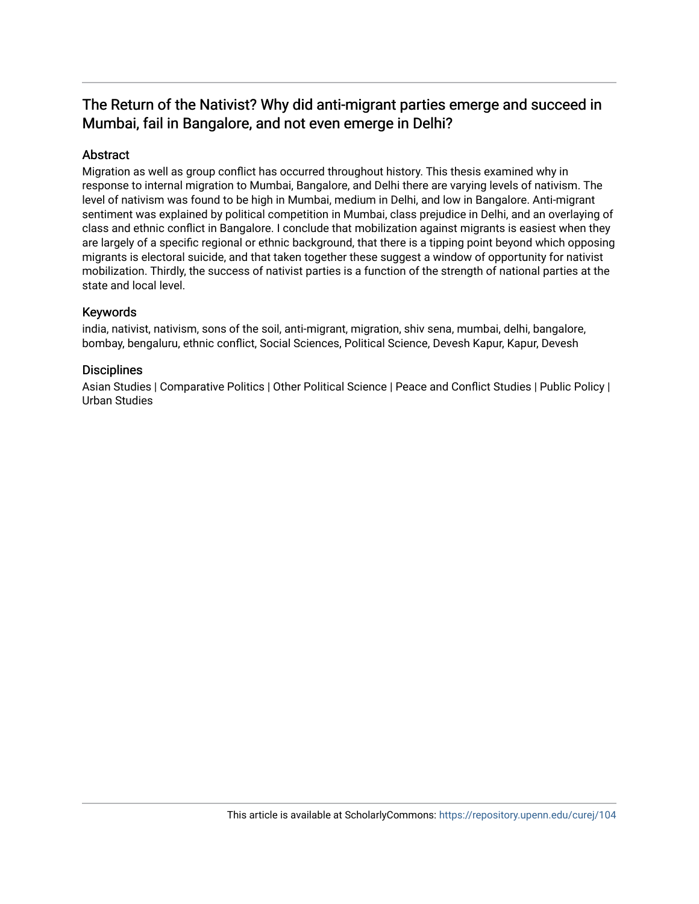# The Return of the Nativist? Why did anti-migrant parties emerge and succeed in Mumbai, fail in Bangalore, and not even emerge in Delhi?

# Abstract

Migration as well as group conflict has occurred throughout history. This thesis examined why in response to internal migration to Mumbai, Bangalore, and Delhi there are varying levels of nativism. The level of nativism was found to be high in Mumbai, medium in Delhi, and low in Bangalore. Anti-migrant sentiment was explained by political competition in Mumbai, class prejudice in Delhi, and an overlaying of class and ethnic conflict in Bangalore. I conclude that mobilization against migrants is easiest when they are largely of a specific regional or ethnic background, that there is a tipping point beyond which opposing migrants is electoral suicide, and that taken together these suggest a window of opportunity for nativist mobilization. Thirdly, the success of nativist parties is a function of the strength of national parties at the state and local level.

# Keywords

india, nativist, nativism, sons of the soil, anti-migrant, migration, shiv sena, mumbai, delhi, bangalore, bombay, bengaluru, ethnic conflict, Social Sciences, Political Science, Devesh Kapur, Kapur, Devesh

# **Disciplines**

Asian Studies | Comparative Politics | Other Political Science | Peace and Conflict Studies | Public Policy | Urban Studies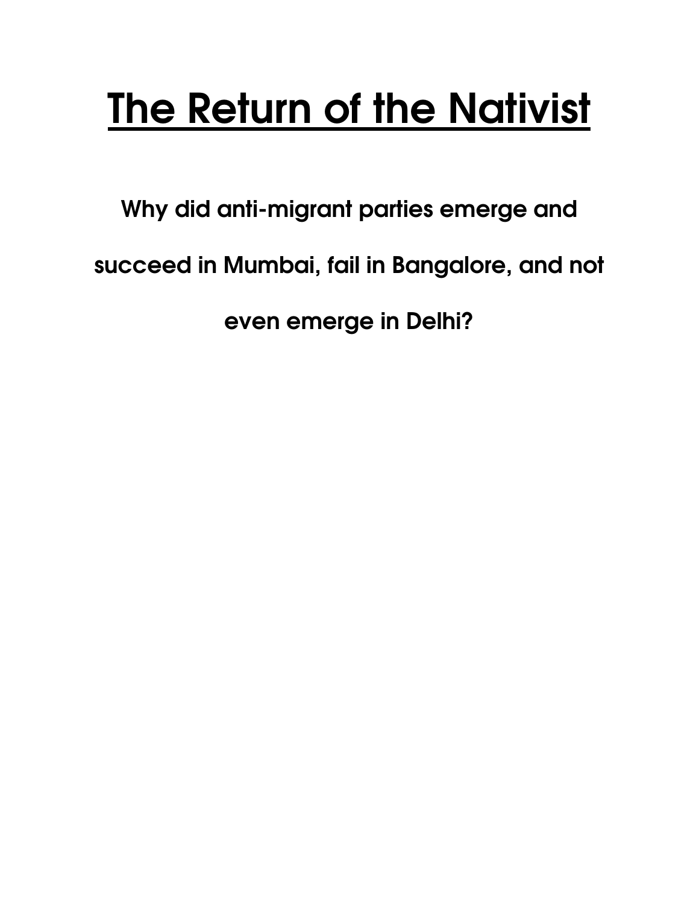# The Return of the Nativist

Why did anti-migrant parties emerge and succeed in Mumbai, fail in Bangalore, and not even emerge in Delhi?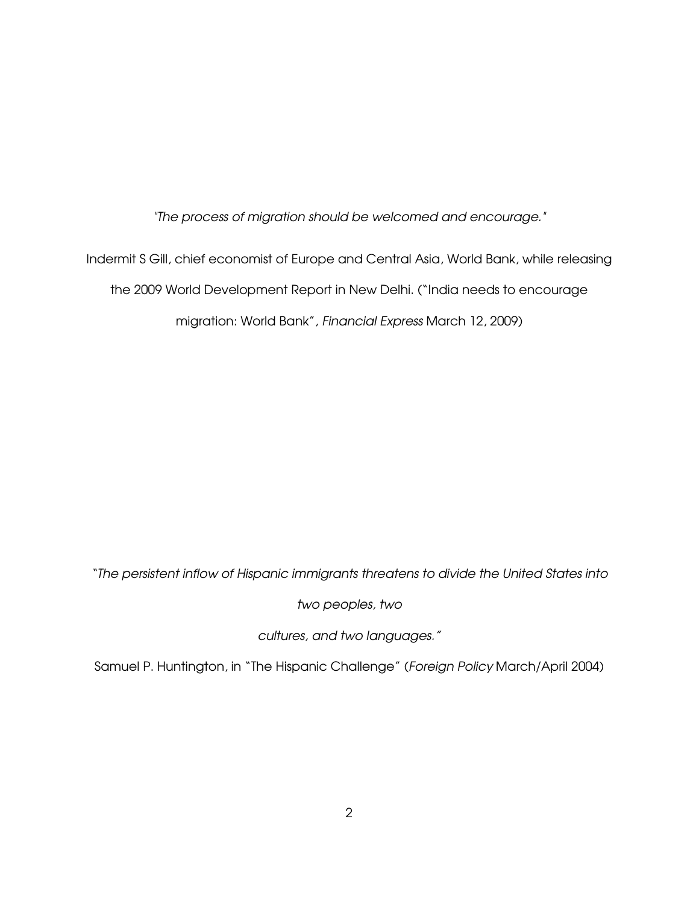"The process of migration should be welcomed and encourage."

Indermit S Gill, chief economist of Europe and Central Asia, World Bank, while releasing the 2009 World Development Report in New Delhi. ("India needs to encourage migration: World Bank", Financial Express March 12, 2009)

"The persistent inflow of Hispanic immigrants threatens to divide the United States into

two peoples, two

cultures, and two languages."

Samuel P. Huntington, in "The Hispanic Challenge" (Foreign Policy March/April 2004)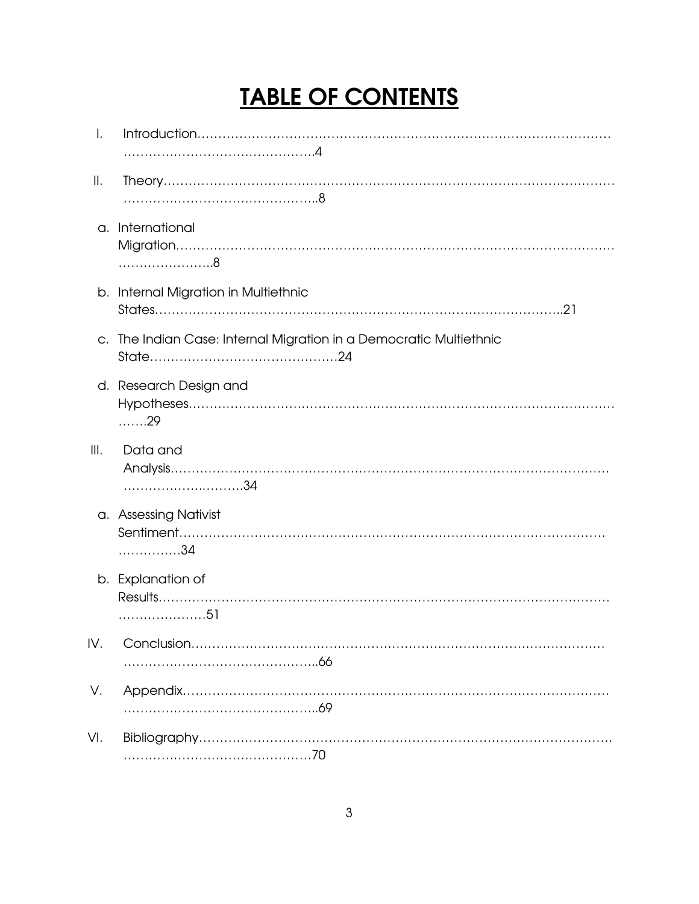# TABLE OF CONTENTS

| I.   |                                                                    |
|------|--------------------------------------------------------------------|
| Ⅱ.   |                                                                    |
|      | a. International                                                   |
|      | b. Internal Migration in Multiethnic                               |
|      | c. The Indian Case: Internal Migration in a Democratic Multiethnic |
|      | d. Research Design and<br>. 29                                     |
| III. | Data and                                                           |
|      | a. Assessing Nativist<br>. 34                                      |
|      | b. Explanation of                                                  |
| IV.  |                                                                    |
| V.   |                                                                    |
| VI.  |                                                                    |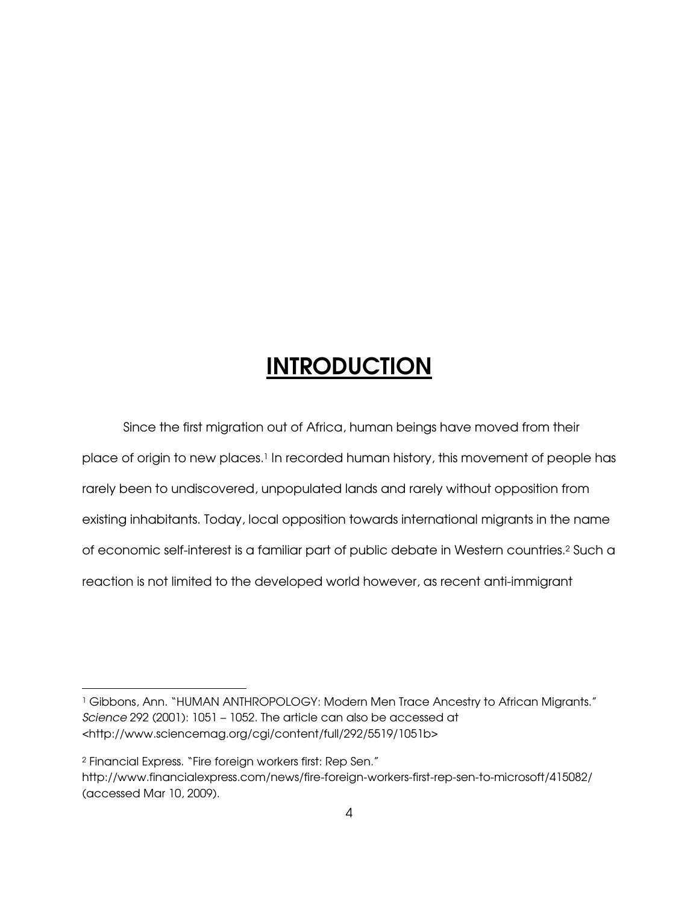# **INTRODUCTION**

 Since the first migration out of Africa, human beings have moved from their place of origin to new places.<sup>1</sup> In recorded human history, this movement of people has rarely been to undiscovered, unpopulated lands and rarely without opposition from existing inhabitants. Today, local opposition towards international migrants in the name of economic self-interest is a familiar part of public debate in Western countries.<sup>2</sup> Such a reaction is not limited to the developed world however, as recent anti-immigrant

<sup>1</sup> Gibbons, Ann. "HUMAN ANTHROPOLOGY: Modern Men Trace Ancestry to African Migrants." Science 292 (2001): 1051 – 1052. The article can also be accessed at <http://www.sciencemag.org/cgi/content/full/292/5519/1051b>

<sup>2</sup> Financial Express. "Fire foreign workers first: Rep Sen."

http://www.financialexpress.com/news/fire-foreign-workers-first-rep-sen-to-microsoft/415082/ (accessed Mar 10, 2009).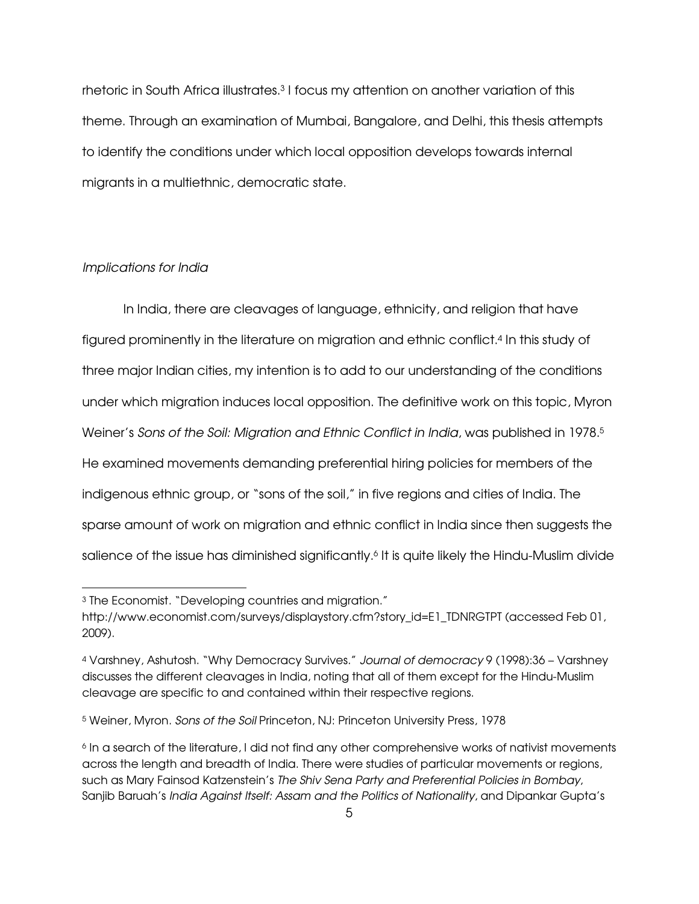rhetoric in South Africa illustrates.<sup>3</sup> I focus my attention on another variation of this theme. Through an examination of Mumbai, Bangalore, and Delhi, this thesis attempts to identify the conditions under which local opposition develops towards internal migrants in a multiethnic, democratic state.

#### Implications for India

-

In India, there are cleavages of language, ethnicity, and religion that have figured prominently in the literature on migration and ethnic conflict.<sup>4</sup> In this study of three major Indian cities, my intention is to add to our understanding of the conditions under which migration induces local opposition. The definitive work on this topic, Myron Weiner's Sons of the Soil: Migration and Ethnic Conflict in India, was published in 1978.<sup>5</sup> He examined movements demanding preferential hiring policies for members of the indigenous ethnic group, or "sons of the soil," in five regions and cities of India. The sparse amount of work on migration and ethnic conflict in India since then suggests the salience of the issue has diminished significantly.<sup>6</sup> It is quite likely the Hindu-Muslim divide

<sup>3</sup> The Economist. "Developing countries and migration."

http://www.economist.com/surveys/displaystory.cfm?story\_id=E1\_TDNRGTPT (accessed Feb 01, 2009).

<sup>4</sup> Varshney, Ashutosh. "Why Democracy Survives." Journal of democracy 9 (1998):36 – Varshney discusses the different cleavages in India, noting that all of them except for the Hindu-Muslim cleavage are specific to and contained within their respective regions.

<sup>5</sup> Weiner, Myron. Sons of the Soil Princeton, NJ: Princeton University Press, 1978

<sup>&</sup>lt;sup>6</sup> In a search of the literature, I did not find any other comprehensive works of nativist movements across the length and breadth of India. There were studies of particular movements or regions, such as Mary Fainsod Katzenstein's The Shiv Sena Party and Preferential Policies in Bombay, Sanjib Baruah's India Against Itself: Assam and the Politics of Nationality, and Dipankar Gupta's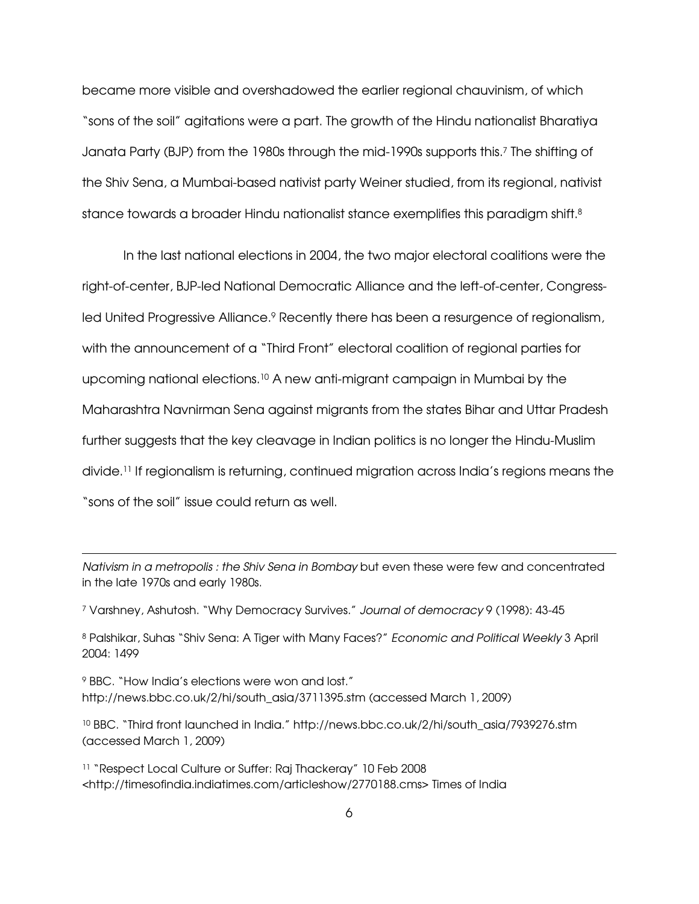became more visible and overshadowed the earlier regional chauvinism, of which "sons of the soil" agitations were a part. The growth of the Hindu nationalist Bharatiya Janata Party (BJP) from the 1980s through the mid-1990s supports this.<sup>7</sup> The shifting of the Shiv Sena, a Mumbai-based nativist party Weiner studied, from its regional, nativist stance towards a broader Hindu nationalist stance exemplifies this paradigm shift.<sup>8</sup>

In the last national elections in 2004, the two major electoral coalitions were the right-of-center, BJP-led National Democratic Alliance and the left-of-center, Congressled United Progressive Alliance.<sup>9</sup> Recently there has been a resurgence of regionalism, with the announcement of a "Third Front" electoral coalition of regional parties for upcoming national elections.10 A new anti-migrant campaign in Mumbai by the Maharashtra Navnirman Sena against migrants from the states Bihar and Uttar Pradesh further suggests that the key cleavage in Indian politics is no longer the Hindu-Muslim divide.11 If regionalism is returning, continued migration across India's regions means the "sons of the soil" issue could return as well.

Nativism in a metropolis : the Shiv Sena in Bombay but even these were few and concentrated in the late 1970s and early 1980s.

<sup>7</sup> Varshney, Ashutosh. "Why Democracy Survives." Journal of democracy 9 (1998): 43-45

8 Palshikar, Suhas "Shiv Sena: A Tiger with Many Faces?" Economic and Political Weekly 3 April 2004: 1499

<sup>9</sup> BBC. "How India's elections were won and lost." http://news.bbc.co.uk/2/hi/south\_asia/3711395.stm (accessed March 1, 2009)

 $\overline{a}$ 

<sup>10</sup> BBC. "Third front launched in India." http://news.bbc.co.uk/2/hi/south\_asia/7939276.stm (accessed March 1, 2009)

<sup>11</sup> "Respect Local Culture or Suffer: Raj Thackeray" 10 Feb 2008 <http://timesofindia.indiatimes.com/articleshow/2770188.cms> Times of India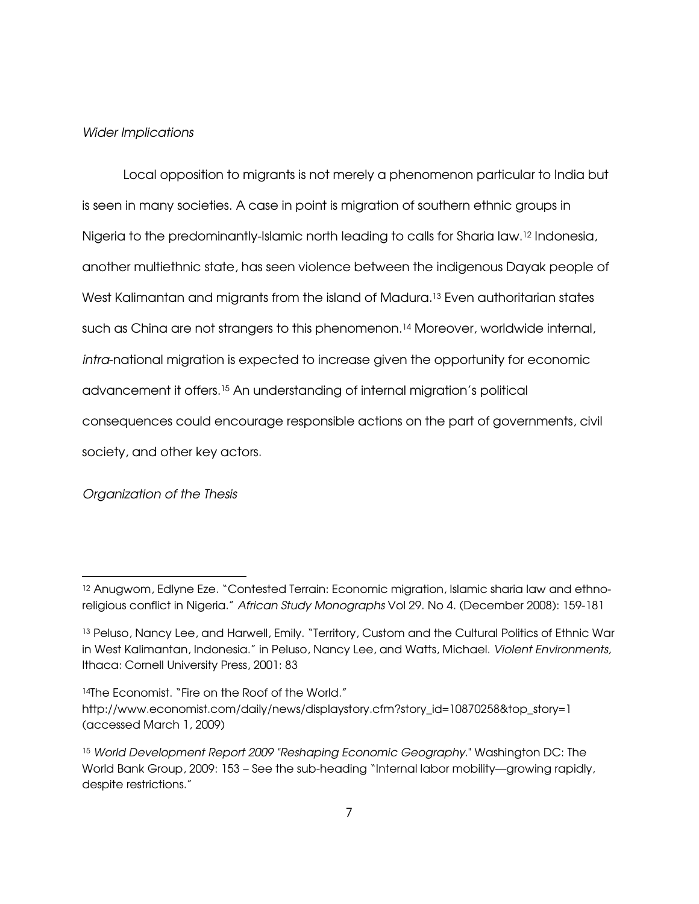#### Wider Implications

Local opposition to migrants is not merely a phenomenon particular to India but is seen in many societies. A case in point is migration of southern ethnic groups in Nigeria to the predominantly-Islamic north leading to calls for Sharia law.12 Indonesia, another multiethnic state, has seen violence between the indigenous Dayak people of West Kalimantan and migrants from the island of Madura.13 Even authoritarian states such as China are not strangers to this phenomenon.<sup>14</sup> Moreover, worldwide internal, intra-national migration is expected to increase given the opportunity for economic advancement it offers.15 An understanding of internal migration's political consequences could encourage responsible actions on the part of governments, civil society, and other key actors.

#### Organization of the Thesis

<sup>&</sup>lt;sup>12</sup> Anugwom, Edlyne Eze. "Contested Terrain: Economic migration, Islamic sharia law and ethnoreligious conflict in Nigeria." African Study Monographs Vol 29. No 4. (December 2008): 159-181

<sup>13</sup> Peluso, Nancy Lee, and Harwell, Emily. "Territory, Custom and the Cultural Politics of Ethnic War in West Kalimantan, Indonesia." in Peluso, Nancy Lee, and Watts, Michael. Violent Environments, Ithaca: Cornell University Press, 2001: 83

<sup>14</sup>The Economist. "Fire on the Roof of the World." http://www.economist.com/daily/news/displaystory.cfm?story\_id=10870258&top\_story=1 (accessed March 1, 2009)

<sup>15</sup> World Development Report 2009 "Reshaping Economic Geography." Washington DC: The World Bank Group, 2009: 153 – See the sub-heading "Internal labor mobility—growing rapidly, despite restrictions."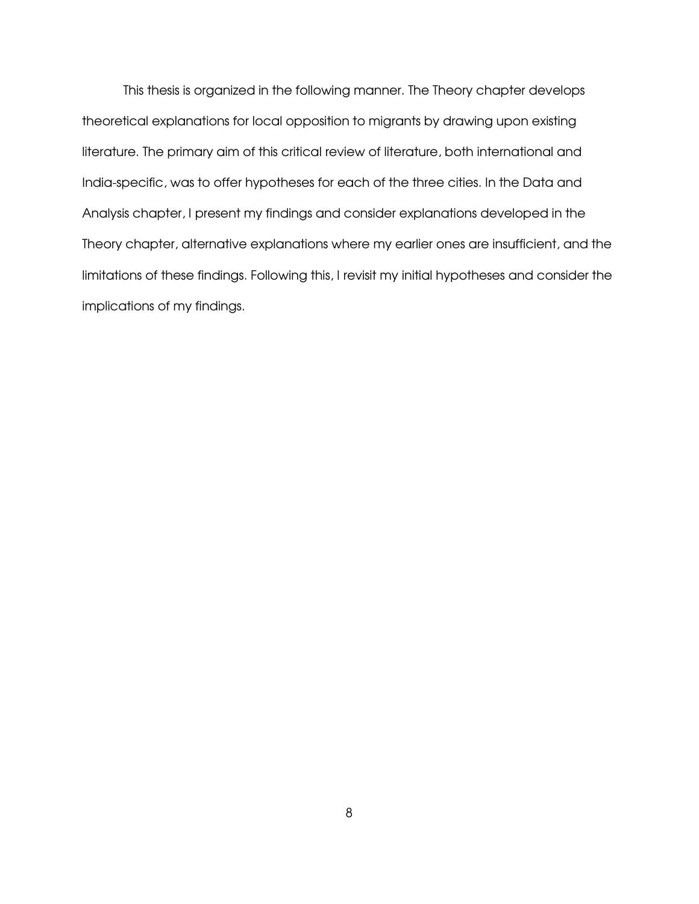This thesis is organized in the following manner. The Theory chapter develops theoretical explanations for local opposition to migrants by drawing upon existing literature. The primary aim of this critical review of literature, both international and India-specific, was to offer hypotheses for each of the three cities. In the Data and Analysis chapter, I present my findings and consider explanations developed in the Theory chapter, alternative explanations where my earlier ones are insufficient, and the limitations of these findings. Following this, I revisit my initial hypotheses and consider the implications of my findings.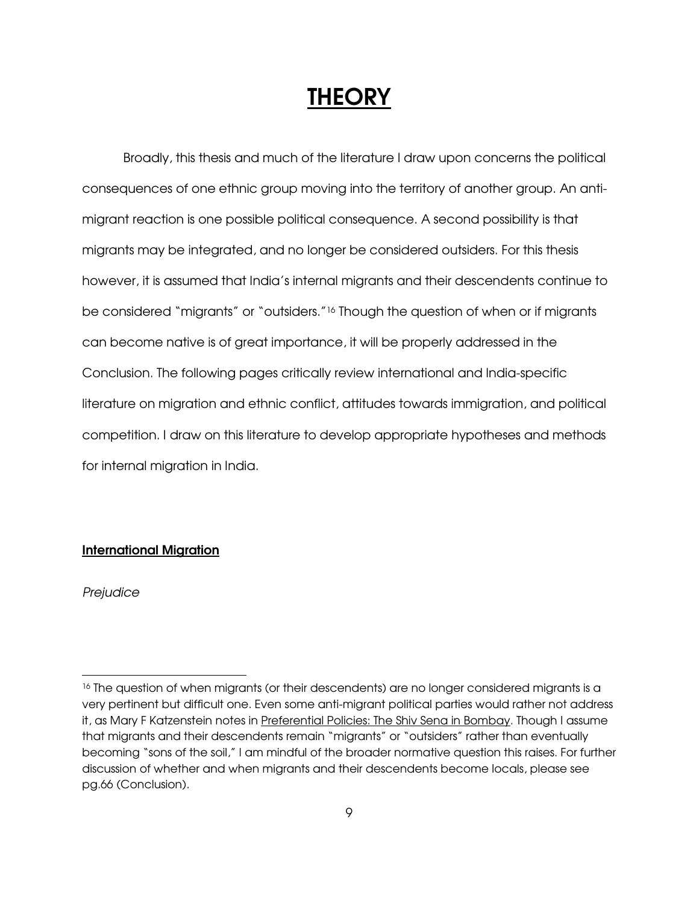# **THEORY**

Broadly, this thesis and much of the literature I draw upon concerns the political consequences of one ethnic group moving into the territory of another group. An antimigrant reaction is one possible political consequence. A second possibility is that migrants may be integrated, and no longer be considered outsiders. For this thesis however, it is assumed that India's internal migrants and their descendents continue to be considered "migrants" or "outsiders."16 Though the question of when or if migrants can become native is of great importance, it will be properly addressed in the Conclusion. The following pages critically review international and India-specific literature on migration and ethnic conflict, attitudes towards immigration, and political competition. I draw on this literature to develop appropriate hypotheses and methods for internal migration in India.

## International Migration

**Prejudice** 

<sup>&</sup>lt;sup>16</sup> The question of when migrants (or their descendents) are no longer considered migrants is a very pertinent but difficult one. Even some anti-migrant political parties would rather not address it, as Mary F Katzenstein notes in Preferential Policies: The Shiv Sena in Bombay. Though I assume that migrants and their descendents remain "migrants" or "outsiders" rather than eventually becoming "sons of the soil," I am mindful of the broader normative question this raises. For further discussion of whether and when migrants and their descendents become locals, please see pg.66 (Conclusion).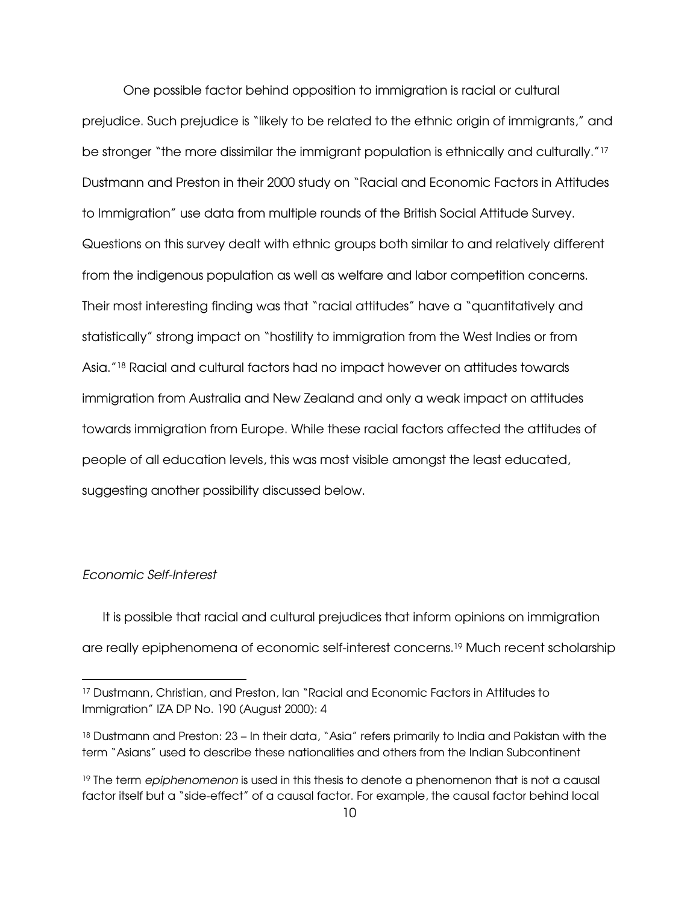One possible factor behind opposition to immigration is racial or cultural prejudice. Such prejudice is "likely to be related to the ethnic origin of immigrants," and be stronger "the more dissimilar the immigrant population is ethnically and culturally."<sup>17</sup> Dustmann and Preston in their 2000 study on "Racial and Economic Factors in Attitudes to Immigration" use data from multiple rounds of the British Social Attitude Survey. Questions on this survey dealt with ethnic groups both similar to and relatively different from the indigenous population as well as welfare and labor competition concerns. Their most interesting finding was that "racial attitudes" have a "quantitatively and statistically" strong impact on "hostility to immigration from the West Indies or from Asia."18 Racial and cultural factors had no impact however on attitudes towards immigration from Australia and New Zealand and only a weak impact on attitudes towards immigration from Europe. While these racial factors affected the attitudes of people of all education levels, this was most visible amongst the least educated, suggesting another possibility discussed below.

#### Economic Self-Interest

 $\overline{a}$ 

It is possible that racial and cultural prejudices that inform opinions on immigration are really epiphenomena of economic self-interest concerns.19 Much recent scholarship

<sup>17</sup> Dustmann, Christian, and Preston, Ian "Racial and Economic Factors in Attitudes to Immigration" IZA DP No. 190 (August 2000): 4

<sup>18</sup> Dustmann and Preston: 23 – In their data, "Asia" refers primarily to India and Pakistan with the term "Asians" used to describe these nationalities and others from the Indian Subcontinent

<sup>&</sup>lt;sup>19</sup> The term *epiphenomenon* is used in this thesis to denote a phenomenon that is not a causal factor itself but a "side-effect" of a causal factor. For example, the causal factor behind local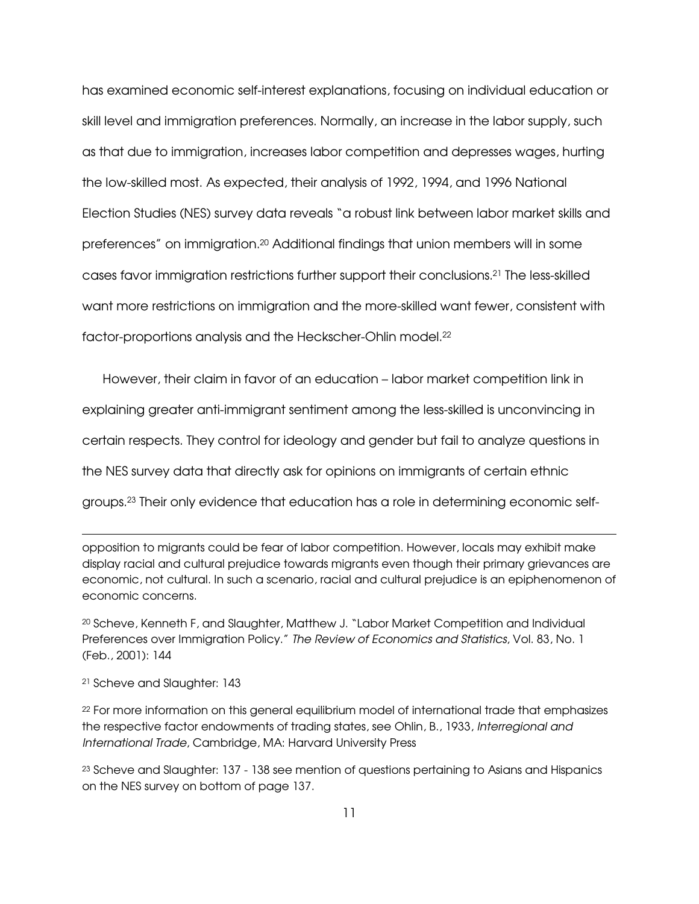has examined economic self-interest explanations, focusing on individual education or skill level and immigration preferences. Normally, an increase in the labor supply, such as that due to immigration, increases labor competition and depresses wages, hurting the low-skilled most. As expected, their analysis of 1992, 1994, and 1996 National Election Studies (NES) survey data reveals "a robust link between labor market skills and preferences" on immigration.20 Additional findings that union members will in some cases favor immigration restrictions further support their conclusions.21 The less-skilled want more restrictions on immigration and the more-skilled want fewer, consistent with factor-proportions analysis and the Heckscher-Ohlin model.<sup>22</sup>

However, their claim in favor of an education – labor market competition link in explaining greater anti-immigrant sentiment among the less-skilled is unconvincing in certain respects. They control for ideology and gender but fail to analyze questions in the NES survey data that directly ask for opinions on immigrants of certain ethnic groups.23 Their only evidence that education has a role in determining economic self-

opposition to migrants could be fear of labor competition. However, locals may exhibit make display racial and cultural prejudice towards migrants even though their primary grievances are economic, not cultural. In such a scenario, racial and cultural prejudice is an epiphenomenon of economic concerns.

<sup>20</sup> Scheve, Kenneth F, and Slaughter, Matthew J. "Labor Market Competition and Individual Preferences over Immigration Policy." The Review of Economics and Statistics, Vol. 83, No. 1 (Feb., 2001): 144

<sup>21</sup> Scheve and Slaughter: 143

 $\overline{a}$ 

<sup>22</sup> For more information on this general equilibrium model of international trade that emphasizes the respective factor endowments of trading states, see Ohlin, B., 1933, Interregional and International Trade, Cambridge, MA: Harvard University Press

<sup>23</sup> Scheve and Slaughter: 137 - 138 see mention of questions pertaining to Asians and Hispanics on the NES survey on bottom of page 137.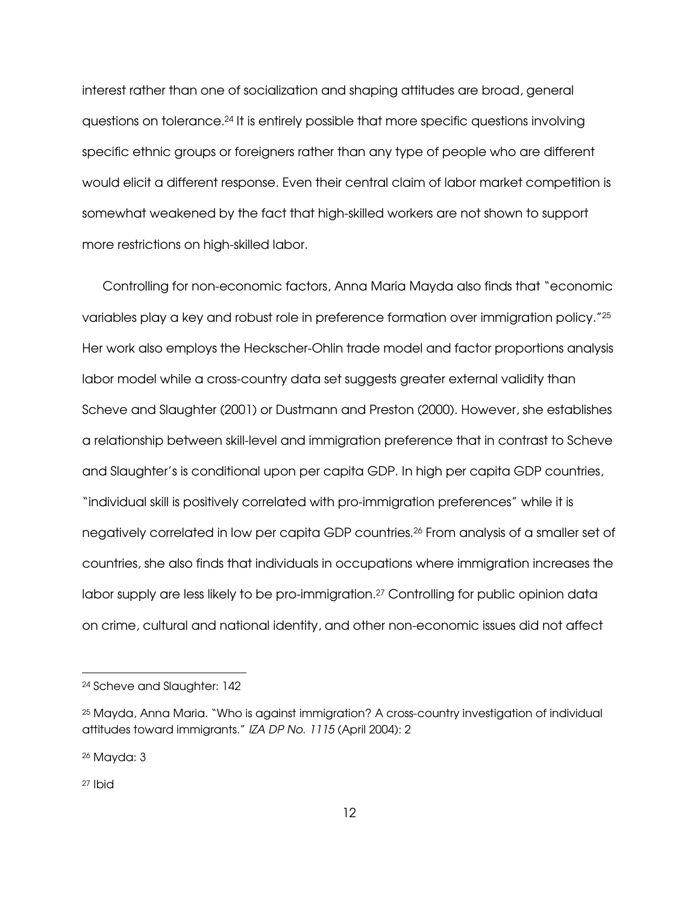interest rather than one of socialization and shaping attitudes are broad, general questions on tolerance.24 It is entirely possible that more specific questions involving specific ethnic groups or foreigners rather than any type of people who are different would elicit a different response. Even their central claim of labor market competition is somewhat weakened by the fact that high-skilled workers are not shown to support more restrictions on high-skilled labor.

Controlling for non-economic factors, Anna Maria Mayda also finds that "economic variables play a key and robust role in preference formation over immigration policy."<sup>25</sup> Her work also employs the Heckscher-Ohlin trade model and factor proportions analysis labor model while a cross-country data set suggests greater external validity than Scheve and Slaughter (2001) or Dustmann and Preston (2000). However, she establishes a relationship between skill-level and immigration preference that in contrast to Scheve and Slaughter's is conditional upon per capita GDP. In high per capita GDP countries, "individual skill is positively correlated with pro-immigration preferences" while it is negatively correlated in low per capita GDP countries.26 From analysis of a smaller set of countries, she also finds that individuals in occupations where immigration increases the labor supply are less likely to be pro-immigration.27 Controlling for public opinion data on crime, cultural and national identity, and other non-economic issues did not affect

<sup>24</sup> Scheve and Slaughter: 142

<sup>25</sup> Mayda, Anna Maria. "Who is against immigration? A cross-country investigation of individual attitudes toward immigrants." IZA DP No. 1115 (April 2004): 2

<sup>26</sup> Mayda: 3

<sup>27</sup> Ibid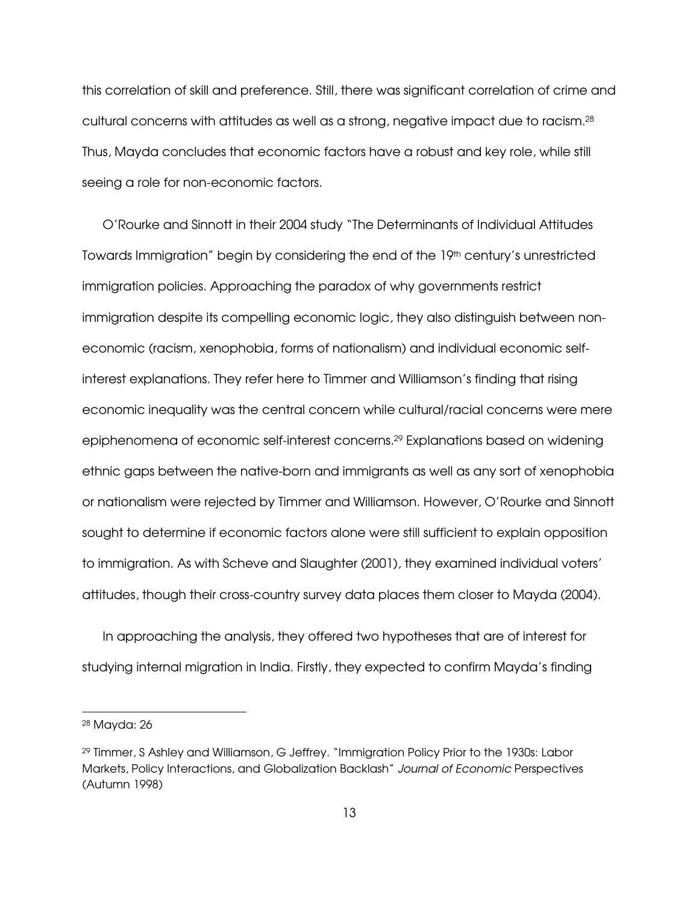this correlation of skill and preference. Still, there was significant correlation of crime and cultural concerns with attitudes as well as a strong, negative impact due to racism.<sup>28</sup> Thus, Mayda concludes that economic factors have a robust and key role, while still seeing a role for non-economic factors.

O'Rourke and Sinnott in their 2004 study "The Determinants of Individual Attitudes Towards Immigration" begin by considering the end of the  $19<sup>th</sup>$  century's unrestricted immigration policies. Approaching the paradox of why governments restrict immigration despite its compelling economic logic, they also distinguish between noneconomic (racism, xenophobia, forms of nationalism) and individual economic selfinterest explanations. They refer here to Timmer and Williamson's finding that rising economic inequality was the central concern while cultural/racial concerns were mere epiphenomena of economic self-interest concerns.29 Explanations based on widening ethnic gaps between the native-born and immigrants as well as any sort of xenophobia or nationalism were rejected by Timmer and Williamson. However, O'Rourke and Sinnott sought to determine if economic factors alone were still sufficient to explain opposition to immigration. As with Scheve and Slaughter (2001), they examined individual voters' attitudes, though their cross-country survey data places them closer to Mayda (2004).

In approaching the analysis, they offered two hypotheses that are of interest for studying internal migration in India. Firstly, they expected to confirm Mayda's finding

<sup>28</sup> Mayda: 26

<sup>29</sup> Timmer, S Ashley and Williamson, G Jeffrey. "Immigration Policy Prior to the 1930s: Labor Markets, Policy Interactions, and Globalization Backlash" Journal of Economic Perspectives (Autumn 1998)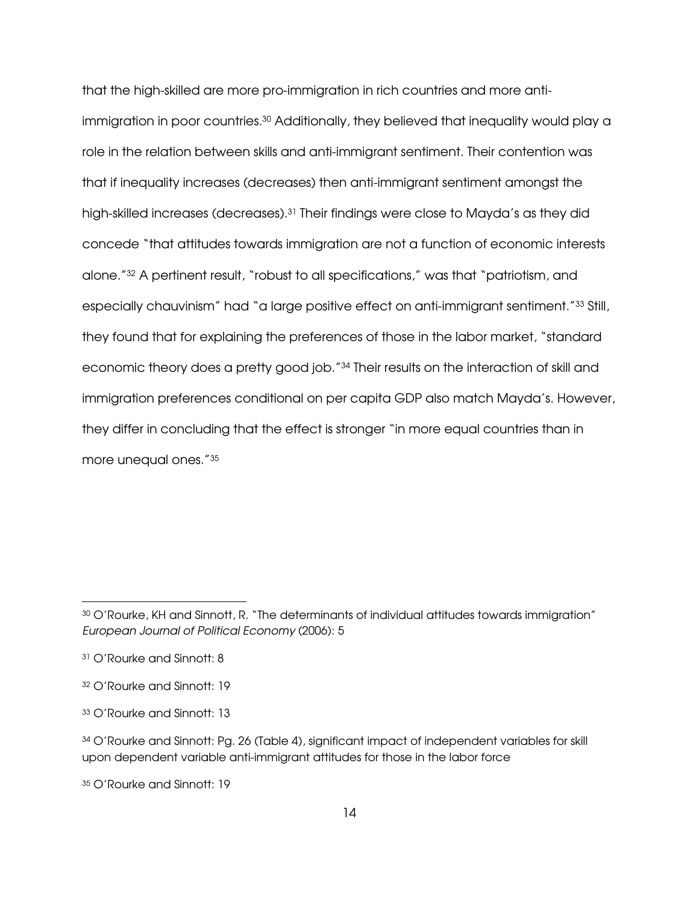that the high-skilled are more pro-immigration in rich countries and more antiimmigration in poor countries.30 Additionally, they believed that inequality would play a role in the relation between skills and anti-immigrant sentiment. Their contention was that if inequality increases (decreases) then anti-immigrant sentiment amongst the high-skilled increases (decreases).31 Their findings were close to Mayda's as they did concede "that attitudes towards immigration are not a function of economic interests alone."32 A pertinent result, "robust to all specifications," was that "patriotism, and especially chauvinism" had "a large positive effect on anti-immigrant sentiment."33 Still, they found that for explaining the preferences of those in the labor market, "standard economic theory does a pretty good job."34 Their results on the interaction of skill and immigration preferences conditional on per capita GDP also match Mayda's. However, they differ in concluding that the effect is stronger "in more equal countries than in more unequal ones."<sup>35</sup>

-

35 O'Rourke and Sinnott: 19

<sup>30</sup> O'Rourke, KH and Sinnott, R. "The determinants of individual attitudes towards immigration" European Journal of Political Economy (2006): 5

<sup>31</sup> O'Rourke and Sinnott: 8

<sup>32</sup> O'Rourke and Sinnott: 19

<sup>33</sup> O'Rourke and Sinnott: 13

<sup>34</sup> O'Rourke and Sinnott: Pg. 26 (Table 4), significant impact of independent variables for skill upon dependent variable anti-immigrant attitudes for those in the labor force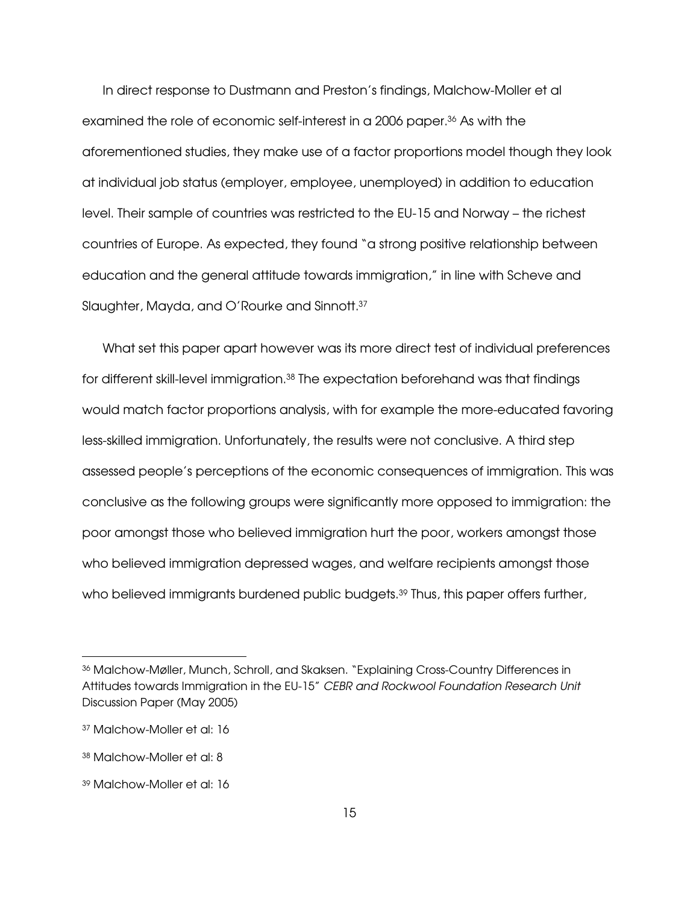In direct response to Dustmann and Preston's findings, Malchow-Moller et al examined the role of economic self-interest in a 2006 paper.36 As with the aforementioned studies, they make use of a factor proportions model though they look at individual job status (employer, employee, unemployed) in addition to education level. Their sample of countries was restricted to the EU-15 and Norway – the richest countries of Europe. As expected, they found "a strong positive relationship between education and the general attitude towards immigration," in line with Scheve and Slaughter, Mayda, and O'Rourke and Sinnott.<sup>37</sup>

What set this paper apart however was its more direct test of individual preferences for different skill-level immigration.38 The expectation beforehand was that findings would match factor proportions analysis, with for example the more-educated favoring less-skilled immigration. Unfortunately, the results were not conclusive. A third step assessed people's perceptions of the economic consequences of immigration. This was conclusive as the following groups were significantly more opposed to immigration: the poor amongst those who believed immigration hurt the poor, workers amongst those who believed immigration depressed wages, and welfare recipients amongst those who believed immigrants burdened public budgets.<sup>39</sup> Thus, this paper offers further,

<sup>36</sup> Malchow-Møller, Munch, Schroll, and Skaksen. "Explaining Cross-Country Differences in Attitudes towards Immigration in the EU-15" CEBR and Rockwool Foundation Research Unit Discussion Paper (May 2005)

<sup>37</sup> Malchow-Moller et al: 16

<sup>38</sup> Malchow-Moller et al: 8

<sup>39</sup> Malchow-Moller et al: 16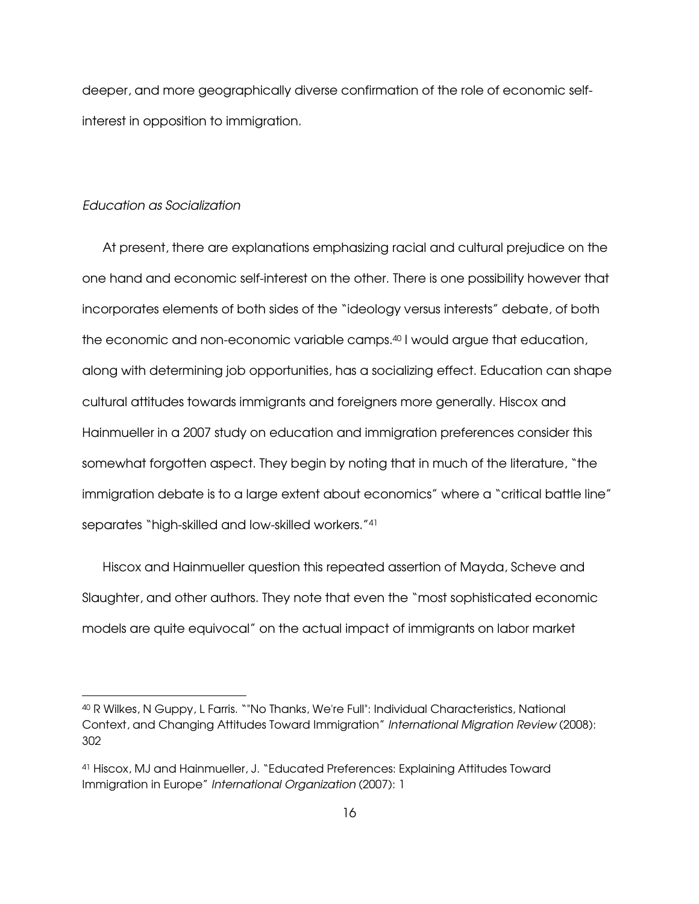deeper, and more geographically diverse confirmation of the role of economic selfinterest in opposition to immigration.

#### Education as Socialization

-

At present, there are explanations emphasizing racial and cultural prejudice on the one hand and economic self-interest on the other. There is one possibility however that incorporates elements of both sides of the "ideology versus interests" debate, of both the economic and non-economic variable camps.40 I would argue that education, along with determining job opportunities, has a socializing effect. Education can shape cultural attitudes towards immigrants and foreigners more generally. Hiscox and Hainmueller in a 2007 study on education and immigration preferences consider this somewhat forgotten aspect. They begin by noting that in much of the literature, "the immigration debate is to a large extent about economics" where a "critical battle line" separates "high-skilled and low-skilled workers."<sup>41</sup>

Hiscox and Hainmueller question this repeated assertion of Mayda, Scheve and Slaughter, and other authors. They note that even the "most sophisticated economic models are quite equivocal" on the actual impact of immigrants on labor market

<sup>40</sup> R Wilkes, N Guppy, L Farris. ""No Thanks, We're Full": Individual Characteristics, National Context, and Changing Attitudes Toward Immigration" International Migration Review (2008): 302

<sup>41</sup> Hiscox, MJ and Hainmueller, J. "Educated Preferences: Explaining Attitudes Toward Immigration in Europe" International Organization (2007): 1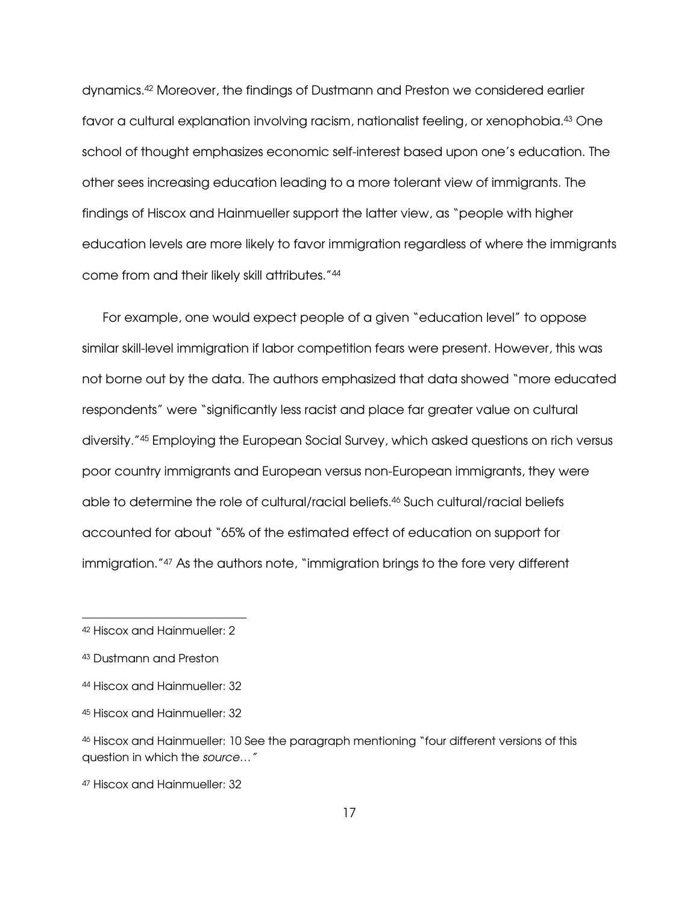dynamics.42 Moreover, the findings of Dustmann and Preston we considered earlier favor a cultural explanation involving racism, nationalist feeling, or xenophobia.43 One school of thought emphasizes economic self-interest based upon one's education. The other sees increasing education leading to a more tolerant view of immigrants. The findings of Hiscox and Hainmueller support the latter view, as "people with higher education levels are more likely to favor immigration regardless of where the immigrants come from and their likely skill attributes."<sup>44</sup>

For example, one would expect people of a given "education level" to oppose similar skill-level immigration if labor competition fears were present. However, this was not borne out by the data. The authors emphasized that data showed "more educated respondents" were "significantly less racist and place far greater value on cultural diversity."45 Employing the European Social Survey, which asked questions on rich versus poor country immigrants and European versus non-European immigrants, they were able to determine the role of cultural/racial beliefs.46 Such cultural/racial beliefs accounted for about "65% of the estimated effect of education on support for immigration."<sup>47</sup> As the authors note, "immigration brings to the fore very different

<sup>42</sup> Hiscox and Hainmueller: 2

<sup>43</sup> Dustmann and Preston

<sup>44</sup> Hiscox and Hainmueller: 32

<sup>45</sup> Hiscox and Hainmueller: 32

<sup>46</sup> Hiscox and Hainmueller: 10 See the paragraph mentioning "four different versions of this question in which the source…"

<sup>47</sup> Hiscox and Hainmueller: 32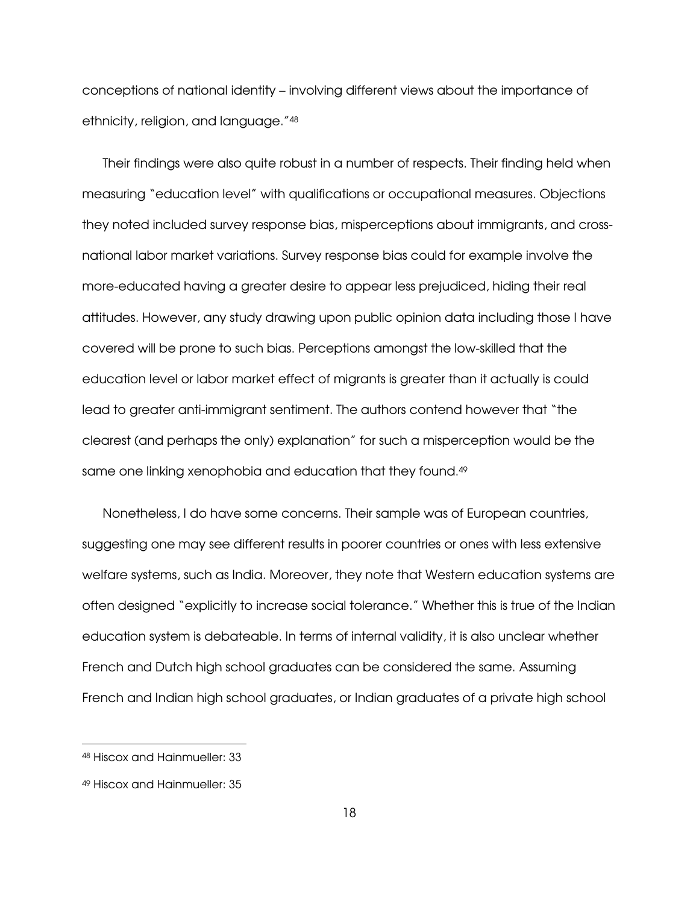conceptions of national identity – involving different views about the importance of ethnicity, religion, and language."<sup>48</sup>

Their findings were also quite robust in a number of respects. Their finding held when measuring "education level" with qualifications or occupational measures. Objections they noted included survey response bias, misperceptions about immigrants, and crossnational labor market variations. Survey response bias could for example involve the more-educated having a greater desire to appear less prejudiced, hiding their real attitudes. However, any study drawing upon public opinion data including those I have covered will be prone to such bias. Perceptions amongst the low-skilled that the education level or labor market effect of migrants is greater than it actually is could lead to greater anti-immigrant sentiment. The authors contend however that "the clearest (and perhaps the only) explanation" for such a misperception would be the same one linking xenophobia and education that they found.<sup>49</sup>

Nonetheless, I do have some concerns. Their sample was of European countries, suggesting one may see different results in poorer countries or ones with less extensive welfare systems, such as India. Moreover, they note that Western education systems are often designed "explicitly to increase social tolerance." Whether this is true of the Indian education system is debateable. In terms of internal validity, it is also unclear whether French and Dutch high school graduates can be considered the same. Assuming French and Indian high school graduates, or Indian graduates of a private high school

<sup>48</sup> Hiscox and Hainmueller: 33

<sup>49</sup> Hiscox and Hainmueller: 35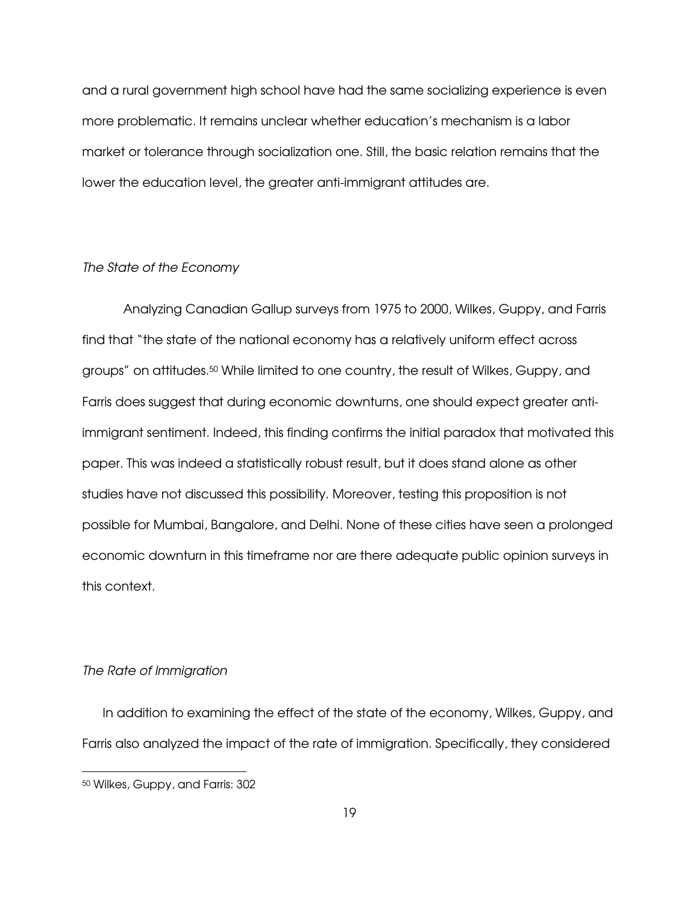and a rural government high school have had the same socializing experience is even more problematic. It remains unclear whether education's mechanism is a labor market or tolerance through socialization one. Still, the basic relation remains that the lower the education level, the greater anti-immigrant attitudes are.

#### The State of the Economy

Analyzing Canadian Gallup surveys from 1975 to 2000, Wilkes, Guppy, and Farris find that "the state of the national economy has a relatively uniform effect across groups" on attitudes.50 While limited to one country, the result of Wilkes, Guppy, and Farris does suggest that during economic downturns, one should expect greater antiimmigrant sentiment. Indeed, this finding confirms the initial paradox that motivated this paper. This was indeed a statistically robust result, but it does stand alone as other studies have not discussed this possibility. Moreover, testing this proposition is not possible for Mumbai, Bangalore, and Delhi. None of these cities have seen a prolonged economic downturn in this timeframe nor are there adequate public opinion surveys in this context.

# The Rate of Immigration

In addition to examining the effect of the state of the economy, Wilkes, Guppy, and Farris also analyzed the impact of the rate of immigration. Specifically, they considered

<sup>50</sup> Wilkes, Guppy, and Farris: 302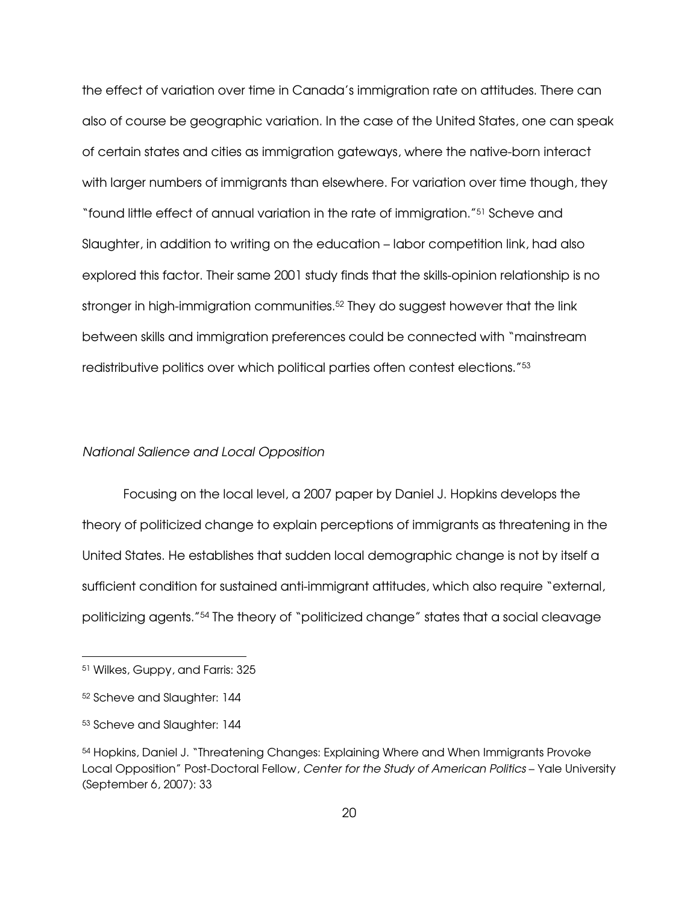the effect of variation over time in Canada's immigration rate on attitudes. There can also of course be geographic variation. In the case of the United States, one can speak of certain states and cities as immigration gateways, where the native-born interact with larger numbers of immigrants than elsewhere. For variation over time though, they "found little effect of annual variation in the rate of immigration."51 Scheve and Slaughter, in addition to writing on the education – labor competition link, had also explored this factor. Their same 2001 study finds that the skills-opinion relationship is no stronger in high-immigration communities.<sup>52</sup> They do suggest however that the link between skills and immigration preferences could be connected with "mainstream redistributive politics over which political parties often contest elections."<sup>53</sup>

## National Salience and Local Opposition

 Focusing on the local level, a 2007 paper by Daniel J. Hopkins develops the theory of politicized change to explain perceptions of immigrants as threatening in the United States. He establishes that sudden local demographic change is not by itself a sufficient condition for sustained anti-immigrant attitudes, which also require "external, politicizing agents."54 The theory of "politicized change" states that a social cleavage

<sup>51</sup> Wilkes, Guppy, and Farris: 325

<sup>52</sup> Scheve and Slaughter: 144

<sup>53</sup> Scheve and Slaughter: 144

<sup>54</sup> Hopkins, Daniel J. "Threatening Changes: Explaining Where and When Immigrants Provoke Local Opposition" Post-Doctoral Fellow, Center for the Study of American Politics – Yale University (September 6, 2007): 33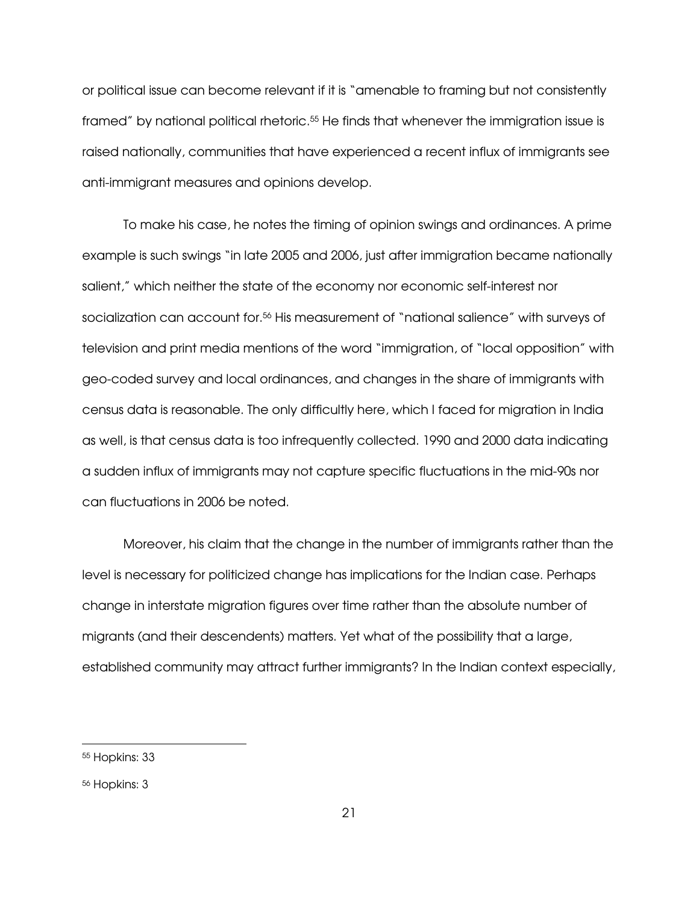or political issue can become relevant if it is "amenable to framing but not consistently framed" by national political rhetoric.55 He finds that whenever the immigration issue is raised nationally, communities that have experienced a recent influx of immigrants see anti-immigrant measures and opinions develop.

To make his case, he notes the timing of opinion swings and ordinances. A prime example is such swings "in late 2005 and 2006, just after immigration became nationally salient," which neither the state of the economy nor economic self-interest nor socialization can account for.56 His measurement of "national salience" with surveys of television and print media mentions of the word "immigration, of "local opposition" with geo-coded survey and local ordinances, and changes in the share of immigrants with census data is reasonable. The only difficultly here, which I faced for migration in India as well, is that census data is too infrequently collected. 1990 and 2000 data indicating a sudden influx of immigrants may not capture specific fluctuations in the mid-90s nor can fluctuations in 2006 be noted.

Moreover, his claim that the change in the number of immigrants rather than the level is necessary for politicized change has implications for the Indian case. Perhaps change in interstate migration figures over time rather than the absolute number of migrants (and their descendents) matters. Yet what of the possibility that a large, established community may attract further immigrants? In the Indian context especially,

<sup>55</sup> Hopkins: 33

<sup>56</sup> Hopkins: 3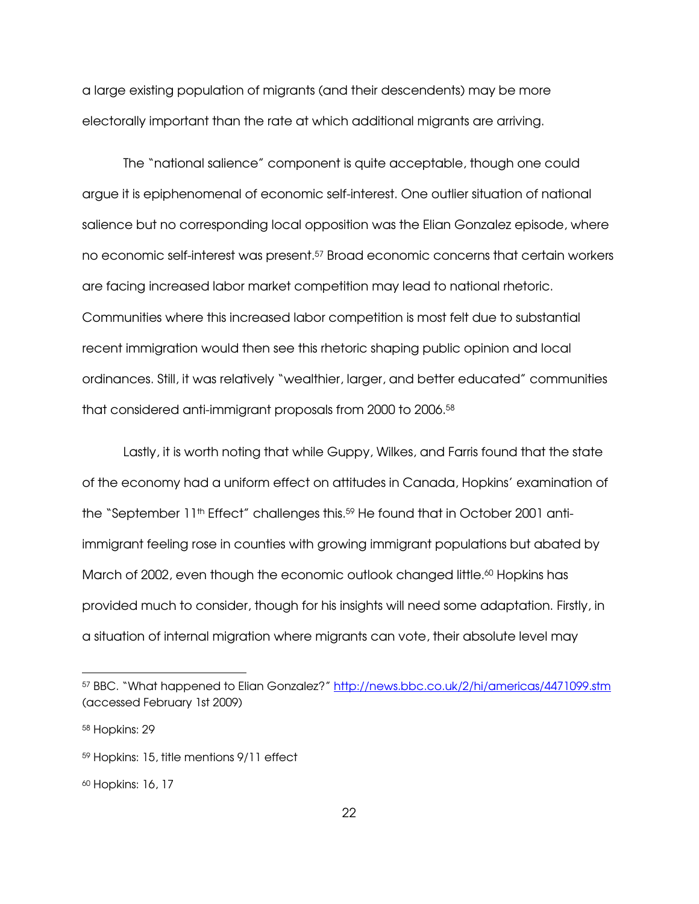a large existing population of migrants (and their descendents) may be more electorally important than the rate at which additional migrants are arriving.

The "national salience" component is quite acceptable, though one could argue it is epiphenomenal of economic self-interest. One outlier situation of national salience but no corresponding local opposition was the Elian Gonzalez episode, where no economic self-interest was present.57 Broad economic concerns that certain workers are facing increased labor market competition may lead to national rhetoric. Communities where this increased labor competition is most felt due to substantial recent immigration would then see this rhetoric shaping public opinion and local ordinances. Still, it was relatively "wealthier, larger, and better educated" communities that considered anti-immigrant proposals from 2000 to 2006.<sup>58</sup>

Lastly, it is worth noting that while Guppy, Wilkes, and Farris found that the state of the economy had a uniform effect on attitudes in Canada, Hopkins' examination of the "September 11<sup>th</sup> Effect" challenges this.<sup>59</sup> He found that in October 2001 antiimmigrant feeling rose in counties with growing immigrant populations but abated by March of 2002, even though the economic outlook changed little.<sup>60</sup> Hopkins has provided much to consider, though for his insights will need some adaptation. Firstly, in a situation of internal migration where migrants can vote, their absolute level may

<sup>57</sup> BBC. "What happened to Elian Gonzalez?" http://news.bbc.co.uk/2/hi/americas/4471099.stm (accessed February 1st 2009)

<sup>58</sup> Hopkins: 29

<sup>59</sup> Hopkins: 15, title mentions 9/11 effect

<sup>60</sup> Hopkins: 16, 17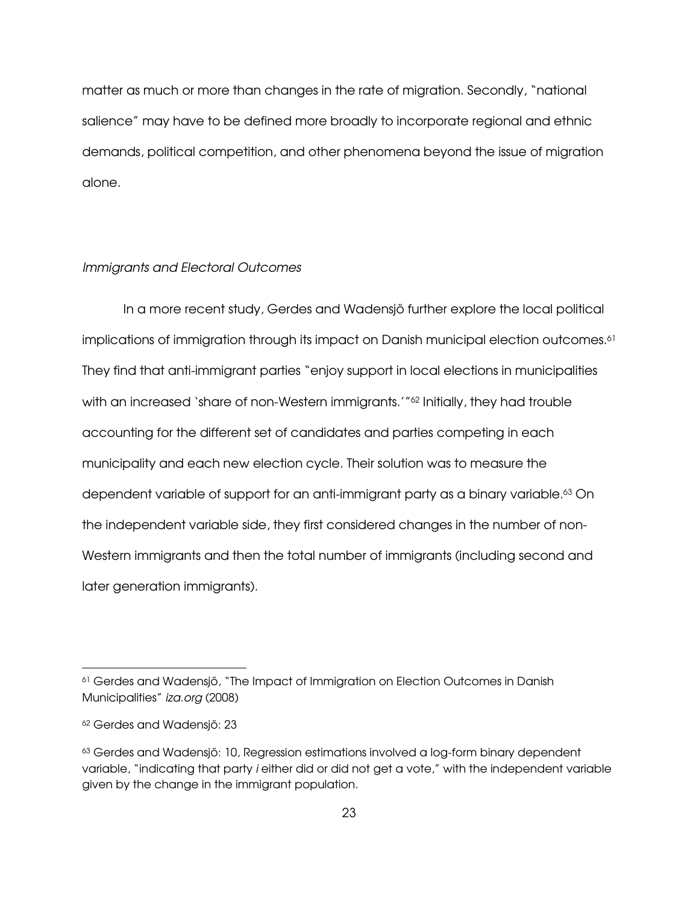matter as much or more than changes in the rate of migration. Secondly, "national salience" may have to be defined more broadly to incorporate regional and ethnic demands, political competition, and other phenomena beyond the issue of migration alone.

#### Immigrants and Electoral Outcomes

 In a more recent study, Gerdes and Wadensjö further explore the local political implications of immigration through its impact on Danish municipal election outcomes.<sup>61</sup> They find that anti-immigrant parties "enjoy support in local elections in municipalities with an increased 'share of non-Western immigrants.'" <sup>62</sup> Initially, they had trouble accounting for the different set of candidates and parties competing in each municipality and each new election cycle. Their solution was to measure the dependent variable of support for an anti-immigrant party as a binary variable.<sup>63</sup> On the independent variable side, they first considered changes in the number of non-Western immigrants and then the total number of immigrants (including second and later generation immigrants).

<sup>61</sup> Gerdes and Wadensjö, "The Impact of Immigration on Election Outcomes in Danish Municipalities" iza.org (2008)

<sup>62</sup> Gerdes and Wadensjö: 23

<sup>&</sup>lt;sup>63</sup> Gerdes and Wadensjö: 10, Regression estimations involved a log-form binary dependent variable, "indicating that party i either did or did not get a vote," with the independent variable given by the change in the immigrant population.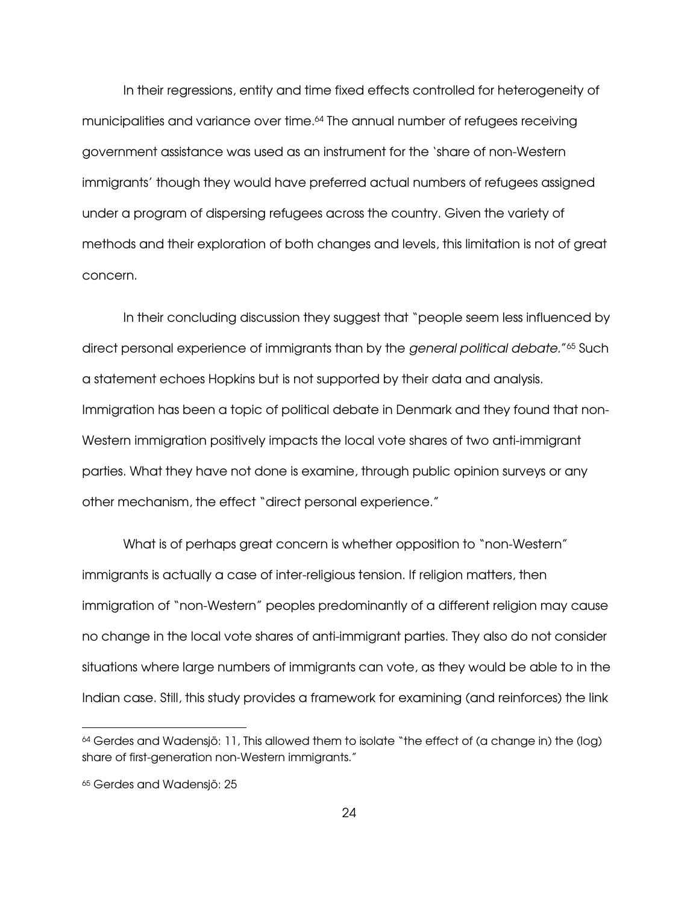In their regressions, entity and time fixed effects controlled for heterogeneity of municipalities and variance over time.64 The annual number of refugees receiving government assistance was used as an instrument for the 'share of non-Western immigrants' though they would have preferred actual numbers of refugees assigned under a program of dispersing refugees across the country. Given the variety of methods and their exploration of both changes and levels, this limitation is not of great concern.

In their concluding discussion they suggest that "people seem less influenced by direct personal experience of immigrants than by the general political debate." <sup>65</sup> Such a statement echoes Hopkins but is not supported by their data and analysis. Immigration has been a topic of political debate in Denmark and they found that non-Western immigration positively impacts the local vote shares of two anti-immigrant parties. What they have not done is examine, through public opinion surveys or any other mechanism, the effect "direct personal experience."

What is of perhaps great concern is whether opposition to "non-Western" immigrants is actually a case of inter-religious tension. If religion matters, then immigration of "non-Western" peoples predominantly of a different religion may cause no change in the local vote shares of anti-immigrant parties. They also do not consider situations where large numbers of immigrants can vote, as they would be able to in the Indian case. Still, this study provides a framework for examining (and reinforces) the link

<sup>64</sup> Gerdes and Wadensjö: 11, This allowed them to isolate "the effect of (a change in) the (log) share of first-generation non-Western immigrants."

<sup>&</sup>lt;sup>65</sup> Gerdes and Wadensjö: 25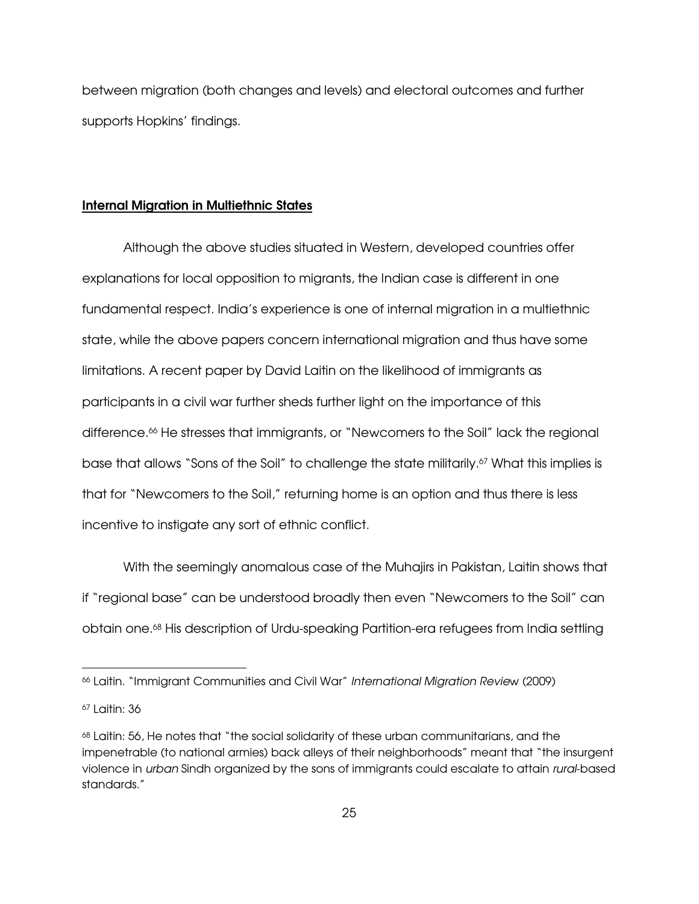between migration (both changes and levels) and electoral outcomes and further supports Hopkins' findings.

#### Internal Migration in Multiethnic States

 Although the above studies situated in Western, developed countries offer explanations for local opposition to migrants, the Indian case is different in one fundamental respect. India's experience is one of internal migration in a multiethnic state, while the above papers concern international migration and thus have some limitations. A recent paper by David Laitin on the likelihood of immigrants as participants in a civil war further sheds further light on the importance of this difference.<sup>66</sup> He stresses that immigrants, or "Newcomers to the Soil" lack the regional base that allows "Sons of the Soil" to challenge the state militarily.<sup>67</sup> What this implies is that for "Newcomers to the Soil," returning home is an option and thus there is less incentive to instigate any sort of ethnic conflict.

 With the seemingly anomalous case of the Muhajirs in Pakistan, Laitin shows that if "regional base" can be understood broadly then even "Newcomers to the Soil" can obtain one.68 His description of Urdu-speaking Partition-era refugees from India settling

<sup>66</sup> Laitin. "Immigrant Communities and Civil War" International Migration Review (2009)

<sup>67</sup> Laitin: 36

<sup>68</sup> Laitin: 56, He notes that "the social solidarity of these urban communitarians, and the impenetrable (to national armies) back alleys of their neighborhoods" meant that "the insurgent violence in urban Sindh organized by the sons of immigrants could escalate to attain rural-based standards."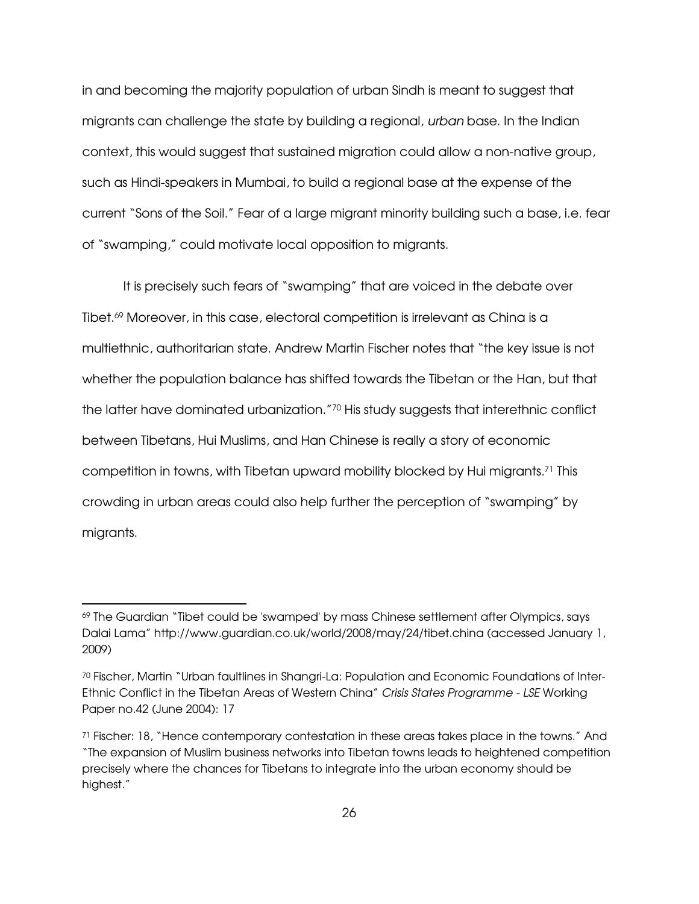in and becoming the majority population of urban Sindh is meant to suggest that migrants can challenge the state by building a regional, urban base. In the Indian context, this would suggest that sustained migration could allow a non-native group, such as Hindi-speakers in Mumbai, to build a regional base at the expense of the current "Sons of the Soil." Fear of a large migrant minority building such a base, i.e. fear of "swamping," could motivate local opposition to migrants.

 It is precisely such fears of "swamping" that are voiced in the debate over Tibet.69 Moreover, in this case, electoral competition is irrelevant as China is a multiethnic, authoritarian state. Andrew Martin Fischer notes that "the key issue is not whether the population balance has shifted towards the Tibetan or the Han, but that the latter have dominated urbanization."70 His study suggests that interethnic conflict between Tibetans, Hui Muslims, and Han Chinese is really a story of economic competition in towns, with Tibetan upward mobility blocked by Hui migrants.71 This crowding in urban areas could also help further the perception of "swamping" by migrants.

<sup>69</sup> The Guardian "Tibet could be 'swamped' by mass Chinese settlement after Olympics, says Dalai Lama" http://www.guardian.co.uk/world/2008/may/24/tibet.china (accessed January 1, 2009)

<sup>70</sup> Fischer, Martin "Urban faultlines in Shangri-La: Population and Economic Foundations of Inter-Ethnic Conflict in the Tibetan Areas of Western China" Crisis States Programme - LSE Working Paper no.42 (June 2004): 17

<sup>71</sup> Fischer: 18, "Hence contemporary contestation in these areas takes place in the towns." And "The expansion of Muslim business networks into Tibetan towns leads to heightened competition precisely where the chances for Tibetans to integrate into the urban economy should be highest."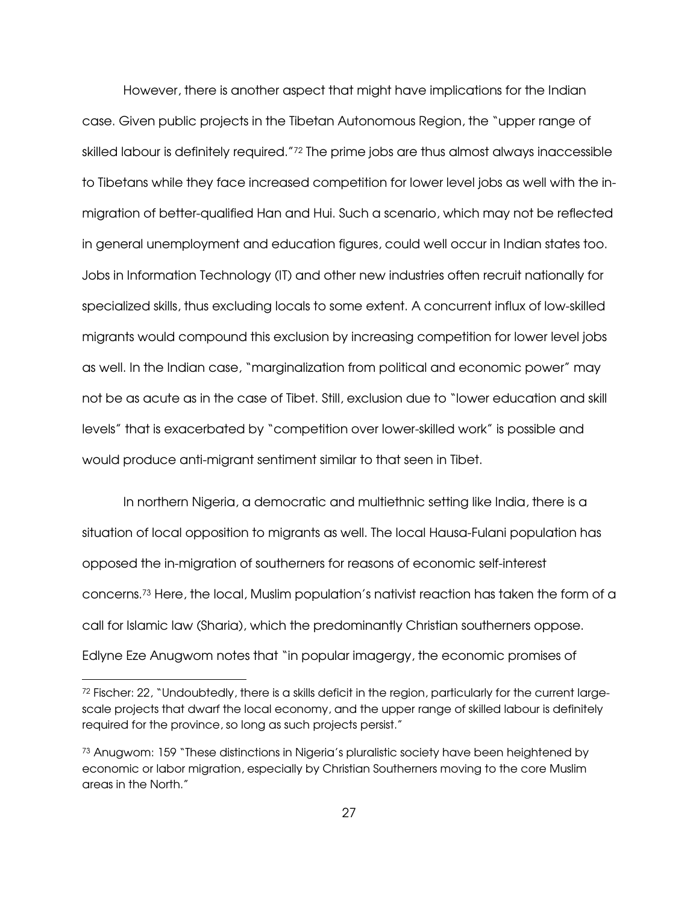However, there is another aspect that might have implications for the Indian case. Given public projects in the Tibetan Autonomous Region, the "upper range of skilled labour is definitely required."<sup>72</sup> The prime jobs are thus almost always inaccessible to Tibetans while they face increased competition for lower level jobs as well with the inmigration of better-qualified Han and Hui. Such a scenario, which may not be reflected in general unemployment and education figures, could well occur in Indian states too. Jobs in Information Technology (IT) and other new industries often recruit nationally for specialized skills, thus excluding locals to some extent. A concurrent influx of low-skilled migrants would compound this exclusion by increasing competition for lower level jobs as well. In the Indian case, "marginalization from political and economic power" may not be as acute as in the case of Tibet. Still, exclusion due to "lower education and skill levels" that is exacerbated by "competition over lower-skilled work" is possible and would produce anti-migrant sentiment similar to that seen in Tibet.

 In northern Nigeria, a democratic and multiethnic setting like India, there is a situation of local opposition to migrants as well. The local Hausa-Fulani population has opposed the in-migration of southerners for reasons of economic self-interest concerns.73 Here, the local, Muslim population's nativist reaction has taken the form of a call for Islamic law (Sharia), which the predominantly Christian southerners oppose. Edlyne Eze Anugwom notes that "in popular imagergy, the economic promises of

 $72$  Fischer: 22, "Undoubtedly, there is a skills deficit in the region, particularly for the current largescale projects that dwarf the local economy, and the upper range of skilled labour is definitely required for the province, so long as such projects persist."

<sup>73</sup> Anugwom: 159 "These distinctions in Nigeria's pluralistic society have been heightened by economic or labor migration, especially by Christian Southerners moving to the core Muslim areas in the North."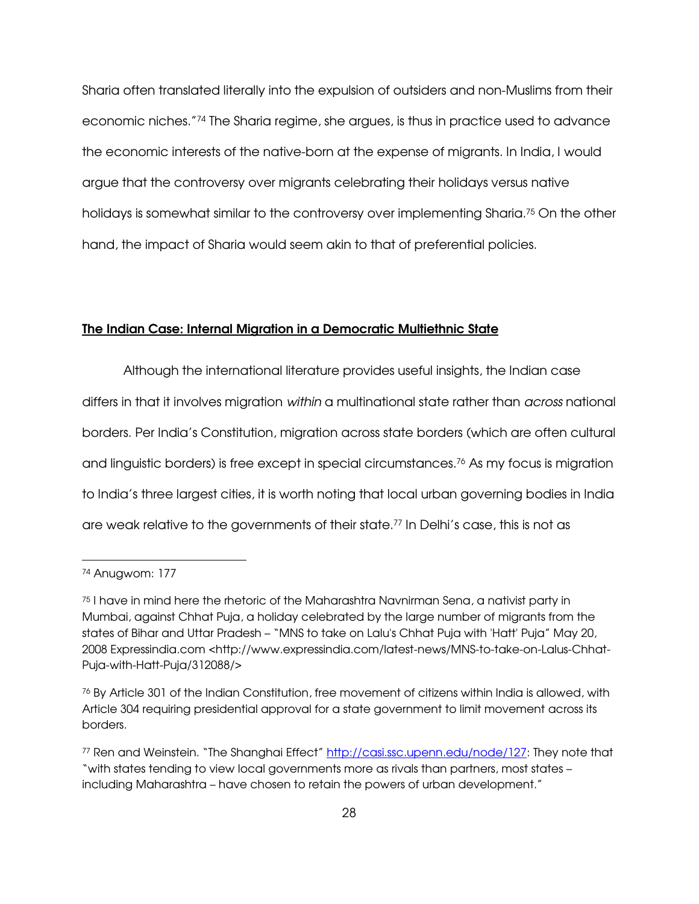Sharia often translated literally into the expulsion of outsiders and non-Muslims from their economic niches."74 The Sharia regime, she argues, is thus in practice used to advance the economic interests of the native-born at the expense of migrants. In India, I would argue that the controversy over migrants celebrating their holidays versus native holidays is somewhat similar to the controversy over implementing Sharia.75 On the other hand, the impact of Sharia would seem akin to that of preferential policies.

#### The Indian Case: Internal Migration in a Democratic Multiethnic State

 Although the international literature provides useful insights, the Indian case differs in that it involves migration within a multinational state rather than *across* national borders. Per India's Constitution, migration across state borders (which are often cultural and linguistic borders) is free except in special circumstances.<sup>76</sup> As my focus is migration to India's three largest cities, it is worth noting that local urban governing bodies in India are weak relative to the governments of their state. <sup>77</sup> In Delhi's case, this is not as

<sup>74</sup> Anugwom: 177

<sup>75</sup> I have in mind here the rhetoric of the Maharashtra Navnirman Sena, a nativist party in Mumbai, against Chhat Puja, a holiday celebrated by the large number of migrants from the states of Bihar and Uttar Pradesh – "MNS to take on Lalu's Chhat Puja with 'Hatt' Puja" May 20, 2008 Expressindia.com <http://www.expressindia.com/latest-news/MNS-to-take-on-Lalus-Chhat-Puja-with-Hatt-Puja/312088/>

<sup>76</sup> By Article 301 of the Indian Constitution, free movement of citizens within India is allowed, with Article 304 requiring presidential approval for a state government to limit movement across its borders.

<sup>77</sup> Ren and Weinstein. "The Shanghai Effect" http://casi.ssc.upenn.edu/node/127: They note that "with states tending to view local governments more as rivals than partners, most states – including Maharashtra – have chosen to retain the powers of urban development."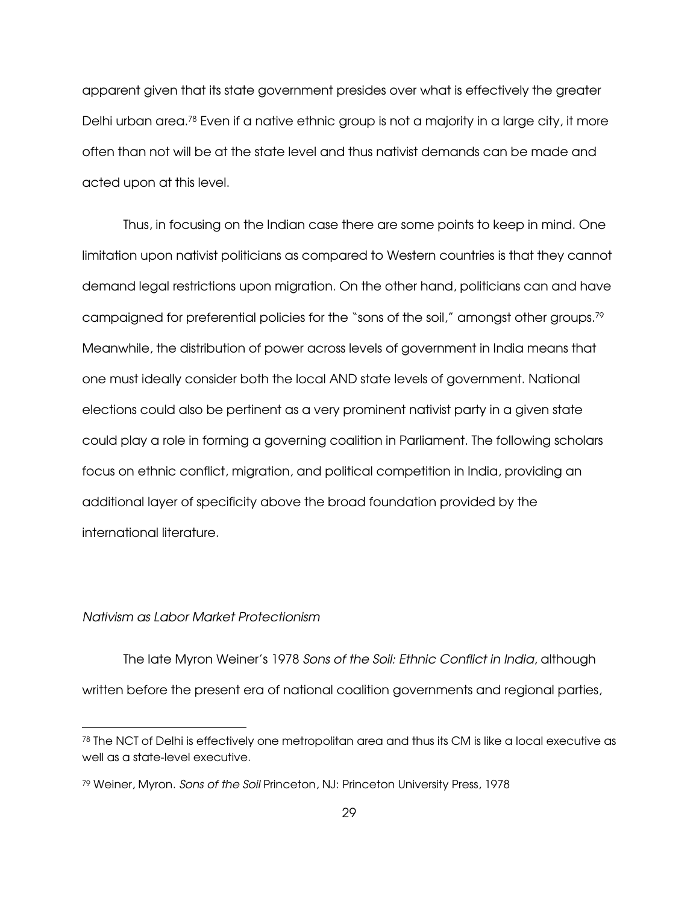apparent given that its state government presides over what is effectively the greater Delhi urban area.78 Even if a native ethnic group is not a majority in a large city, it more often than not will be at the state level and thus nativist demands can be made and acted upon at this level.

 Thus, in focusing on the Indian case there are some points to keep in mind. One limitation upon nativist politicians as compared to Western countries is that they cannot demand legal restrictions upon migration. On the other hand, politicians can and have campaigned for preferential policies for the "sons of the soil," amongst other groups.<sup>79</sup> Meanwhile, the distribution of power across levels of government in India means that one must ideally consider both the local AND state levels of government. National elections could also be pertinent as a very prominent nativist party in a given state could play a role in forming a governing coalition in Parliament. The following scholars focus on ethnic conflict, migration, and political competition in India, providing an additional layer of specificity above the broad foundation provided by the international literature.

# Nativism as Labor Market Protectionism

 $\overline{a}$ 

The late Myron Weiner's 1978 Sons of the Soil: Ethnic Conflict in India, although written before the present era of national coalition governments and regional parties,

 $78$  The NCT of Delhi is effectively one metropolitan area and thus its CM is like a local executive as well as a state-level executive.

<sup>79</sup> Weiner, Myron. Sons of the Soil Princeton, NJ: Princeton University Press, 1978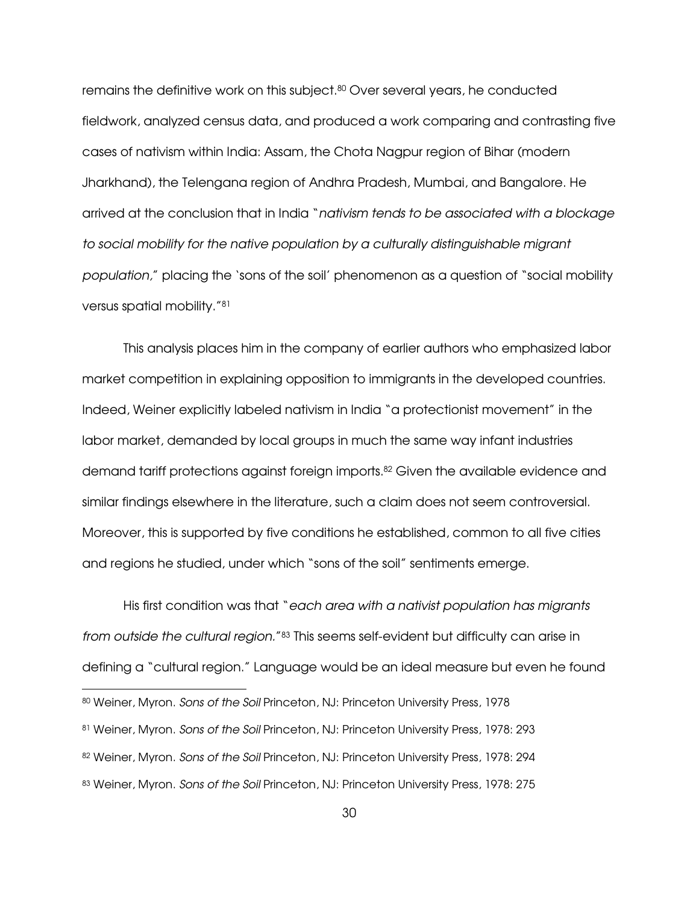remains the definitive work on this subject.80 Over several years, he conducted fieldwork, analyzed census data, and produced a work comparing and contrasting five cases of nativism within India: Assam, the Chota Nagpur region of Bihar (modern Jharkhand), the Telengana region of Andhra Pradesh, Mumbai, and Bangalore. He arrived at the conclusion that in India "nativism tends to be associated with a blockage to social mobility for the native population by a culturally distinguishable migrant population," placing the 'sons of the soil' phenomenon as a question of "social mobility versus spatial mobility."<sup>81</sup>

This analysis places him in the company of earlier authors who emphasized labor market competition in explaining opposition to immigrants in the developed countries. Indeed, Weiner explicitly labeled nativism in India "a protectionist movement" in the labor market, demanded by local groups in much the same way infant industries demand tariff protections against foreign imports.82 Given the available evidence and similar findings elsewhere in the literature, such a claim does not seem controversial. Moreover, this is supported by five conditions he established, common to all five cities and regions he studied, under which "sons of the soil" sentiments emerge.

His first condition was that "each area with a nativist population has migrants from outside the cultural region."<sup>83</sup> This seems self-evident but difficulty can arise in defining a "cultural region." Language would be an ideal measure but even he found -80 Weiner, Myron. Sons of the Soil Princeton, NJ: Princeton University Press, 1978 81 Weiner, Myron. Sons of the Soil Princeton, NJ: Princeton University Press, 1978: 293 82 Weiner, Myron. Sons of the Soil Princeton, NJ: Princeton University Press, 1978: 294 83 Weiner, Myron. Sons of the Soil Princeton, NJ: Princeton University Press, 1978: 275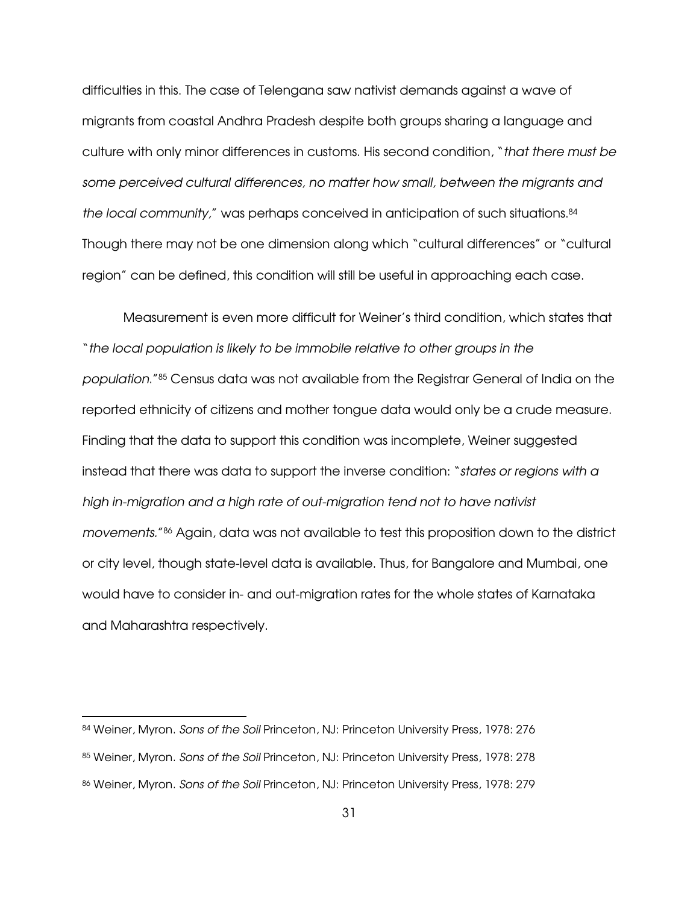difficulties in this. The case of Telengana saw nativist demands against a wave of migrants from coastal Andhra Pradesh despite both groups sharing a language and culture with only minor differences in customs. His second condition, "that there must be some perceived cultural differences, no matter how small, between the migrants and the local community," was perhaps conceived in anticipation of such situations.<sup>84</sup> Though there may not be one dimension along which "cultural differences" or "cultural region" can be defined, this condition will still be useful in approaching each case.

Measurement is even more difficult for Weiner's third condition, which states that "the local population is likely to be immobile relative to other groups in the population."85 Census data was not available from the Registrar General of India on the reported ethnicity of citizens and mother tongue data would only be a crude measure. Finding that the data to support this condition was incomplete, Weiner suggested instead that there was data to support the inverse condition: "states or regions with a high in-migration and a high rate of out-migration tend not to have nativist movements." <sup>86</sup> Again, data was not available to test this proposition down to the district or city level, though state-level data is available. Thus, for Bangalore and Mumbai, one would have to consider in- and out-migration rates for the whole states of Karnataka and Maharashtra respectively.

<sup>84</sup> Weiner, Myron. Sons of the Soil Princeton, NJ: Princeton University Press, 1978: 276 85 Weiner, Myron. Sons of the Soil Princeton, NJ: Princeton University Press, 1978: 278 86 Weiner, Myron. Sons of the Soil Princeton, NJ: Princeton University Press, 1978: 279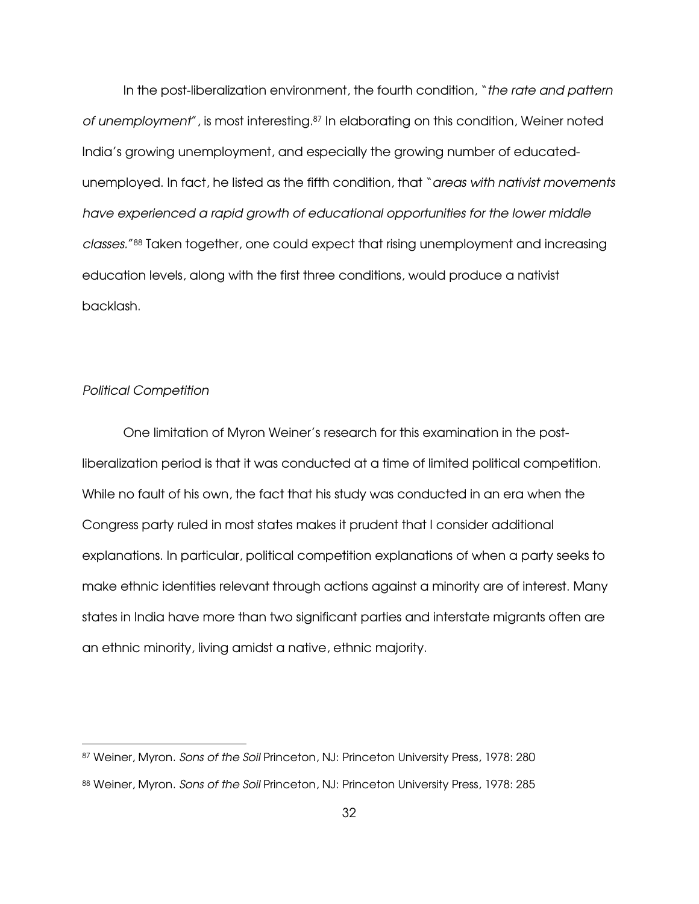In the post-liberalization environment, the fourth condition, "the rate and pattern of unemployment", is most interesting.<sup>87</sup> In elaborating on this condition, Weiner noted India's growing unemployment, and especially the growing number of educatedunemployed. In fact, he listed as the fifth condition, that "areas with nativist movements have experienced a rapid growth of educational opportunities for the lower middle classes." <sup>88</sup> Taken together, one could expect that rising unemployment and increasing education levels, along with the first three conditions, would produce a nativist backlash.

#### Political Competition

-

One limitation of Myron Weiner's research for this examination in the postliberalization period is that it was conducted at a time of limited political competition. While no fault of his own, the fact that his study was conducted in an era when the Congress party ruled in most states makes it prudent that I consider additional explanations. In particular, political competition explanations of when a party seeks to make ethnic identities relevant through actions against a minority are of interest. Many states in India have more than two significant parties and interstate migrants often are an ethnic minority, living amidst a native, ethnic majority.

<sup>87</sup> Weiner, Myron. Sons of the Soil Princeton, NJ: Princeton University Press, 1978: 280 88 Weiner, Myron. Sons of the Soil Princeton, NJ: Princeton University Press, 1978: 285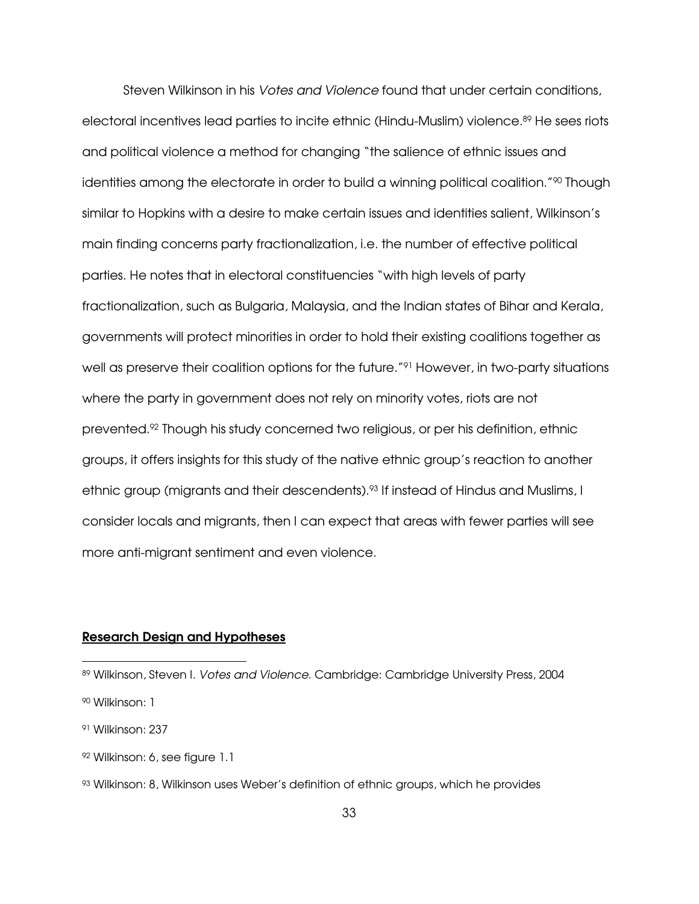Steven Wilkinson in his Votes and Violence found that under certain conditions, electoral incentives lead parties to incite ethnic (Hindu-Muslim) violence.89 He sees riots and political violence a method for changing "the salience of ethnic issues and identities among the electorate in order to build a winning political coalition."<sup>90</sup> Though similar to Hopkins with a desire to make certain issues and identities salient, Wilkinson's main finding concerns party fractionalization, i.e. the number of effective political parties. He notes that in electoral constituencies "with high levels of party fractionalization, such as Bulgaria, Malaysia, and the Indian states of Bihar and Kerala, governments will protect minorities in order to hold their existing coalitions together as well as preserve their coalition options for the future.<sup>"91</sup> However, in two-party situations where the party in government does not rely on minority votes, riots are not prevented.92 Though his study concerned two religious, or per his definition, ethnic groups, it offers insights for this study of the native ethnic group's reaction to another ethnic group (migrants and their descendents).<sup>93</sup> If instead of Hindus and Muslims, I consider locals and migrants, then I can expect that areas with fewer parties will see more anti-migrant sentiment and even violence.

## Research Design and Hypotheses

<sup>89</sup> Wilkinson, Steven I. Votes and Violence. Cambridge: Cambridge University Press, 2004

<sup>90</sup> Wilkinson: 1

<sup>91</sup> Wilkinson: 237

<sup>92</sup> Wilkinson: 6, see figure 1.1

<sup>93</sup> Wilkinson: 8, Wilkinson uses Weber's definition of ethnic groups, which he provides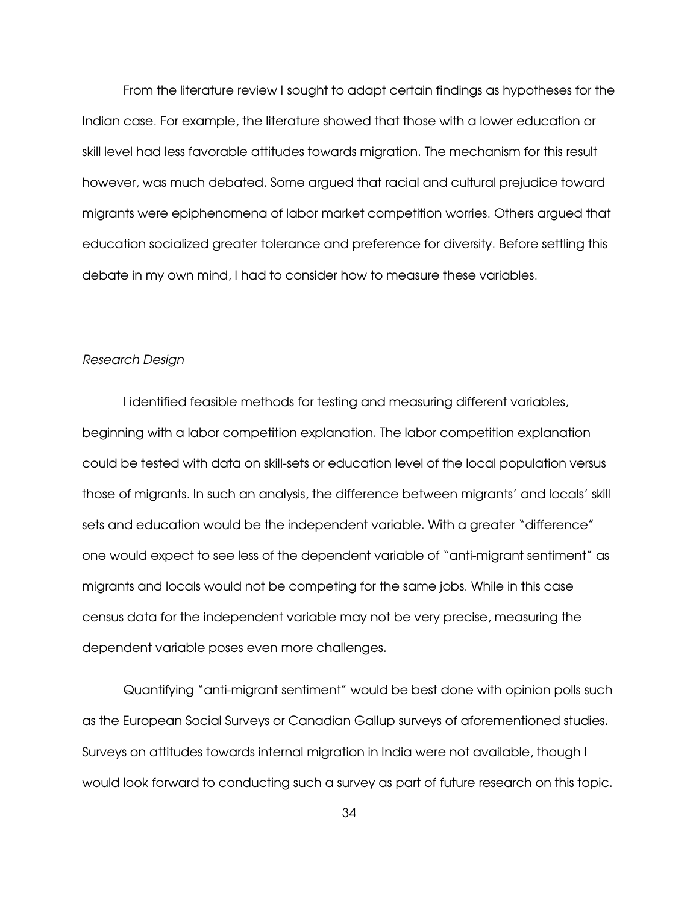From the literature review I sought to adapt certain findings as hypotheses for the Indian case. For example, the literature showed that those with a lower education or skill level had less favorable attitudes towards migration. The mechanism for this result however, was much debated. Some argued that racial and cultural prejudice toward migrants were epiphenomena of labor market competition worries. Others argued that education socialized greater tolerance and preference for diversity. Before settling this debate in my own mind, I had to consider how to measure these variables.

#### Research Design

I identified feasible methods for testing and measuring different variables, beginning with a labor competition explanation. The labor competition explanation could be tested with data on skill-sets or education level of the local population versus those of migrants. In such an analysis, the difference between migrants' and locals' skill sets and education would be the independent variable. With a greater "difference" one would expect to see less of the dependent variable of "anti-migrant sentiment" as migrants and locals would not be competing for the same jobs. While in this case census data for the independent variable may not be very precise, measuring the dependent variable poses even more challenges.

 Quantifying "anti-migrant sentiment" would be best done with opinion polls such as the European Social Surveys or Canadian Gallup surveys of aforementioned studies. Surveys on attitudes towards internal migration in India were not available, though I would look forward to conducting such a survey as part of future research on this topic.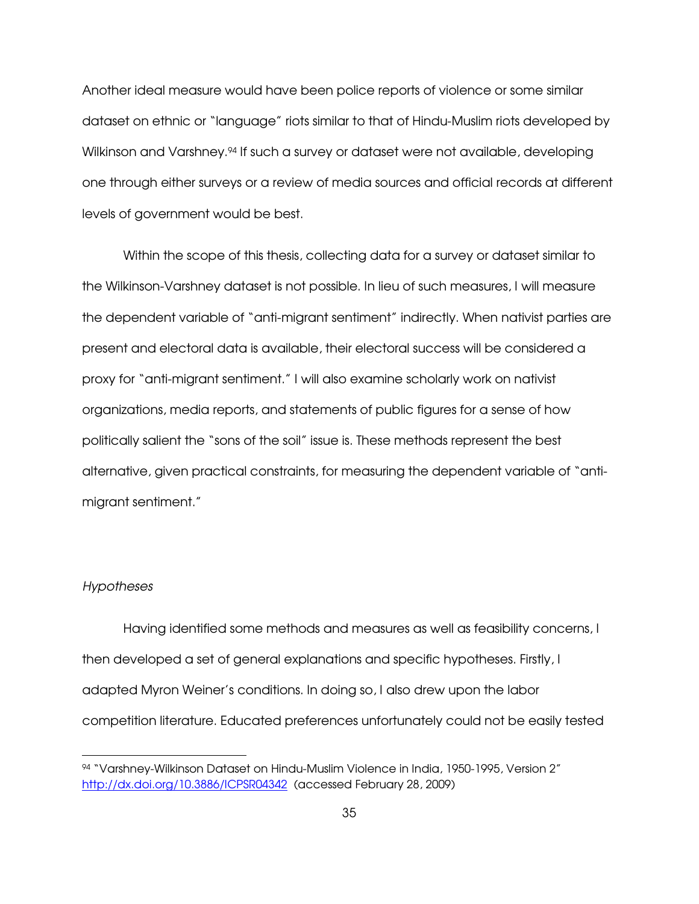Another ideal measure would have been police reports of violence or some similar dataset on ethnic or "language" riots similar to that of Hindu-Muslim riots developed by Wilkinson and Varshney.<sup>94</sup> If such a survey or dataset were not available, developing one through either surveys or a review of media sources and official records at different levels of government would be best.

Within the scope of this thesis, collecting data for a survey or dataset similar to the Wilkinson-Varshney dataset is not possible. In lieu of such measures, I will measure the dependent variable of "anti-migrant sentiment" indirectly. When nativist parties are present and electoral data is available, their electoral success will be considered a proxy for "anti-migrant sentiment." I will also examine scholarly work on nativist organizations, media reports, and statements of public figures for a sense of how politically salient the "sons of the soil" issue is. These methods represent the best alternative, given practical constraints, for measuring the dependent variable of "antimigrant sentiment."

#### Hypotheses

 $\overline{a}$ 

Having identified some methods and measures as well as feasibility concerns, I then developed a set of general explanations and specific hypotheses. Firstly, I adapted Myron Weiner's conditions. In doing so, I also drew upon the labor competition literature. Educated preferences unfortunately could not be easily tested

<sup>94</sup> "Varshney-Wilkinson Dataset on Hindu-Muslim Violence in India, 1950-1995, Version 2" http://dx.doi.org/10.3886/ICPSR04342 (accessed February 28, 2009)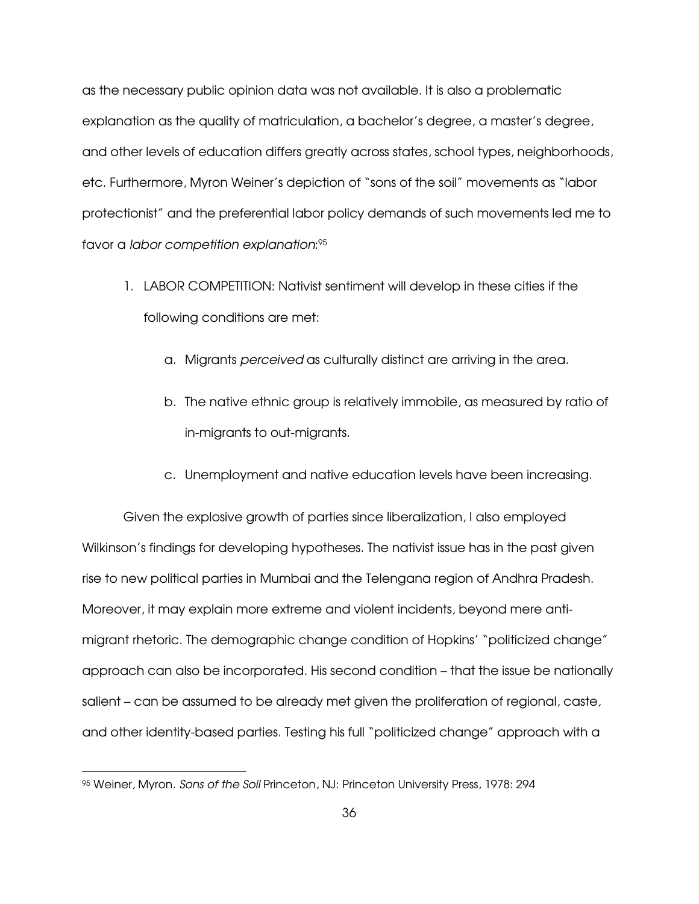as the necessary public opinion data was not available. It is also a problematic explanation as the quality of matriculation, a bachelor's degree, a master's degree, and other levels of education differs greatly across states, school types, neighborhoods, etc. Furthermore, Myron Weiner's depiction of "sons of the soil" movements as "labor protectionist" and the preferential labor policy demands of such movements led me to favor a labor competition explanation: 95

- 1. LABOR COMPETITION: Nativist sentiment will develop in these cities if the following conditions are met:
	- a. Migrants perceived as culturally distinct are arriving in the area.
	- b. The native ethnic group is relatively immobile, as measured by ratio of in-migrants to out-migrants.
	- c. Unemployment and native education levels have been increasing.

Given the explosive growth of parties since liberalization, I also employed Wilkinson's findings for developing hypotheses. The nativist issue has in the past given rise to new political parties in Mumbai and the Telengana region of Andhra Pradesh. Moreover, it may explain more extreme and violent incidents, beyond mere antimigrant rhetoric. The demographic change condition of Hopkins' "politicized change" approach can also be incorporated. His second condition – that the issue be nationally salient – can be assumed to be already met given the proliferation of regional, caste, and other identity-based parties. Testing his full "politicized change" approach with a

-

<sup>95</sup> Weiner, Myron. Sons of the Soil Princeton, NJ: Princeton University Press, 1978: 294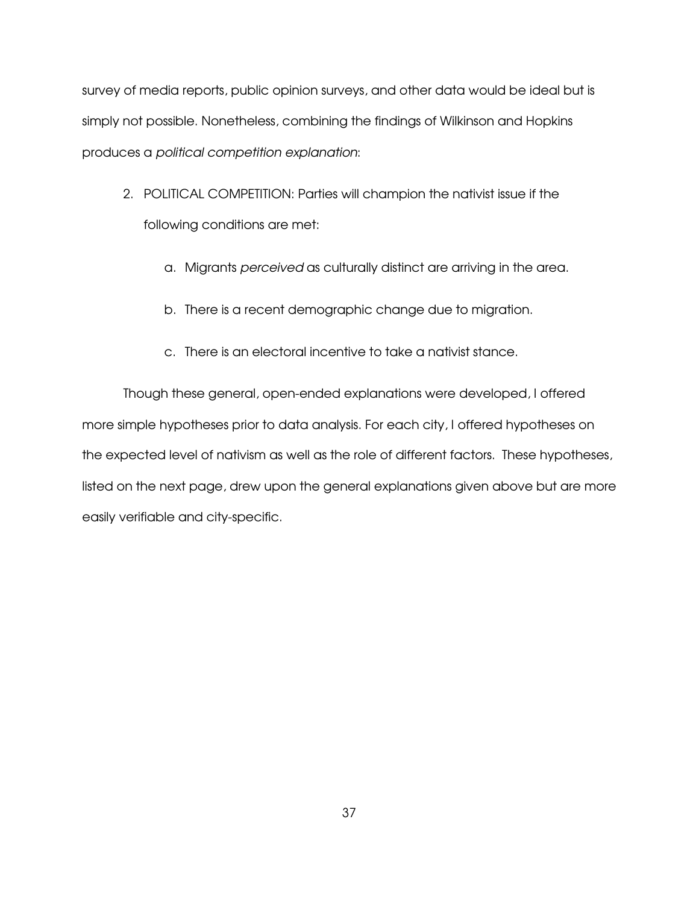survey of media reports, public opinion surveys, and other data would be ideal but is simply not possible. Nonetheless, combining the findings of Wilkinson and Hopkins produces a political competition explanation:

- 2. POLITICAL COMPETITION: Parties will champion the nativist issue if the following conditions are met:
	- a. Migrants perceived as culturally distinct are arriving in the area.
	- b. There is a recent demographic change due to migration.
	- c. There is an electoral incentive to take a nativist stance.

Though these general, open-ended explanations were developed, I offered more simple hypotheses prior to data analysis. For each city, I offered hypotheses on the expected level of nativism as well as the role of different factors. These hypotheses, listed on the next page, drew upon the general explanations given above but are more easily verifiable and city-specific.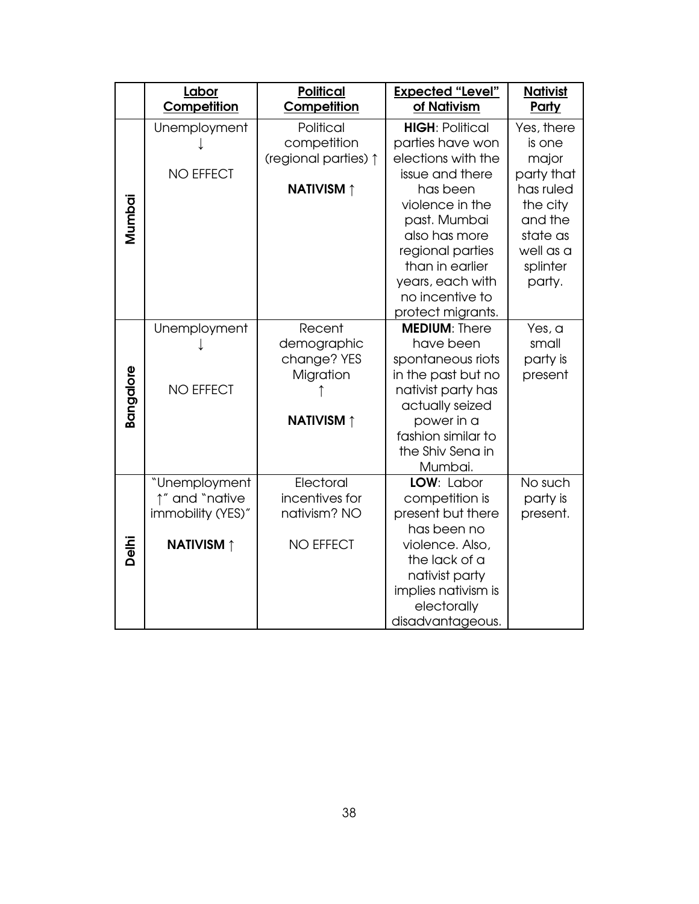|                  | Labor<br>Competition                                                      | <b>Political</b><br>Competition                                        | <b>Expected "Level"</b><br>of Nativism                                                                                                                                                                                                                 | <b>Nativist</b><br>Party                                                                                                       |
|------------------|---------------------------------------------------------------------------|------------------------------------------------------------------------|--------------------------------------------------------------------------------------------------------------------------------------------------------------------------------------------------------------------------------------------------------|--------------------------------------------------------------------------------------------------------------------------------|
| Mumbai           | Unemployment<br><b>NO EFFECT</b>                                          | Political<br>competition<br>(regional parties) 1<br><b>NATIVISM</b> ↑  | <b>HIGH: Political</b><br>parties have won<br>elections with the<br>issue and there<br>has been<br>violence in the<br>past. Mumbai<br>also has more<br>regional parties<br>than in earlier<br>years, each with<br>no incentive to<br>protect migrants. | Yes, there<br>is one<br>major<br>party that<br>has ruled<br>the city<br>and the<br>state as<br>well as a<br>splinter<br>party. |
| <b>Bangalore</b> | Unemployment<br><b>NO EFFECT</b>                                          | Recent<br>demographic<br>change? YES<br>Migration<br><b>NATIVISM</b> ↑ | <b>MEDIUM: There</b><br>have been<br>spontaneous riots<br>in the past but no<br>nativist party has<br>actually seized<br>power in a<br>fashion similar to<br>the Shiv Sena in<br>Mumbai.                                                               | Yes, a<br>small<br>party is<br>present                                                                                         |
| Delhi            | "Unemployment<br>1" and "native<br>immobility (YES)"<br><b>NATIVISM</b> ↑ | Electoral<br>incentives for<br>nativism? NO<br><b>NO EFFECT</b>        | LOW: Labor<br>competition is<br>present but there<br>has been no<br>violence. Also,<br>the lack of a<br>nativist party<br>implies nativism is<br>electorally<br>disadvantageous.                                                                       | No such<br>party is<br>present.                                                                                                |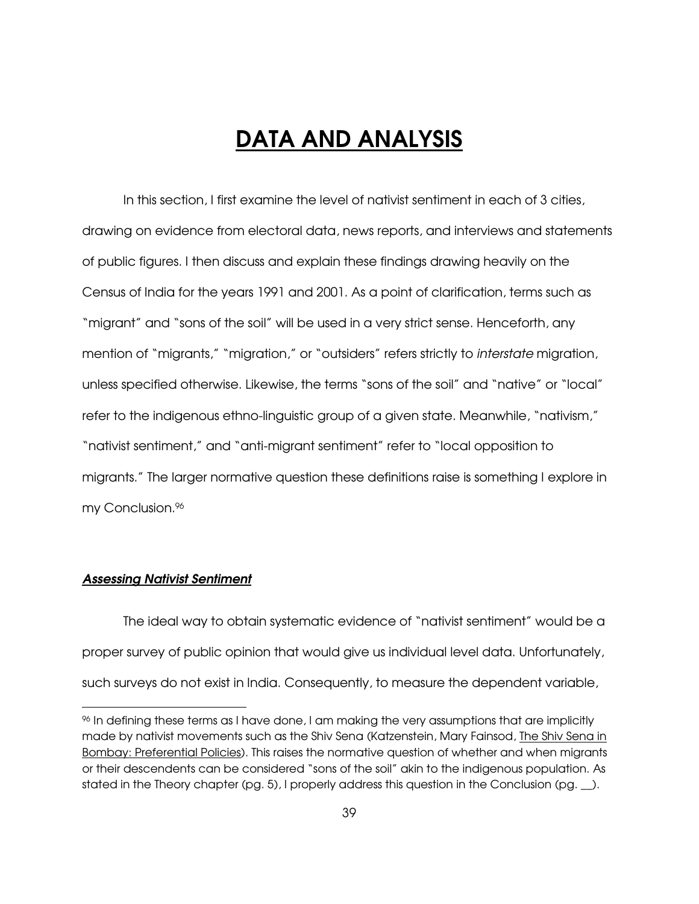# DATA AND ANALYSIS

In this section, I first examine the level of nativist sentiment in each of 3 cities, drawing on evidence from electoral data, news reports, and interviews and statements of public figures. I then discuss and explain these findings drawing heavily on the Census of India for the years 1991 and 2001. As a point of clarification, terms such as "migrant" and "sons of the soil" will be used in a very strict sense. Henceforth, any mention of "migrants," "migration," or "outsiders" refers strictly to interstate migration, unless specified otherwise. Likewise, the terms "sons of the soil" and "native" or "local" refer to the indigenous ethno-linguistic group of a given state. Meanwhile, "nativism," "nativist sentiment," and "anti-migrant sentiment" refer to "local opposition to migrants." The larger normative question these definitions raise is something I explore in my Conclusion.<sup>96</sup>

# Assessing Nativist Sentiment

 $\overline{a}$ 

 The ideal way to obtain systematic evidence of "nativist sentiment" would be a proper survey of public opinion that would give us individual level data. Unfortunately, such surveys do not exist in India. Consequently, to measure the dependent variable,

<sup>96</sup> In defining these terms as I have done, I am making the very assumptions that are implicitly made by nativist movements such as the Shiv Sena (Katzenstein, Mary Fainsod, The Shiv Sena in Bombay: Preferential Policies). This raises the normative question of whether and when migrants or their descendents can be considered "sons of the soil" akin to the indigenous population. As stated in the Theory chapter (pg. 5), I properly address this question in the Conclusion (pg.  $\Box$ ).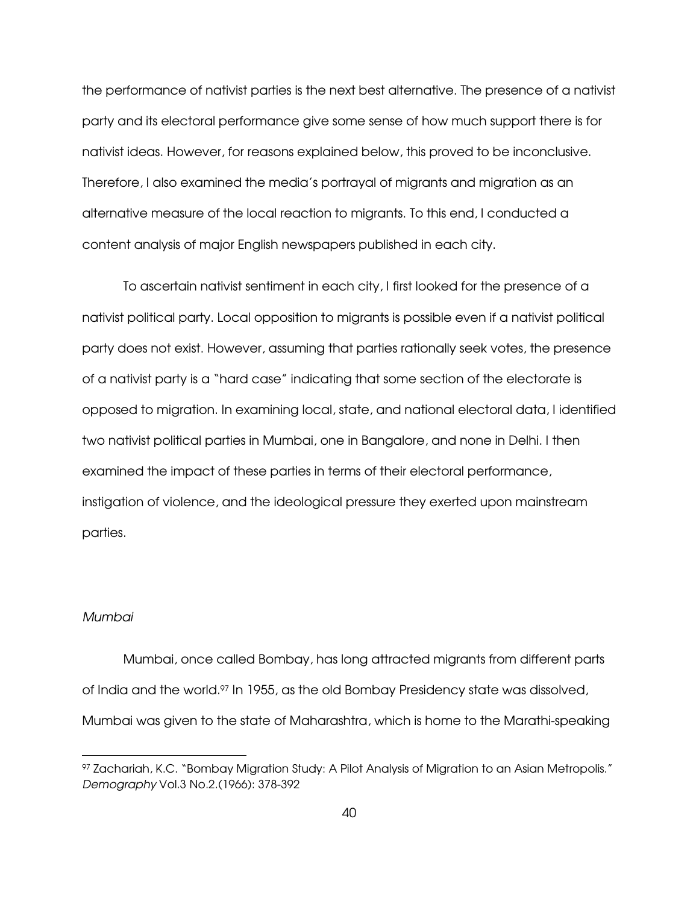the performance of nativist parties is the next best alternative. The presence of a nativist party and its electoral performance give some sense of how much support there is for nativist ideas. However, for reasons explained below, this proved to be inconclusive. Therefore, I also examined the media's portrayal of migrants and migration as an alternative measure of the local reaction to migrants. To this end, I conducted a content analysis of major English newspapers published in each city.

 To ascertain nativist sentiment in each city, I first looked for the presence of a nativist political party. Local opposition to migrants is possible even if a nativist political party does not exist. However, assuming that parties rationally seek votes, the presence of a nativist party is a "hard case" indicating that some section of the electorate is opposed to migration. In examining local, state, and national electoral data, I identified two nativist political parties in Mumbai, one in Bangalore, and none in Delhi. I then examined the impact of these parties in terms of their electoral performance, instigation of violence, and the ideological pressure they exerted upon mainstream parties.

# Mumbai

-

Mumbai, once called Bombay, has long attracted migrants from different parts of India and the world.97 In 1955, as the old Bombay Presidency state was dissolved, Mumbai was given to the state of Maharashtra, which is home to the Marathi-speaking

<sup>97</sup> Zachariah, K.C. "Bombay Migration Study: A Pilot Analysis of Migration to an Asian Metropolis." Demography Vol.3 No.2.(1966): 378-392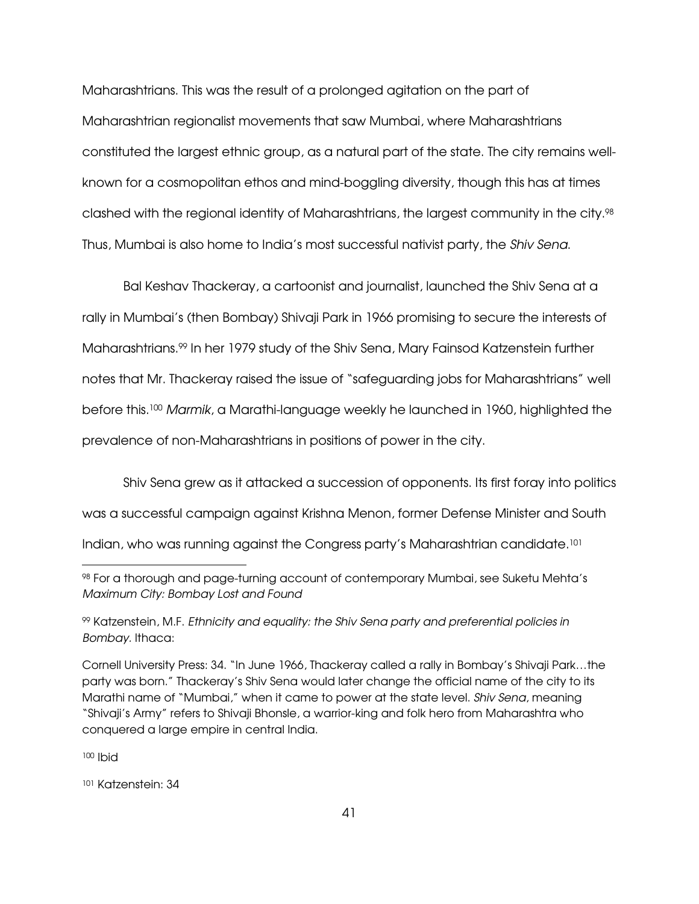Maharashtrians. This was the result of a prolonged agitation on the part of Maharashtrian regionalist movements that saw Mumbai, where Maharashtrians constituted the largest ethnic group, as a natural part of the state. The city remains wellknown for a cosmopolitan ethos and mind-boggling diversity, though this has at times clashed with the regional identity of Maharashtrians, the largest community in the city.<sup>98</sup> Thus, Mumbai is also home to India's most successful nativist party, the Shiv Sena.

Bal Keshav Thackeray, a cartoonist and journalist, launched the Shiv Sena at a rally in Mumbai's (then Bombay) Shivaji Park in 1966 promising to secure the interests of Maharashtrians.99 In her 1979 study of the Shiv Sena, Mary Fainsod Katzenstein further notes that Mr. Thackeray raised the issue of "safeguarding jobs for Maharashtrians" well before this.<sup>100</sup> Marmik, a Marathi-language weekly he launched in 1960, highlighted the prevalence of non-Maharashtrians in positions of power in the city.

Shiv Sena grew as it attacked a succession of opponents. Its first foray into politics was a successful campaign against Krishna Menon, former Defense Minister and South Indian, who was running against the Congress party's Maharashtrian candidate.<sup>101</sup>

<sup>99</sup> Katzenstein, M.F. Ethnicity and equality: the Shiv Sena party and preferential policies in Bombay. Ithaca:

Cornell University Press: 34. "In June 1966, Thackeray called a rally in Bombay's Shivaji Park…the party was born." Thackeray's Shiv Sena would later change the official name of the city to its Marathi name of "Mumbai," when it came to power at the state level. Shiv Sena, meaning "Shivaji's Army" refers to Shivaji Bhonsle, a warrior-king and folk hero from Maharashtra who conquered a large empire in central India.

<sup>100</sup> Ibid

-

101 Katzenstein: 34

<sup>98</sup> For a thorough and page-turning account of contemporary Mumbai, see Suketu Mehta's Maximum City: Bombay Lost and Found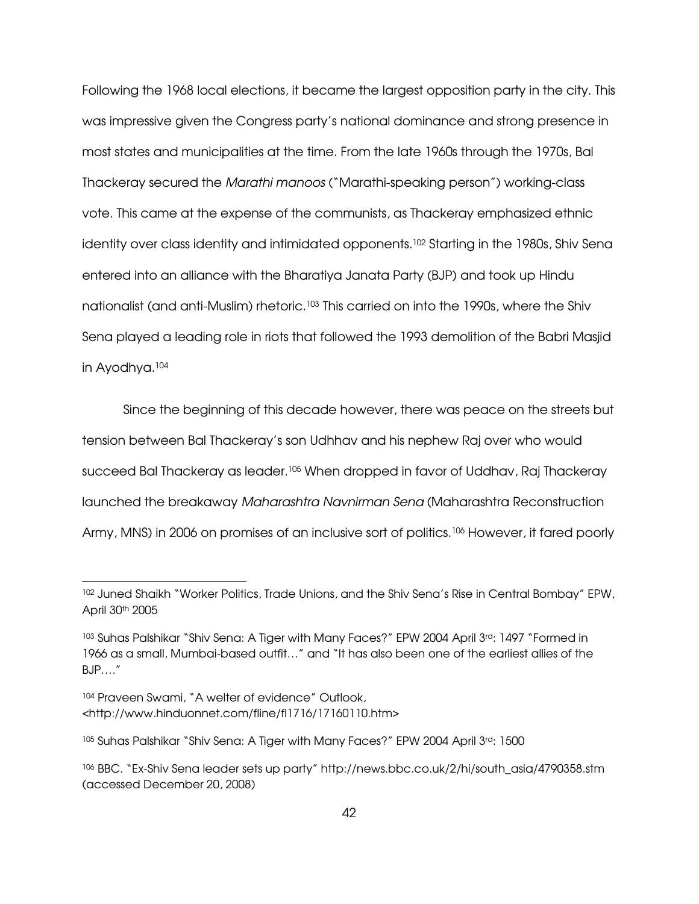Following the 1968 local elections, it became the largest opposition party in the city. This was impressive given the Congress party's national dominance and strong presence in most states and municipalities at the time. From the late 1960s through the 1970s, Bal Thackeray secured the Marathi manoos ("Marathi-speaking person") working-class vote. This came at the expense of the communists, as Thackeray emphasized ethnic identity over class identity and intimidated opponents.<sup>102</sup> Starting in the 1980s, Shiv Sena entered into an alliance with the Bharatiya Janata Party (BJP) and took up Hindu nationalist (and anti-Muslim) rhetoric.103 This carried on into the 1990s, where the Shiv Sena played a leading role in riots that followed the 1993 demolition of the Babri Masjid in Ayodhya.<sup>104</sup>

Since the beginning of this decade however, there was peace on the streets but tension between Bal Thackeray's son Udhhav and his nephew Raj over who would succeed Bal Thackeray as leader.105 When dropped in favor of Uddhav, Raj Thackeray launched the breakaway Maharashtra Navnirman Sena (Maharashtra Reconstruction Army, MNS) in 2006 on promises of an inclusive sort of politics.<sup>106</sup> However, it fared poorly

-

<sup>102</sup> Juned Shaikh "Worker Politics, Trade Unions, and the Shiv Sena's Rise in Central Bombay" EPW, April 30th 2005

<sup>103</sup> Suhas Palshikar "Shiv Sena: A Tiger with Many Faces?" EPW 2004 April 3rd: 1497 "Formed in 1966 as a small, Mumbai-based outfit…" and "It has also been one of the earliest allies of the BJP…."

<sup>104</sup> Praveen Swami, "A welter of evidence" Outlook, <http://www.hinduonnet.com/fline/fl1716/17160110.htm>

<sup>105</sup> Suhas Palshikar "Shiv Sena: A Tiger with Many Faces?" EPW 2004 April 3rd: 1500

<sup>106</sup> BBC. "Ex-Shiv Sena leader sets up party" http://news.bbc.co.uk/2/hi/south\_asia/4790358.stm (accessed December 20, 2008)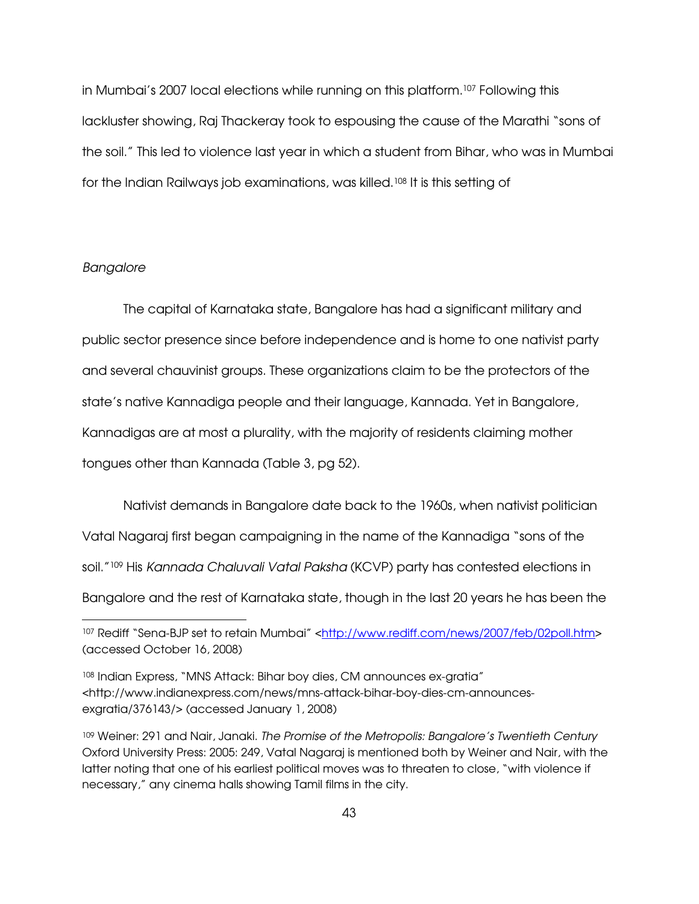in Mumbai's 2007 local elections while running on this platform.107 Following this lackluster showing, Raj Thackeray took to espousing the cause of the Marathi "sons of the soil." This led to violence last year in which a student from Bihar, who was in Mumbai for the Indian Railways job examinations, was killed.108 It is this setting of

#### Bangalore

-

 The capital of Karnataka state, Bangalore has had a significant military and public sector presence since before independence and is home to one nativist party and several chauvinist groups. These organizations claim to be the protectors of the state's native Kannadiga people and their language, Kannada. Yet in Bangalore, Kannadigas are at most a plurality, with the majority of residents claiming mother tongues other than Kannada (Table 3, pg 52).

Nativist demands in Bangalore date back to the 1960s, when nativist politician Vatal Nagaraj first began campaigning in the name of the Kannadiga "sons of the soil."<sup>109</sup> His Kannada Chaluvali Vatal Paksha (KCVP) party has contested elections in Bangalore and the rest of Karnataka state, though in the last 20 years he has been the

<sup>&</sup>lt;sup>107</sup> Rediff "Sena-BJP set to retain Mumbai" <http://www.rediff.com/news/2007/feb/02poll.htm> (accessed October 16, 2008)

<sup>108</sup> Indian Express, "MNS Attack: Bihar boy dies, CM announces ex-gratia" <http://www.indianexpress.com/news/mns-attack-bihar-boy-dies-cm-announcesexgratia/376143/> (accessed January 1, 2008)

<sup>109</sup> Weiner: 291 and Nair, Janaki. The Promise of the Metropolis: Bangalore's Twentieth Century Oxford University Press: 2005: 249, Vatal Nagaraj is mentioned both by Weiner and Nair, with the latter noting that one of his earliest political moves was to threaten to close, "with violence if necessary," any cinema halls showing Tamil films in the city.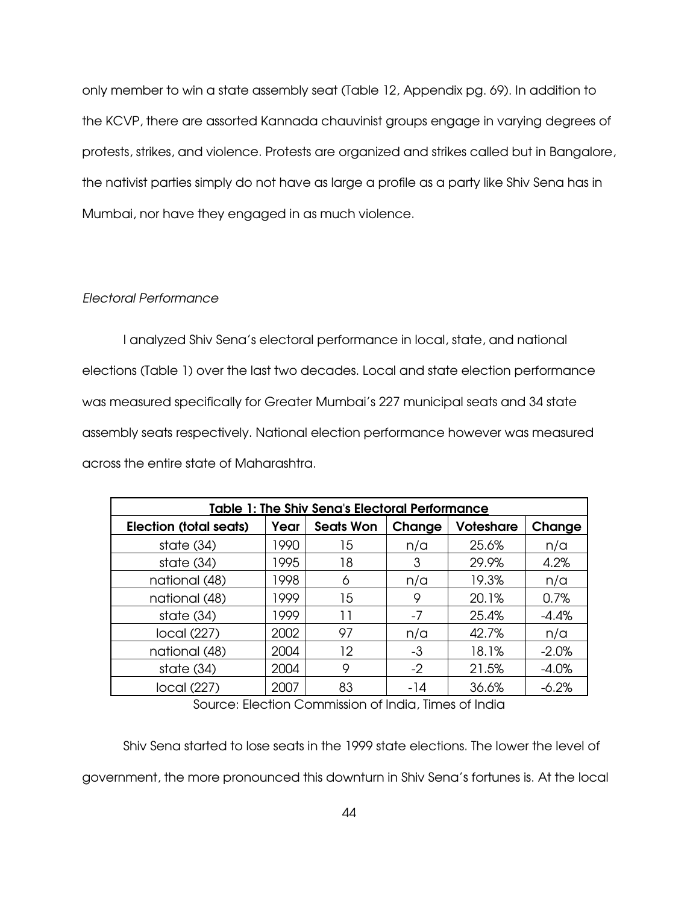only member to win a state assembly seat (Table 12, Appendix pg. 69). In addition to the KCVP, there are assorted Kannada chauvinist groups engage in varying degrees of protests, strikes, and violence. Protests are organized and strikes called but in Bangalore, the nativist parties simply do not have as large a profile as a party like Shiv Sena has in Mumbai, nor have they engaged in as much violence.

# Electoral Performance

 I analyzed Shiv Sena's electoral performance in local, state, and national elections (Table 1) over the last two decades. Local and state election performance was measured specifically for Greater Mumbai's 227 municipal seats and 34 state assembly seats respectively. National election performance however was measured across the entire state of Maharashtra.

| Table 1: The Shiv Sena's Electoral Performance |      |                  |        |           |         |  |
|------------------------------------------------|------|------------------|--------|-----------|---------|--|
| <b>Election (total seats)</b>                  | Year | <b>Seats Won</b> | Change | Voteshare | Change  |  |
| state $(34)$                                   | 1990 | 15               | n/a    | 25.6%     | n/a     |  |
| state $(34)$                                   | 1995 | 18               | 3      | 29.9%     | 4.2%    |  |
| national (48)                                  | 1998 | 6                | n/a    | 19.3%     | n/a     |  |
| national (48)                                  | 1999 | 15               | 9      | 20.1%     | 0.7%    |  |
| state $(34)$                                   | 1999 | ו ו              | $-7$   | 25.4%     | $-4.4%$ |  |
| local (227)                                    | 2002 | 97               | n/a    | 42.7%     | n/a     |  |
| national (48)                                  | 2004 | 12               | -3     | 18.1%     | $-2.0%$ |  |
| state $(34)$                                   | 2004 | 9                | -2     | 21.5%     | $-4.0%$ |  |
| local (227)                                    | 2007 | 83               | -14    | 36.6%     | $-6.2%$ |  |

Source: Election Commission of India, Times of India

 Shiv Sena started to lose seats in the 1999 state elections. The lower the level of government, the more pronounced this downturn in Shiv Sena's fortunes is. At the local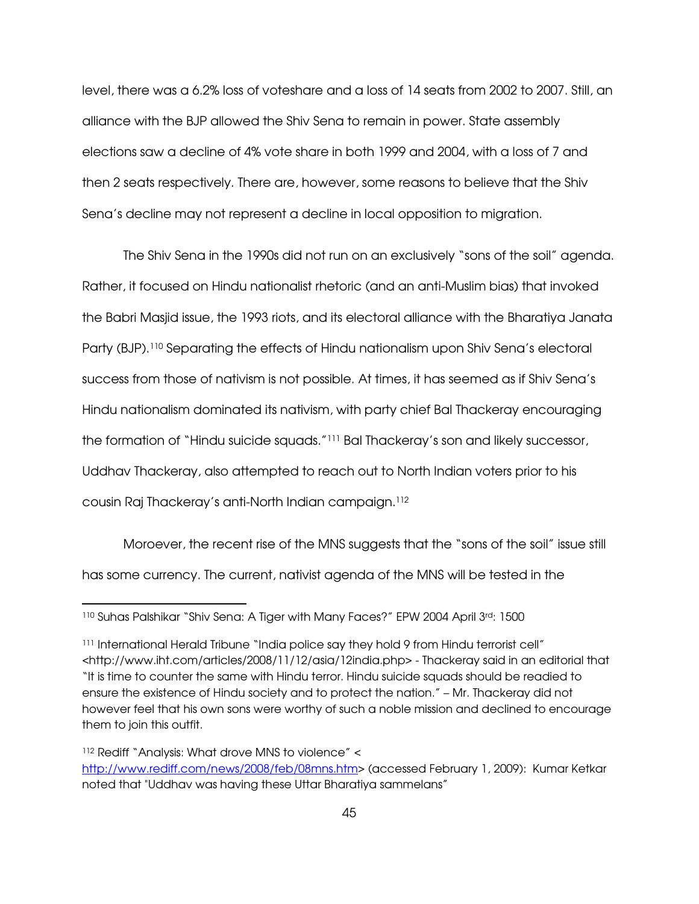level, there was a 6.2% loss of voteshare and a loss of 14 seats from 2002 to 2007. Still, an alliance with the BJP allowed the Shiv Sena to remain in power. State assembly elections saw a decline of 4% vote share in both 1999 and 2004, with a loss of 7 and then 2 seats respectively. There are, however, some reasons to believe that the Shiv Sena's decline may not represent a decline in local opposition to migration.

 The Shiv Sena in the 1990s did not run on an exclusively "sons of the soil" agenda. Rather, it focused on Hindu nationalist rhetoric (and an anti-Muslim bias) that invoked the Babri Masjid issue, the 1993 riots, and its electoral alliance with the Bharatiya Janata Party (BJP).110 Separating the effects of Hindu nationalism upon Shiv Sena's electoral success from those of nativism is not possible. At times, it has seemed as if Shiv Sena's Hindu nationalism dominated its nativism, with party chief Bal Thackeray encouraging the formation of "Hindu suicide squads."111 Bal Thackeray's son and likely successor, Uddhav Thackeray, also attempted to reach out to North Indian voters prior to his cousin Raj Thackeray's anti-North Indian campaign.<sup>112</sup>

Moroever, the recent rise of the MNS suggests that the "sons of the soil" issue still has some currency. The current, nativist agenda of the MNS will be tested in the

<sup>112</sup> Rediff "Analysis: What drove MNS to violence" <

 $\overline{a}$ 

<sup>110</sup> Suhas Palshikar "Shiv Sena: A Tiger with Many Faces?" EPW 2004 April 3rd: 1500

<sup>&</sup>lt;sup>111</sup> International Herald Tribune "India police say they hold 9 from Hindu terrorist cell" <http://www.iht.com/articles/2008/11/12/asia/12india.php> - Thackeray said in an editorial that "It is time to counter the same with Hindu terror. Hindu suicide squads should be readied to ensure the existence of Hindu society and to protect the nation." – Mr. Thackeray did not however feel that his own sons were worthy of such a noble mission and declined to encourage them to join this outfit.

http://www.rediff.com/news/2008/feb/08mns.htm> (accessed February 1, 2009): Kumar Ketkar noted that "Uddhav was having these Uttar Bharatiya sammelans"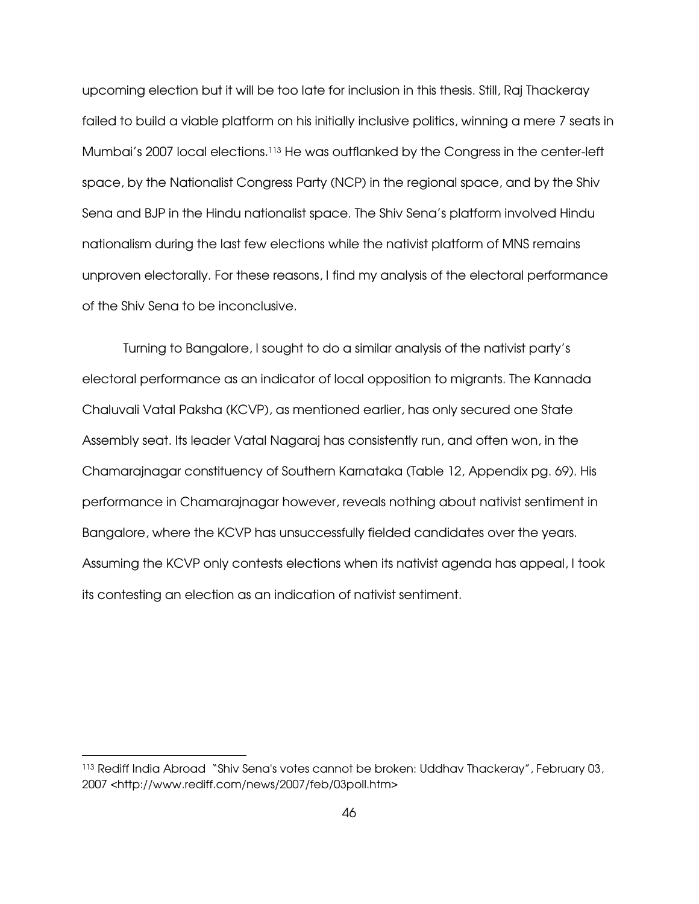upcoming election but it will be too late for inclusion in this thesis. Still, Raj Thackeray failed to build a viable platform on his initially inclusive politics, winning a mere 7 seats in Mumbai's 2007 local elections.113 He was outflanked by the Congress in the center-left space, by the Nationalist Congress Party (NCP) in the regional space, and by the Shiv Sena and BJP in the Hindu nationalist space. The Shiv Sena's platform involved Hindu nationalism during the last few elections while the nativist platform of MNS remains unproven electorally. For these reasons, I find my analysis of the electoral performance of the Shiv Sena to be inconclusive.

Turning to Bangalore, I sought to do a similar analysis of the nativist party's electoral performance as an indicator of local opposition to migrants. The Kannada Chaluvali Vatal Paksha (KCVP), as mentioned earlier, has only secured one State Assembly seat. Its leader Vatal Nagaraj has consistently run, and often won, in the Chamarajnagar constituency of Southern Karnataka (Table 12, Appendix pg. 69). His performance in Chamarajnagar however, reveals nothing about nativist sentiment in Bangalore, where the KCVP has unsuccessfully fielded candidates over the years. Assuming the KCVP only contests elections when its nativist agenda has appeal, I took its contesting an election as an indication of nativist sentiment.

-

<sup>113</sup> Rediff India Abroad "Shiv Sena's votes cannot be broken: Uddhav Thackeray", February 03, 2007 <http://www.rediff.com/news/2007/feb/03poll.htm>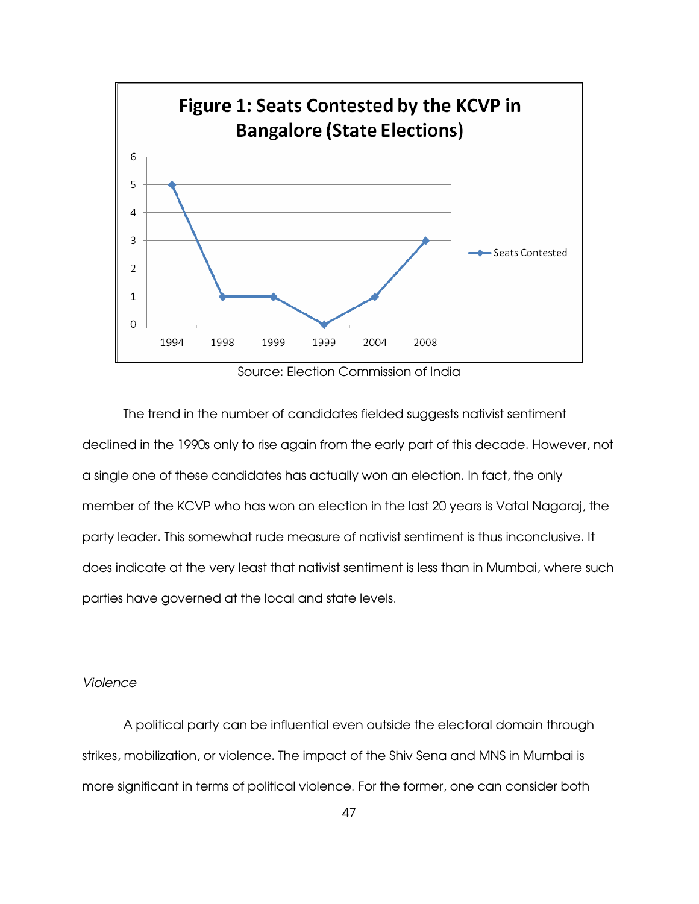

Source: Election Commission of India

 The trend in the number of candidates fielded suggests nativist sentiment declined in the 1990s only to rise again from the early part of this decade. However, not a single one of these candidates has actually won an election. In fact, the only member of the KCVP who has won an election in the last 20 years is Vatal Nagaraj, the party leader. This somewhat rude measure of nativist sentiment is thus inconclusive. It does indicate at the very least that nativist sentiment is less than in Mumbai, where such parties have governed at the local and state levels.

## Violence

A political party can be influential even outside the electoral domain through strikes, mobilization, or violence. The impact of the Shiv Sena and MNS in Mumbai is more significant in terms of political violence. For the former, one can consider both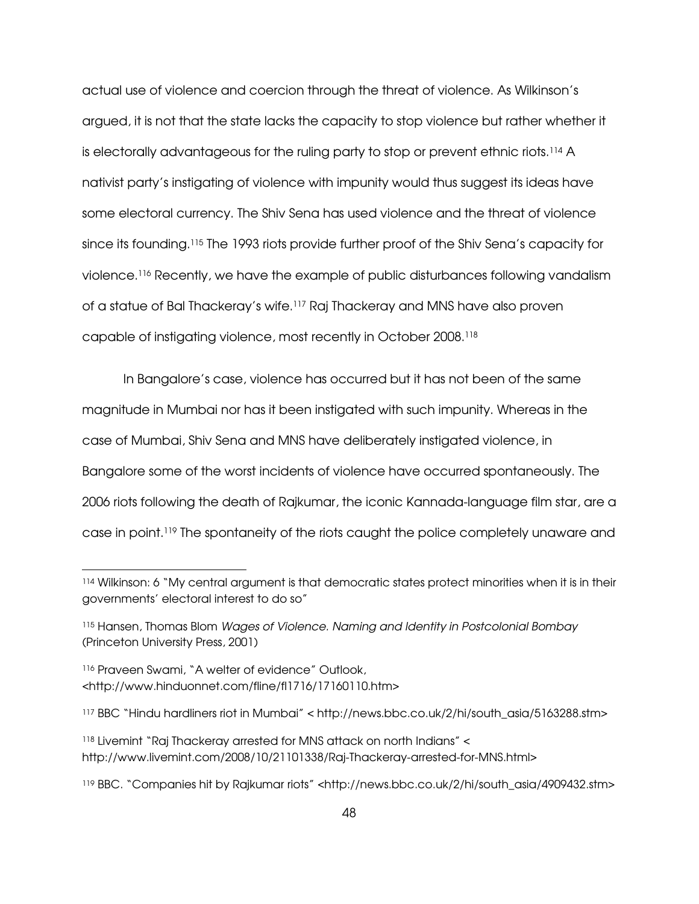actual use of violence and coercion through the threat of violence. As Wilkinson's argued, it is not that the state lacks the capacity to stop violence but rather whether it is electorally advantageous for the ruling party to stop or prevent ethnic riots.<sup>114</sup> A nativist party's instigating of violence with impunity would thus suggest its ideas have some electoral currency. The Shiv Sena has used violence and the threat of violence since its founding.<sup>115</sup> The 1993 riots provide further proof of the Shiv Sena's capacity for violence.116 Recently, we have the example of public disturbances following vandalism of a statue of Bal Thackeray's wife.117 Raj Thackeray and MNS have also proven capable of instigating violence, most recently in October 2008.<sup>118</sup>

In Bangalore's case, violence has occurred but it has not been of the same magnitude in Mumbai nor has it been instigated with such impunity. Whereas in the case of Mumbai, Shiv Sena and MNS have deliberately instigated violence, in Bangalore some of the worst incidents of violence have occurred spontaneously. The 2006 riots following the death of Rajkumar, the iconic Kannada-language film star, are a case in point.119 The spontaneity of the riots caught the police completely unaware and

<sup>116</sup> Praveen Swami, "A welter of evidence" Outlook, <http://www.hinduonnet.com/fline/fl1716/17160110.htm>

 $\overline{a}$ 

<sup>114</sup> Wilkinson: 6 "My central argument is that democratic states protect minorities when it is in their governments' electoral interest to do so"

<sup>115</sup> Hansen, Thomas Blom Wages of Violence. Naming and Identity in Postcolonial Bombay (Princeton University Press, 2001)

<sup>117</sup> BBC "Hindu hardliners riot in Mumbai" < http://news.bbc.co.uk/2/hi/south\_asia/5163288.stm>

<sup>118</sup> Livemint "Raj Thackeray arrested for MNS attack on north Indians" < http://www.livemint.com/2008/10/21101338/Raj-Thackeray-arrested-for-MNS.html>

<sup>119</sup> BBC. "Companies hit by Rajkumar riots" <http://news.bbc.co.uk/2/hi/south\_asia/4909432.stm>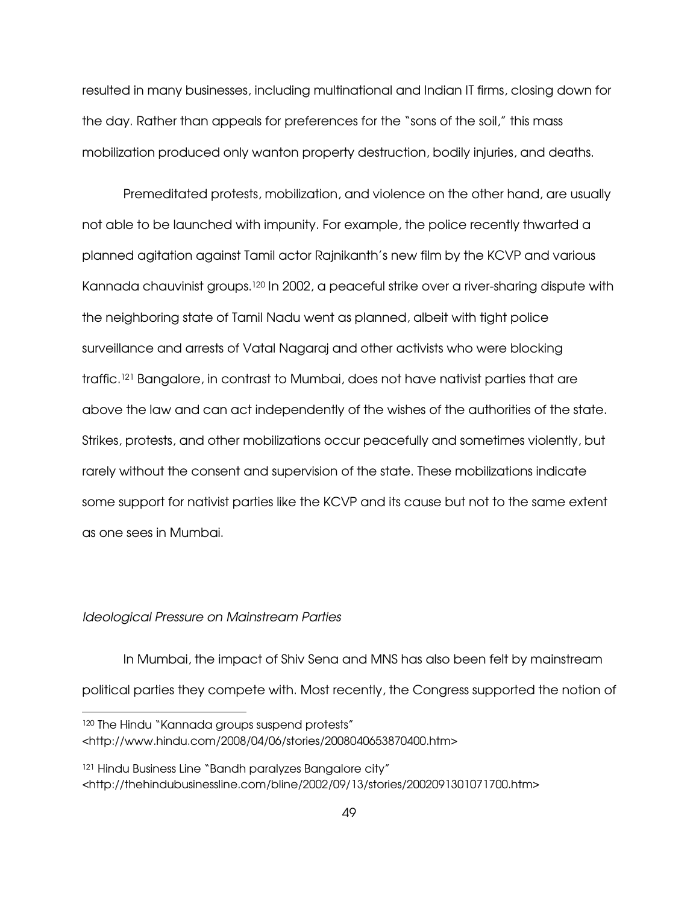resulted in many businesses, including multinational and Indian IT firms, closing down for the day. Rather than appeals for preferences for the "sons of the soil," this mass mobilization produced only wanton property destruction, bodily injuries, and deaths.

Premeditated protests, mobilization, and violence on the other hand, are usually not able to be launched with impunity. For example, the police recently thwarted a planned agitation against Tamil actor Rajnikanth's new film by the KCVP and various Kannada chauvinist groups.120 In 2002, a peaceful strike over a river-sharing dispute with the neighboring state of Tamil Nadu went as planned, albeit with tight police surveillance and arrests of Vatal Nagaraj and other activists who were blocking traffic.121 Bangalore, in contrast to Mumbai, does not have nativist parties that are above the law and can act independently of the wishes of the authorities of the state. Strikes, protests, and other mobilizations occur peacefully and sometimes violently, but rarely without the consent and supervision of the state. These mobilizations indicate some support for nativist parties like the KCVP and its cause but not to the same extent as one sees in Mumbai.

#### Ideological Pressure on Mainstream Parties

 $\overline{a}$ 

In Mumbai, the impact of Shiv Sena and MNS has also been felt by mainstream political parties they compete with. Most recently, the Congress supported the notion of

<sup>120</sup> The Hindu "Kannada groups suspend protests" <http://www.hindu.com/2008/04/06/stories/2008040653870400.htm>

<sup>121</sup> Hindu Business Line "Bandh paralyzes Bangalore city" <http://thehindubusinessline.com/bline/2002/09/13/stories/2002091301071700.htm>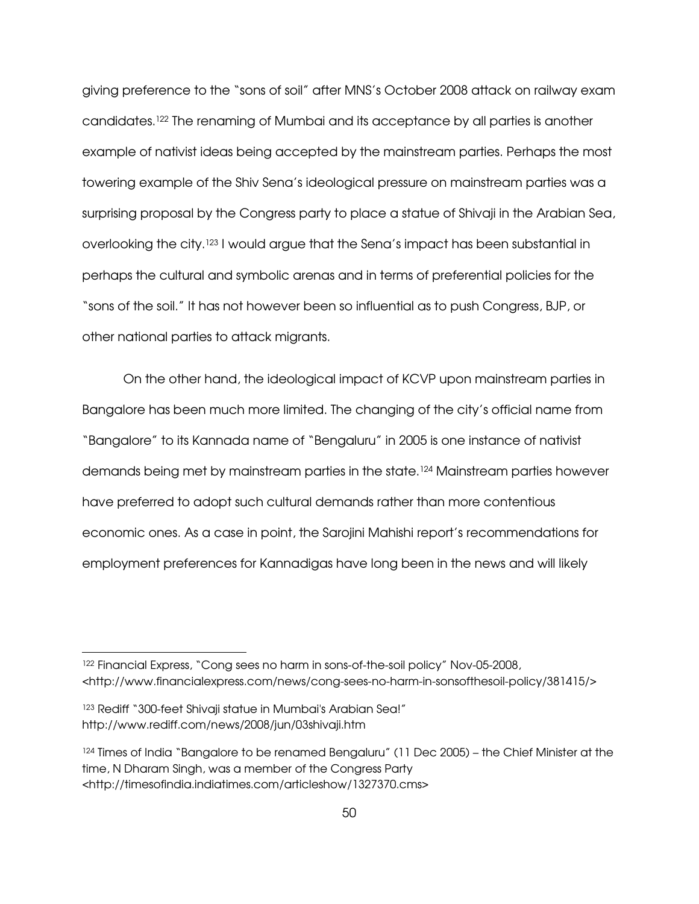giving preference to the "sons of soil" after MNS's October 2008 attack on railway exam candidates.122 The renaming of Mumbai and its acceptance by all parties is another example of nativist ideas being accepted by the mainstream parties. Perhaps the most towering example of the Shiv Sena's ideological pressure on mainstream parties was a surprising proposal by the Congress party to place a statue of Shivaji in the Arabian Sea, overlooking the city.123 I would argue that the Sena's impact has been substantial in perhaps the cultural and symbolic arenas and in terms of preferential policies for the "sons of the soil." It has not however been so influential as to push Congress, BJP, or other national parties to attack migrants.

 On the other hand, the ideological impact of KCVP upon mainstream parties in Bangalore has been much more limited. The changing of the city's official name from "Bangalore" to its Kannada name of "Bengaluru" in 2005 is one instance of nativist demands being met by mainstream parties in the state.124 Mainstream parties however have preferred to adopt such cultural demands rather than more contentious economic ones. As a case in point, the Sarojini Mahishi report's recommendations for employment preferences for Kannadigas have long been in the news and will likely

 $\overline{a}$ 

<sup>122</sup> Financial Express, "Cong sees no harm in sons-of-the-soil policy" Nov-05-2008, <http://www.financialexpress.com/news/cong-sees-no-harm-in-sonsofthesoil-policy/381415/>

<sup>&</sup>lt;sup>123</sup> Rediff "300-feet Shivaji statue in Mumbai's Arabian Sea!" http://www.rediff.com/news/2008/jun/03shivaji.htm

<sup>&</sup>lt;sup>124</sup> Times of India "Bangalore to be renamed Bengaluru" (11 Dec 2005) – the Chief Minister at the time, N Dharam Singh, was a member of the Congress Party <http://timesofindia.indiatimes.com/articleshow/1327370.cms>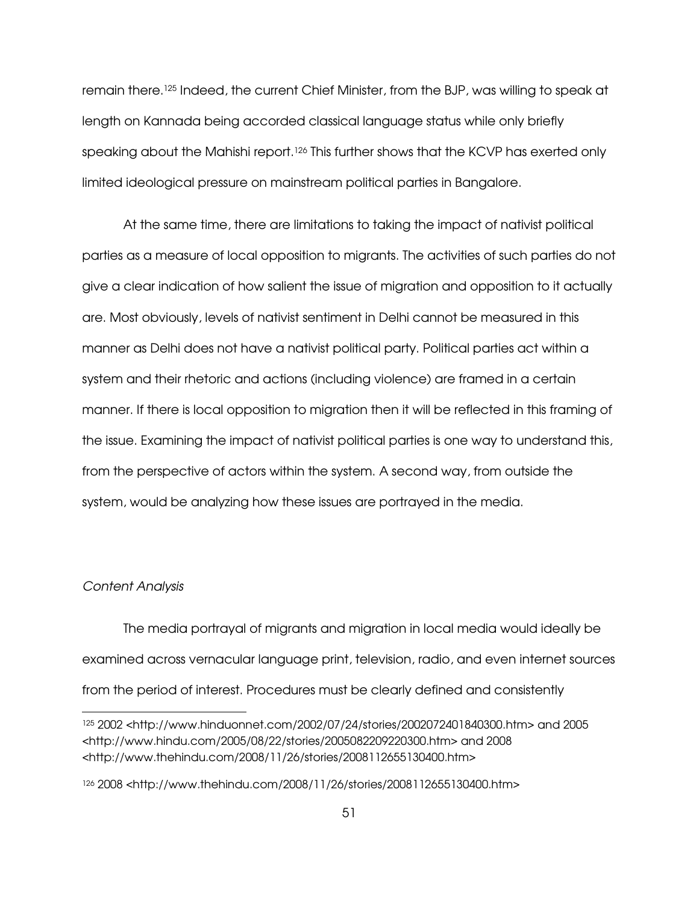remain there.125 Indeed, the current Chief Minister, from the BJP, was willing to speak at length on Kannada being accorded classical language status while only briefly speaking about the Mahishi report.<sup>126</sup> This further shows that the KCVP has exerted only limited ideological pressure on mainstream political parties in Bangalore.

 At the same time, there are limitations to taking the impact of nativist political parties as a measure of local opposition to migrants. The activities of such parties do not give a clear indication of how salient the issue of migration and opposition to it actually are. Most obviously, levels of nativist sentiment in Delhi cannot be measured in this manner as Delhi does not have a nativist political party. Political parties act within a system and their rhetoric and actions (including violence) are framed in a certain manner. If there is local opposition to migration then it will be reflected in this framing of the issue. Examining the impact of nativist political parties is one way to understand this, from the perspective of actors within the system. A second way, from outside the system, would be analyzing how these issues are portrayed in the media.

#### Content Analysis

 $\overline{a}$ 

The media portrayal of migrants and migration in local media would ideally be examined across vernacular language print, television, radio, and even internet sources from the period of interest. Procedures must be clearly defined and consistently

<sup>125</sup> 2002 <http://www.hinduonnet.com/2002/07/24/stories/2002072401840300.htm> and 2005 <http://www.hindu.com/2005/08/22/stories/2005082209220300.htm> and 2008 <http://www.thehindu.com/2008/11/26/stories/2008112655130400.htm>

<sup>126</sup> 2008 <http://www.thehindu.com/2008/11/26/stories/2008112655130400.htm>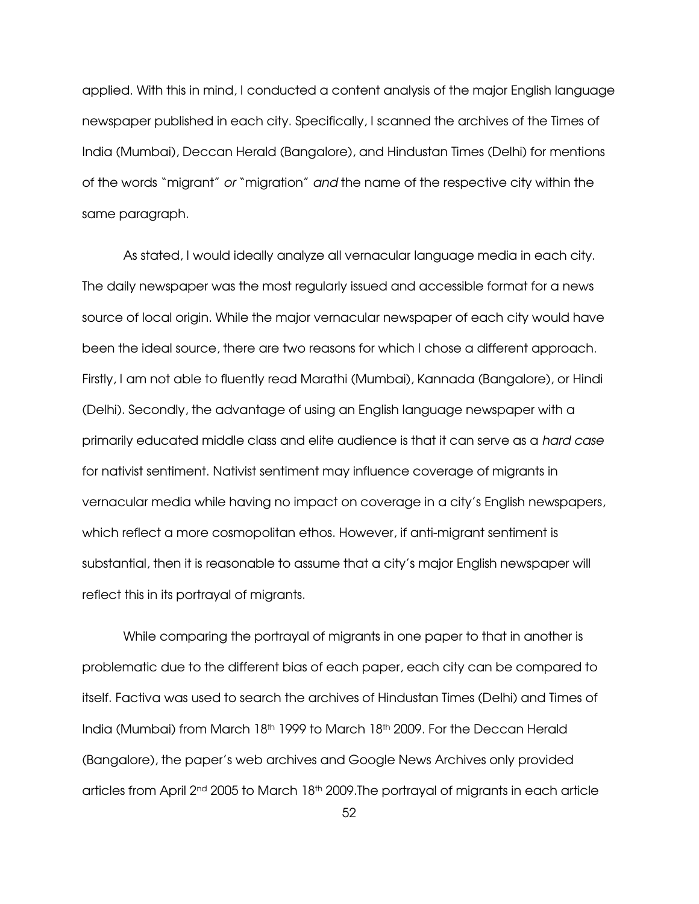applied. With this in mind, I conducted a content analysis of the major English language newspaper published in each city. Specifically, I scanned the archives of the Times of India (Mumbai), Deccan Herald (Bangalore), and Hindustan Times (Delhi) for mentions of the words "migrant" or "migration" and the name of the respective city within the same paragraph.

As stated, I would ideally analyze all vernacular language media in each city. The daily newspaper was the most regularly issued and accessible format for a news source of local origin. While the major vernacular newspaper of each city would have been the ideal source, there are two reasons for which I chose a different approach. Firstly, I am not able to fluently read Marathi (Mumbai), Kannada (Bangalore), or Hindi (Delhi). Secondly, the advantage of using an English language newspaper with a primarily educated middle class and elite audience is that it can serve as a hard case for nativist sentiment. Nativist sentiment may influence coverage of migrants in vernacular media while having no impact on coverage in a city's English newspapers, which reflect a more cosmopolitan ethos. However, if anti-migrant sentiment is substantial, then it is reasonable to assume that a city's major English newspaper will reflect this in its portrayal of migrants.

While comparing the portrayal of migrants in one paper to that in another is problematic due to the different bias of each paper, each city can be compared to itself. Factiva was used to search the archives of Hindustan Times (Delhi) and Times of India (Mumbai) from March 18<sup>th</sup> 1999 to March 18<sup>th</sup> 2009. For the Deccan Herald (Bangalore), the paper's web archives and Google News Archives only provided articles from April 2<sup>nd</sup> 2005 to March 18<sup>th</sup> 2009. The portrayal of migrants in each article

52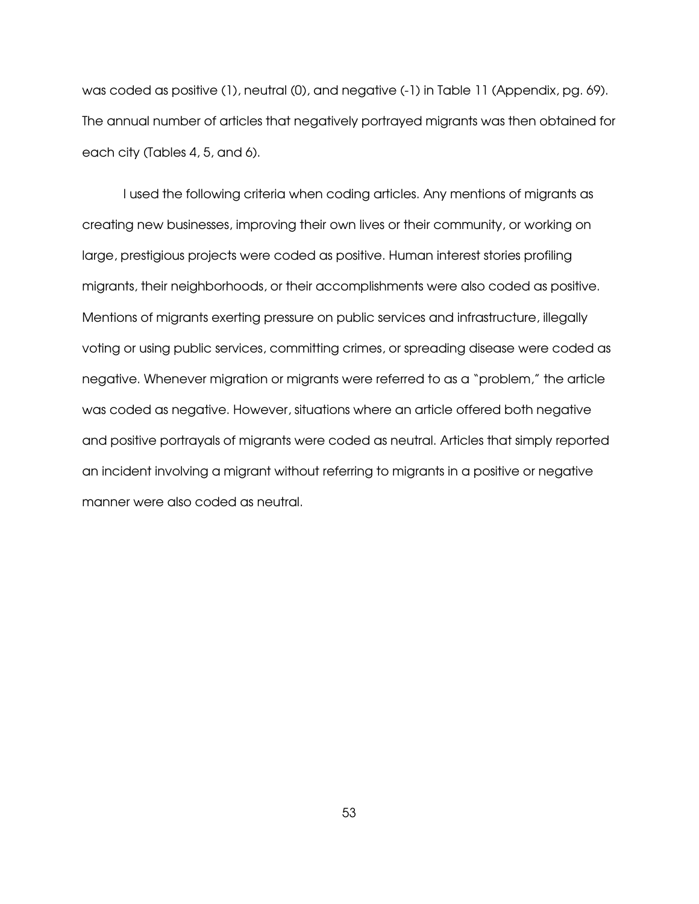was coded as positive (1), neutral (0), and negative (-1) in Table 11 (Appendix, pg. 69). The annual number of articles that negatively portrayed migrants was then obtained for each city (Tables 4, 5, and 6).

I used the following criteria when coding articles. Any mentions of migrants as creating new businesses, improving their own lives or their community, or working on large, prestigious projects were coded as positive. Human interest stories profiling migrants, their neighborhoods, or their accomplishments were also coded as positive. Mentions of migrants exerting pressure on public services and infrastructure, illegally voting or using public services, committing crimes, or spreading disease were coded as negative. Whenever migration or migrants were referred to as a "problem," the article was coded as negative. However, situations where an article offered both negative and positive portrayals of migrants were coded as neutral. Articles that simply reported an incident involving a migrant without referring to migrants in a positive or negative manner were also coded as neutral.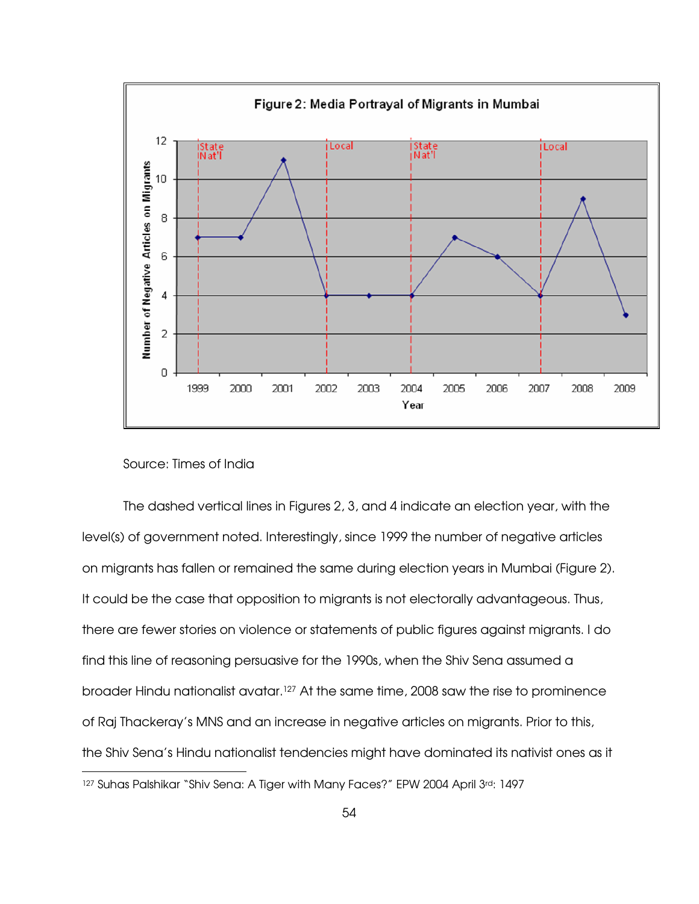

# Source: Times of India

The dashed vertical lines in Figures 2, 3, and 4 indicate an election year, with the level(s) of government noted. Interestingly, since 1999 the number of negative articles on migrants has fallen or remained the same during election years in Mumbai (Figure 2). It could be the case that opposition to migrants is not electorally advantageous. Thus, there are fewer stories on violence or statements of public figures against migrants. I do find this line of reasoning persuasive for the 1990s, when the Shiv Sena assumed a broader Hindu nationalist avatar.127 At the same time, 2008 saw the rise to prominence of Raj Thackeray's MNS and an increase in negative articles on migrants. Prior to this, the Shiv Sena's Hindu nationalist tendencies might have dominated its nativist ones as it  $\overline{a}$ 127 Suhas Palshikar "Shiv Sena: A Tiger with Many Faces?" EPW 2004 April 3rd: 1497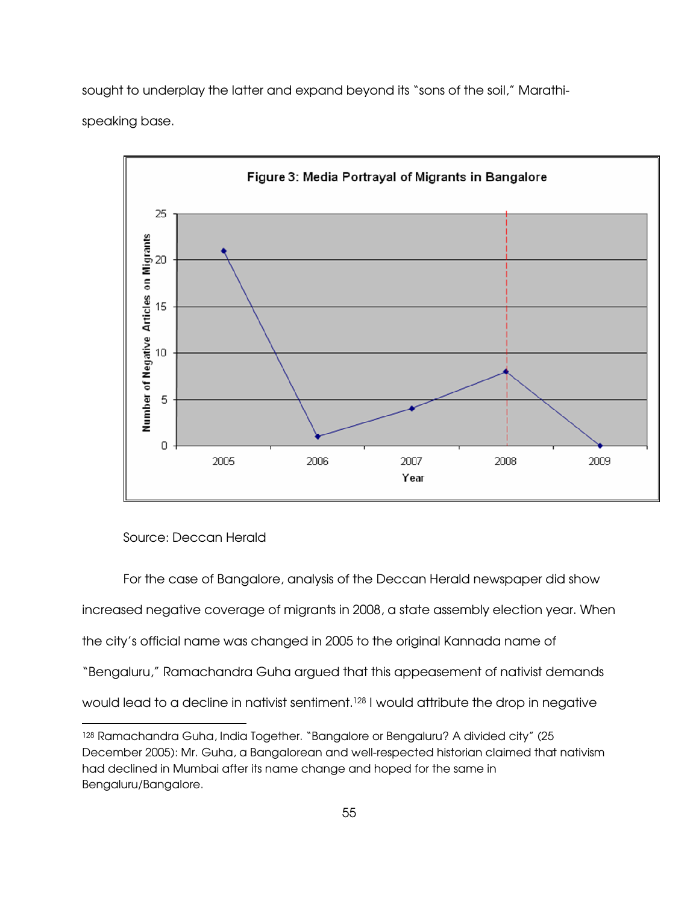sought to underplay the latter and expand beyond its "sons of the soil," Marathispeaking base.



Source: Deccan Herald

-

 For the case of Bangalore, analysis of the Deccan Herald newspaper did show increased negative coverage of migrants in 2008, a state assembly election year. When the city's official name was changed in 2005 to the original Kannada name of "Bengaluru," Ramachandra Guha argued that this appeasement of nativist demands would lead to a decline in nativist sentiment.<sup>128</sup> I would attribute the drop in negative

<sup>128</sup> Ramachandra Guha, India Together. "Bangalore or Bengaluru? A divided city" (25 December 2005): Mr. Guha, a Bangalorean and well-respected historian claimed that nativism had declined in Mumbai after its name change and hoped for the same in Bengaluru/Bangalore.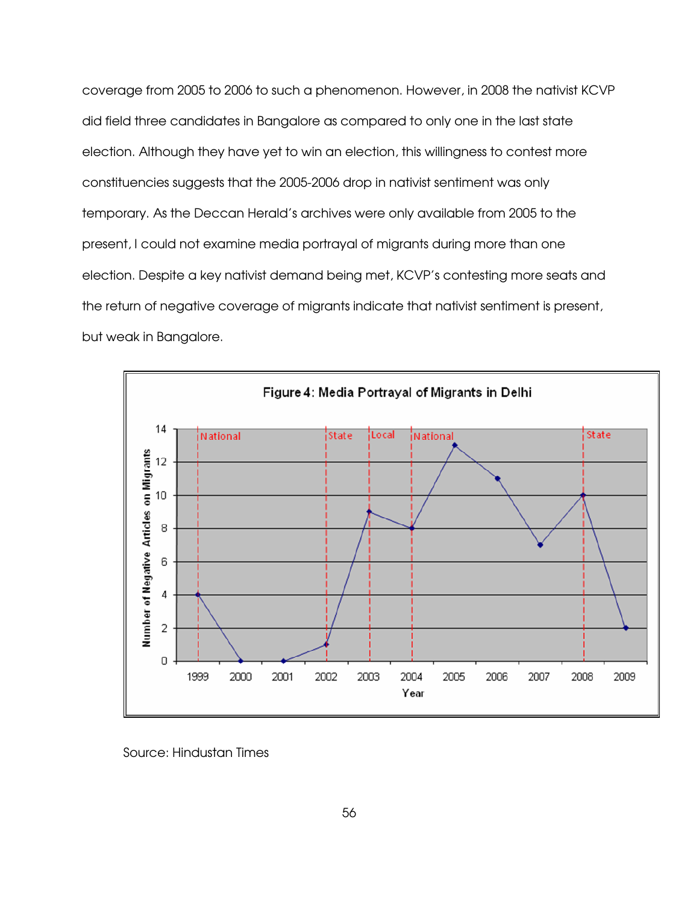coverage from 2005 to 2006 to such a phenomenon. However, in 2008 the nativist KCVP did field three candidates in Bangalore as compared to only one in the last state election. Although they have yet to win an election, this willingness to contest more constituencies suggests that the 2005-2006 drop in nativist sentiment was only temporary. As the Deccan Herald's archives were only available from 2005 to the present, I could not examine media portrayal of migrants during more than one election. Despite a key nativist demand being met, KCVP's contesting more seats and the return of negative coverage of migrants indicate that nativist sentiment is present, but weak in Bangalore.



Source: Hindustan Times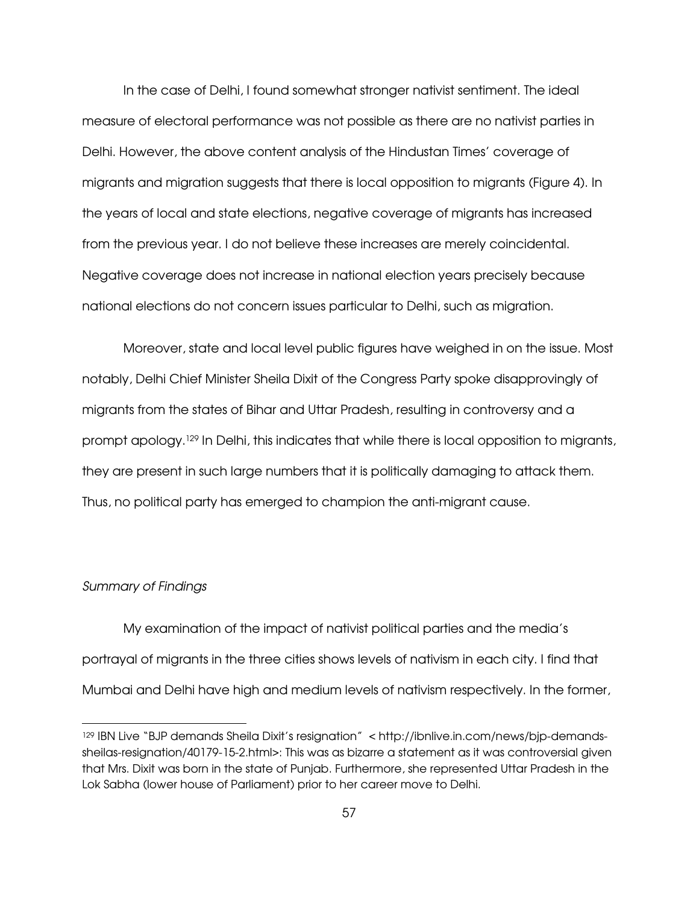In the case of Delhi, I found somewhat stronger nativist sentiment. The ideal measure of electoral performance was not possible as there are no nativist parties in Delhi. However, the above content analysis of the Hindustan Times' coverage of migrants and migration suggests that there is local opposition to migrants (Figure 4). In the years of local and state elections, negative coverage of migrants has increased from the previous year. I do not believe these increases are merely coincidental. Negative coverage does not increase in national election years precisely because national elections do not concern issues particular to Delhi, such as migration.

Moreover, state and local level public figures have weighed in on the issue. Most notably, Delhi Chief Minister Sheila Dixit of the Congress Party spoke disapprovingly of migrants from the states of Bihar and Uttar Pradesh, resulting in controversy and a prompt apology.<sup>129</sup> In Delhi, this indicates that while there is local opposition to migrants, they are present in such large numbers that it is politically damaging to attack them. Thus, no political party has emerged to champion the anti-migrant cause.

# Summary of Findings

 $\overline{a}$ 

 My examination of the impact of nativist political parties and the media's portrayal of migrants in the three cities shows levels of nativism in each city. I find that Mumbai and Delhi have high and medium levels of nativism respectively. In the former,

<sup>129</sup> IBN Live "BJP demands Sheila Dixit's resignation" < http://ibnlive.in.com/news/bjp-demandssheilas-resignation/40179-15-2.html>: This was as bizarre a statement as it was controversial given that Mrs. Dixit was born in the state of Punjab. Furthermore, she represented Uttar Pradesh in the Lok Sabha (lower house of Parliament) prior to her career move to Delhi.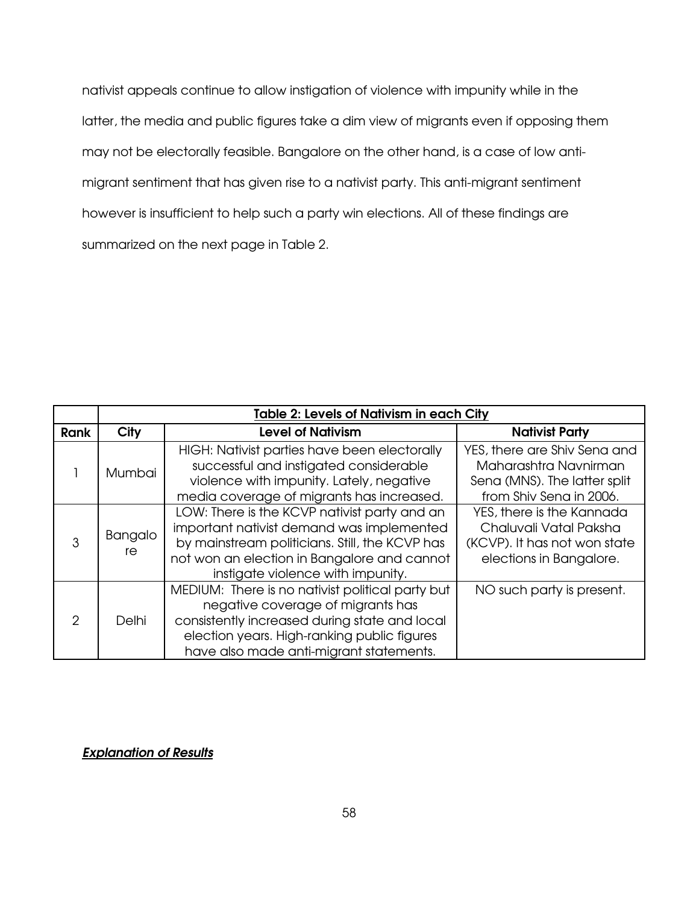nativist appeals continue to allow instigation of violence with impunity while in the latter, the media and public figures take a dim view of migrants even if opposing them may not be electorally feasible. Bangalore on the other hand, is a case of low antimigrant sentiment that has given rise to a nativist party. This anti-migrant sentiment however is insufficient to help such a party win elections. All of these findings are summarized on the next page in Table 2.

|               |               | <b>Table 2: Levels of Nativism in each City</b>                                                                                                                                                                                  |                                                                                                                  |  |  |  |
|---------------|---------------|----------------------------------------------------------------------------------------------------------------------------------------------------------------------------------------------------------------------------------|------------------------------------------------------------------------------------------------------------------|--|--|--|
| <b>Rank</b>   | City          | <b>Level of Nativism</b>                                                                                                                                                                                                         | <b>Nativist Party</b>                                                                                            |  |  |  |
|               | <b>Mumbai</b> | HIGH: Nativist parties have been electorally<br>successful and instigated considerable<br>violence with impunity. Lately, negative<br>media coverage of migrants has increased.                                                  | YES, there are Shiv Sena and<br>Maharashtra Navnirman<br>Sena (MNS). The latter split<br>from Shiv Sena in 2006. |  |  |  |
| 3             | Bangalo<br>re | LOW: There is the KCVP nativist party and an<br>important nativist demand was implemented<br>by mainstream politicians. Still, the KCVP has<br>not won an election in Bangalore and cannot<br>instigate violence with impunity.  | YES, there is the Kannada<br>Chaluvali Vatal Paksha<br>(KCVP). It has not won state<br>elections in Bangalore.   |  |  |  |
| $\mathcal{P}$ | Delhi         | MEDIUM: There is no nativist political party but<br>negative coverage of migrants has<br>consistently increased during state and local<br>election years. High-ranking public figures<br>have also made anti-migrant statements. | NO such party is present.                                                                                        |  |  |  |

# Explanation of Results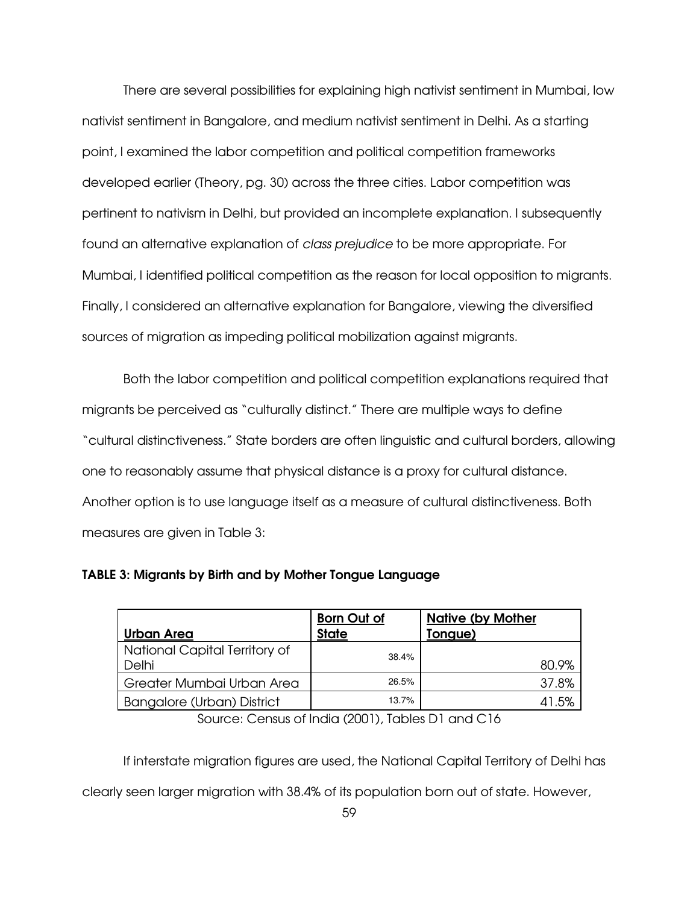There are several possibilities for explaining high nativist sentiment in Mumbai, low nativist sentiment in Bangalore, and medium nativist sentiment in Delhi. As a starting point, I examined the labor competition and political competition frameworks developed earlier (Theory, pg. 30) across the three cities. Labor competition was pertinent to nativism in Delhi, but provided an incomplete explanation. I subsequently found an alternative explanation of class prejudice to be more appropriate. For Mumbai, I identified political competition as the reason for local opposition to migrants. Finally, I considered an alternative explanation for Bangalore, viewing the diversified sources of migration as impeding political mobilization against migrants.

 Both the labor competition and political competition explanations required that migrants be perceived as "culturally distinct." There are multiple ways to define "cultural distinctiveness." State borders are often linguistic and cultural borders, allowing one to reasonably assume that physical distance is a proxy for cultural distance. Another option is to use language itself as a measure of cultural distinctiveness. Both measures are given in Table 3:

|                                        | <b>Born Out of</b> | <b>Native (by Mother</b> |
|----------------------------------------|--------------------|--------------------------|
| Urban Area                             | <b>State</b>       | Tongue)                  |
| National Capital Territory of<br>Delhi | 38.4%              | 80.9%                    |
| Greater Mumbai Urban Area              | 26.5%              | 37.8%                    |
| Bangalore (Urban) District             | 13.7%              | 41.5%                    |

TABLE 3: Migrants by Birth and by Mother Tongue Language

Source: Census of India (2001), Tables D1 and C16

 If interstate migration figures are used, the National Capital Territory of Delhi has clearly seen larger migration with 38.4% of its population born out of state. However,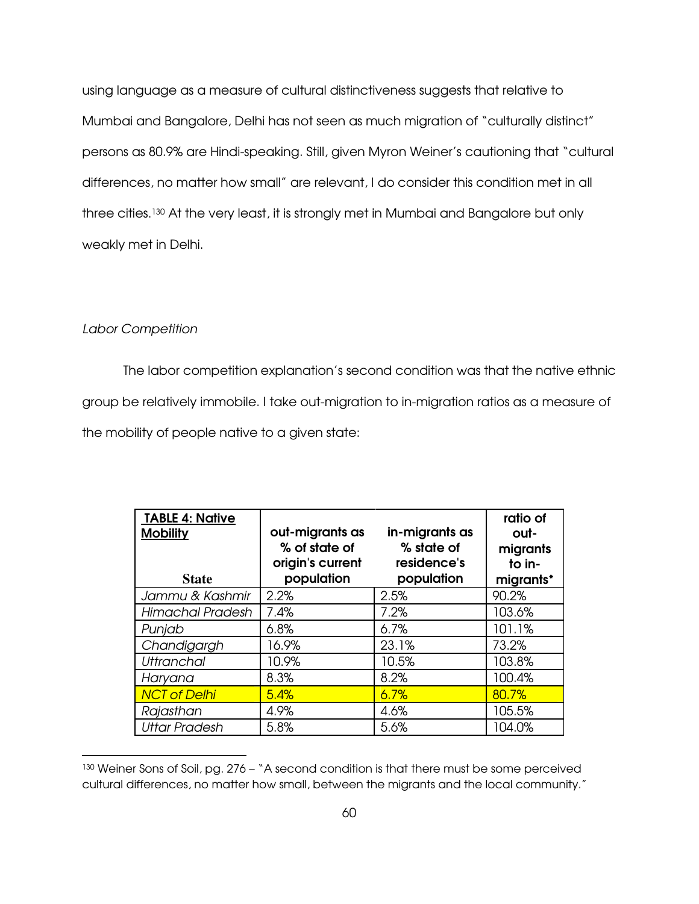using language as a measure of cultural distinctiveness suggests that relative to Mumbai and Bangalore, Delhi has not seen as much migration of "culturally distinct" persons as 80.9% are Hindi-speaking. Still, given Myron Weiner's cautioning that "cultural differences, no matter how small" are relevant, I do consider this condition met in all three cities.130 At the very least, it is strongly met in Mumbai and Bangalore but only weakly met in Delhi.

### Labor Competition

 $\overline{a}$ 

The labor competition explanation's second condition was that the native ethnic group be relatively immobile. I take out-migration to in-migration ratios as a measure of the mobility of people native to a given state:

| <b>TABLE 4: Native</b><br><b>Mobility</b> | out-migrants as<br>% of state of<br>origin's current | in-migrants as<br>% state of<br>residence's | ratio of<br>out-<br>migrants<br>to in- |
|-------------------------------------------|------------------------------------------------------|---------------------------------------------|----------------------------------------|
| <b>State</b>                              | population                                           | population                                  | migrants*                              |
| Jammu & Kashmir                           | 2.2%                                                 | 2.5%                                        | 90.2%                                  |
| Himachal Pradesh                          | 7.4%                                                 | 7.2%                                        | 103.6%                                 |
| Punjab                                    | 6.8%                                                 | 6.7%                                        | 101.1%                                 |
| Chandigargh                               | 16.9%                                                | 23.1%                                       | 73.2%                                  |
| <b>Uttranchal</b>                         | 10.9%                                                | 10.5%                                       | 103.8%                                 |
| Haryana                                   | 8.3%                                                 | 8.2%                                        | 100.4%                                 |
| <b>NCT of Delhi</b>                       | 5.4%                                                 | 6.7%                                        | 80.7%                                  |
| Rajasthan                                 | 4.9%                                                 | 4.6%                                        | 105.5%                                 |
| <b>Uttar Pradesh</b>                      | 5.8%                                                 | 5.6%                                        | 104.0%                                 |

<sup>130</sup> Weiner Sons of Soil, pg. 276 – "A second condition is that there must be some perceived cultural differences, no matter how small, between the migrants and the local community."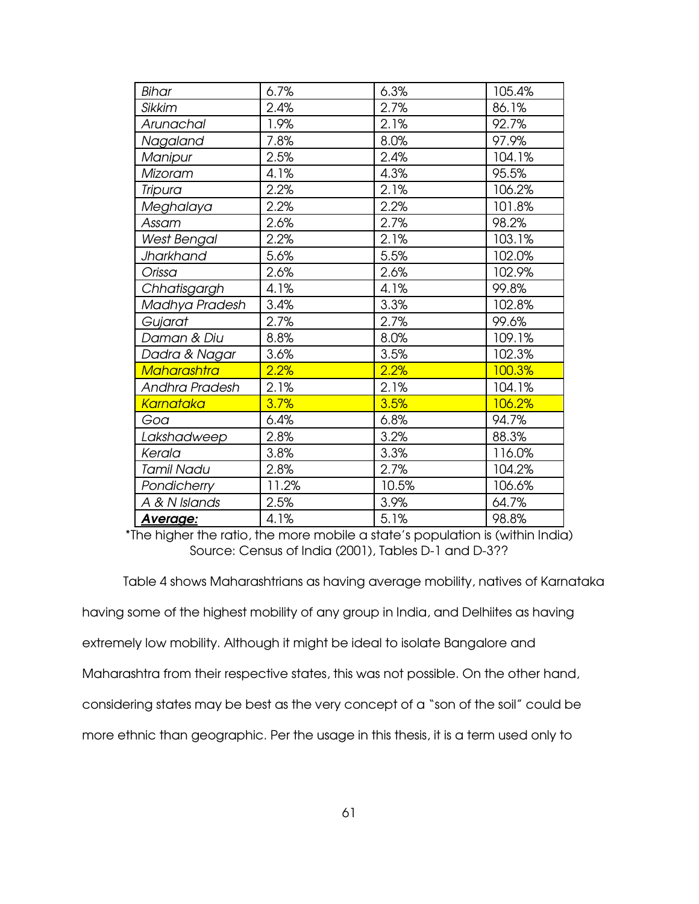| Bihar              | 6.7%  | 6.3%  | 105.4% |
|--------------------|-------|-------|--------|
| <b>Sikkim</b>      | 2.4%  | 2.7%  | 86.1%  |
| Arunachal          | 1.9%  | 2.1%  | 92.7%  |
| Nagaland           | 7.8%  | 8.0%  | 97.9%  |
| Manipur            | 2.5%  | 2.4%  | 104.1% |
| Mizoram            | 4.1%  | 4.3%  | 95.5%  |
| <b>Tripura</b>     | 2.2%  | 2.1%  | 106.2% |
| Meghalaya          | 2.2%  | 2.2%  | 101.8% |
| Assam              | 2.6%  | 2.7%  | 98.2%  |
| <b>West Bengal</b> | 2.2%  | 2.1%  | 103.1% |
| Jharkhand          | 5.6%  | 5.5%  | 102.0% |
| Orissa             | 2.6%  | 2.6%  | 102.9% |
| Chhatisgargh       | 4.1%  | 4.1%  | 99.8%  |
| Madhya Pradesh     | 3.4%  | 3.3%  | 102.8% |
| Gujarat            | 2.7%  | 2.7%  | 99.6%  |
| Daman & Diu        | 8.8%  | 8.0%  | 109.1% |
| Dadra & Nagar      | 3.6%  | 3.5%  | 102.3% |
| <b>Maharashtra</b> | 2.2%  | 2.2%  | 100.3% |
| Andhra Pradesh     | 2.1%  | 2.1%  | 104.1% |
| <b>Karnataka</b>   | 3.7%  | 3.5%  | 106.2% |
| Goa                | 6.4%  | 6.8%  | 94.7%  |
| Lakshadweep        | 2.8%  | 3.2%  | 88.3%  |
| Kerala             | 3.8%  | 3.3%  | 116.0% |
| <b>Tamil Nadu</b>  | 2.8%  | 2.7%  | 104.2% |
| Pondicherry        | 11.2% | 10.5% | 106.6% |
| A & N Islands      | 2.5%  | 3.9%  | 64.7%  |
| Average:           | 4.1%  | 5.1%  | 98.8%  |

\*The higher the ratio, the more mobile a state's population is (within India) Source: Census of India (2001), Tables D-1 and D-3??

Table 4 shows Maharashtrians as having average mobility, natives of Karnataka

having some of the highest mobility of any group in India, and Delhiites as having

extremely low mobility. Although it might be ideal to isolate Bangalore and

Maharashtra from their respective states, this was not possible. On the other hand,

considering states may be best as the very concept of a "son of the soil" could be

more ethnic than geographic. Per the usage in this thesis, it is a term used only to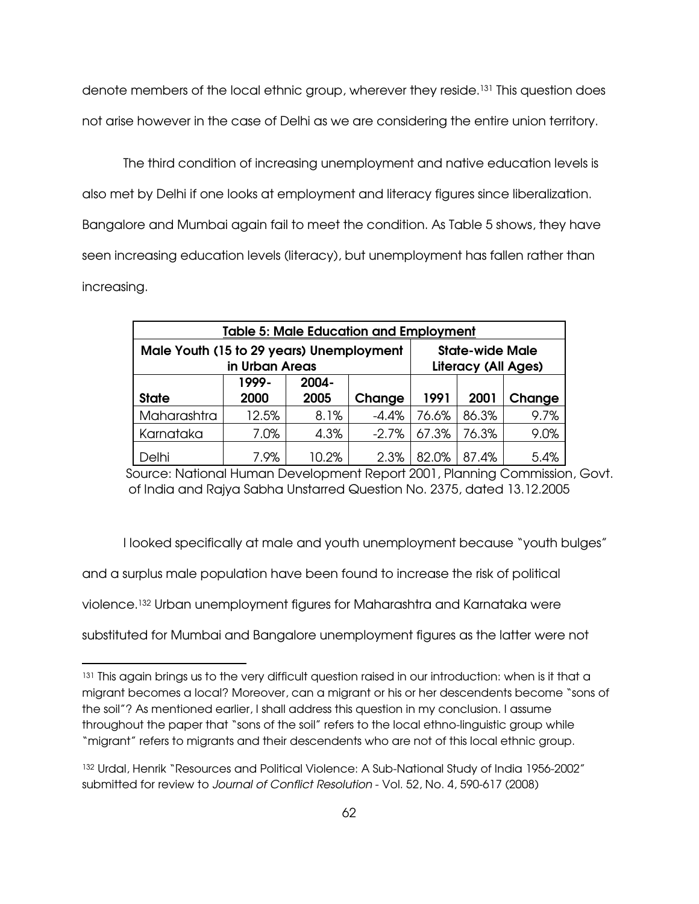denote members of the local ethnic group, wherever they reside.131 This question does not arise however in the case of Delhi as we are considering the entire union territory.

 The third condition of increasing unemployment and native education levels is also met by Delhi if one looks at employment and literacy figures since liberalization. Bangalore and Mumbai again fail to meet the condition. As Table 5 shows, they have seen increasing education levels (literacy), but unemployment has fallen rather than increasing.

| <b>Table 5: Male Education and Employment</b>                              |       |                                                      |         |       |        |      |  |
|----------------------------------------------------------------------------|-------|------------------------------------------------------|---------|-------|--------|------|--|
| Male Youth (15 to 29 years) Unemployment                                   |       | <b>State-wide Male</b><br><b>Literacy (All Ages)</b> |         |       |        |      |  |
| in Urban Areas<br>1999-<br>2004-<br><b>State</b><br>2000<br>2005<br>Change |       |                                                      | 1991    | 2001  | Change |      |  |
| Maharashtra                                                                | 12.5% | 8.1%                                                 | $-4.4%$ | 76.6% | 86.3%  | 9.7% |  |
| Karnataka                                                                  | 7.0%  | 4.3%                                                 | $-2.7%$ | 67.3% | 76.3%  | 9.0% |  |
| Delhi                                                                      | 7.9%  | 10.2%                                                | 2.3%    | 82.0% | 87.4%  | 5.4% |  |

Source: National Human Development Report 2001, Planning Commission, Govt. of India and Rajya Sabha Unstarred Question No. 2375, dated 13.12.2005

I looked specifically at male and youth unemployment because "youth bulges"

and a surplus male population have been found to increase the risk of political

violence.132 Urban unemployment figures for Maharashtra and Karnataka were

-

substituted for Mumbai and Bangalore unemployment figures as the latter were not

<sup>131</sup> This again brings us to the very difficult question raised in our introduction: when is it that a migrant becomes a local? Moreover, can a migrant or his or her descendents become "sons of the soil"? As mentioned earlier, I shall address this question in my conclusion. I assume throughout the paper that "sons of the soil" refers to the local ethno-linguistic group while "migrant" refers to migrants and their descendents who are not of this local ethnic group.

<sup>132</sup> Urdal, Henrik "Resources and Political Violence: A Sub-National Study of India 1956-2002" submitted for review to Journal of Conflict Resolution - Vol. 52, No. 4, 590-617 (2008)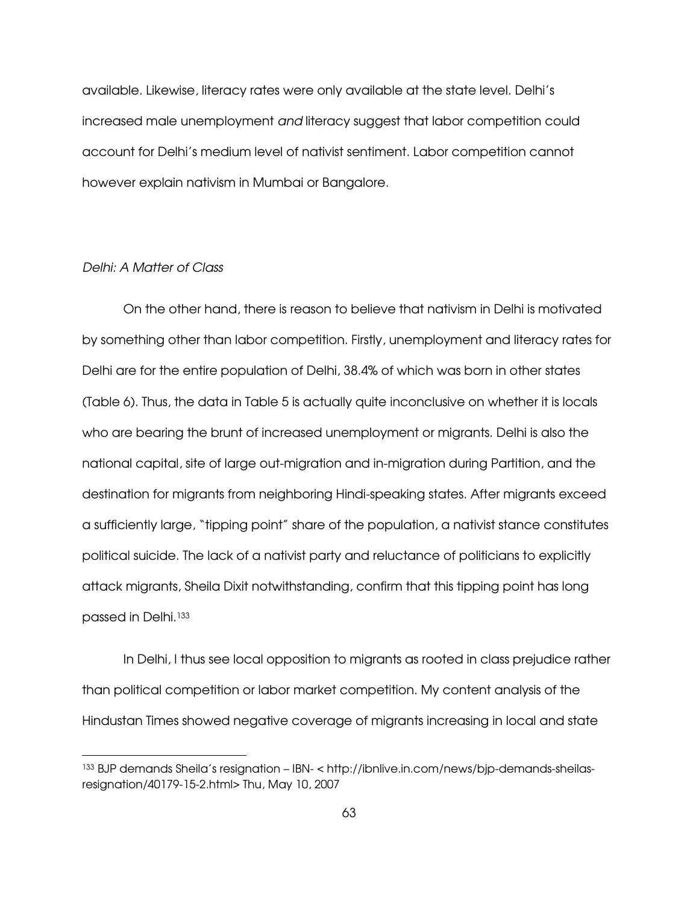available. Likewise, literacy rates were only available at the state level. Delhi's increased male unemployment and literacy suggest that labor competition could account for Delhi's medium level of nativist sentiment. Labor competition cannot however explain nativism in Mumbai or Bangalore.

#### Delhi: A Matter of Class

-

On the other hand, there is reason to believe that nativism in Delhi is motivated by something other than labor competition. Firstly, unemployment and literacy rates for Delhi are for the entire population of Delhi, 38.4% of which was born in other states (Table 6). Thus, the data in Table 5 is actually quite inconclusive on whether it is locals who are bearing the brunt of increased unemployment or migrants. Delhi is also the national capital, site of large out-migration and in-migration during Partition, and the destination for migrants from neighboring Hindi-speaking states. After migrants exceed a sufficiently large, "tipping point" share of the population, a nativist stance constitutes political suicide. The lack of a nativist party and reluctance of politicians to explicitly attack migrants, Sheila Dixit notwithstanding, confirm that this tipping point has long passed in Delhi.<sup>133</sup>

In Delhi, I thus see local opposition to migrants as rooted in class prejudice rather than political competition or labor market competition. My content analysis of the Hindustan Times showed negative coverage of migrants increasing in local and state

<sup>133</sup> BJP demands Sheila's resignation – IBN- < http://ibnlive.in.com/news/bjp-demands-sheilasresignation/40179-15-2.html> Thu, May 10, 2007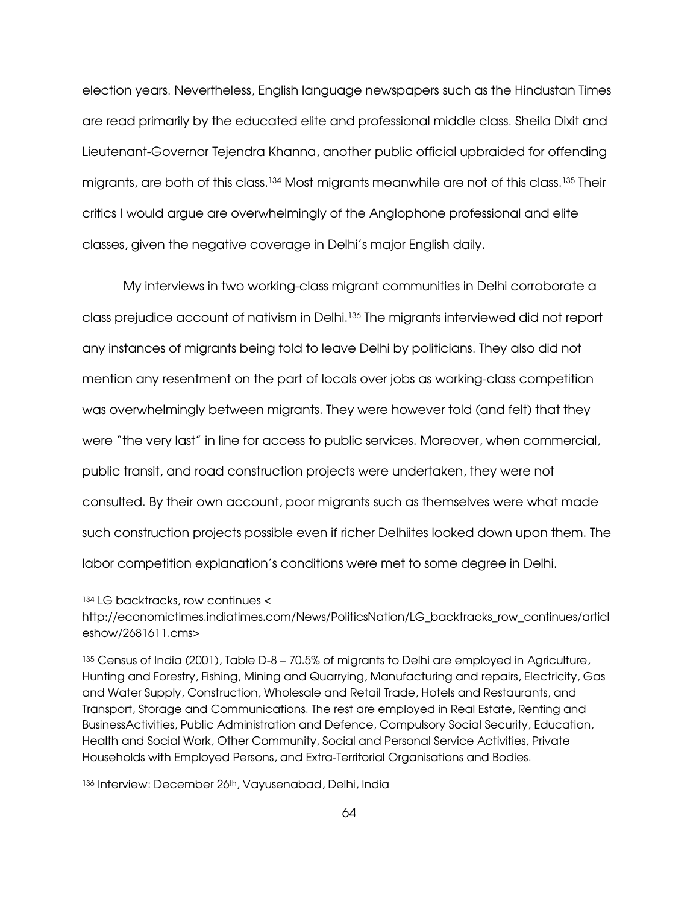election years. Nevertheless, English language newspapers such as the Hindustan Times are read primarily by the educated elite and professional middle class. Sheila Dixit and Lieutenant-Governor Tejendra Khanna, another public official upbraided for offending migrants, are both of this class.134 Most migrants meanwhile are not of this class.135 Their critics I would argue are overwhelmingly of the Anglophone professional and elite classes, given the negative coverage in Delhi's major English daily.

My interviews in two working-class migrant communities in Delhi corroborate a class prejudice account of nativism in Delhi.136 The migrants interviewed did not report any instances of migrants being told to leave Delhi by politicians. They also did not mention any resentment on the part of locals over jobs as working-class competition was overwhelmingly between migrants. They were however told (and felt) that they were "the very last" in line for access to public services. Moreover, when commercial, public transit, and road construction projects were undertaken, they were not consulted. By their own account, poor migrants such as themselves were what made such construction projects possible even if richer Delhiites looked down upon them. The labor competition explanation's conditions were met to some degree in Delhi.

 $\overline{a}$ 

<sup>134</sup> LG backtracks, row continues <

http://economictimes.indiatimes.com/News/PoliticsNation/LG\_backtracks\_row\_continues/articl eshow/2681611.cms>

<sup>135</sup> Census of India (2001), Table D-8 – 70.5% of migrants to Delhi are employed in Agriculture, Hunting and Forestry, Fishing, Mining and Quarrying, Manufacturing and repairs, Electricity, Gas and Water Supply, Construction, Wholesale and Retail Trade, Hotels and Restaurants, and Transport, Storage and Communications. The rest are employed in Real Estate, Renting and BusinessActivities, Public Administration and Defence, Compulsory Social Security, Education, Health and Social Work, Other Community, Social and Personal Service Activities, Private Households with Employed Persons, and Extra-Territorial Organisations and Bodies.

<sup>136</sup> Interview: December 26th, Vayusenabad, Delhi, India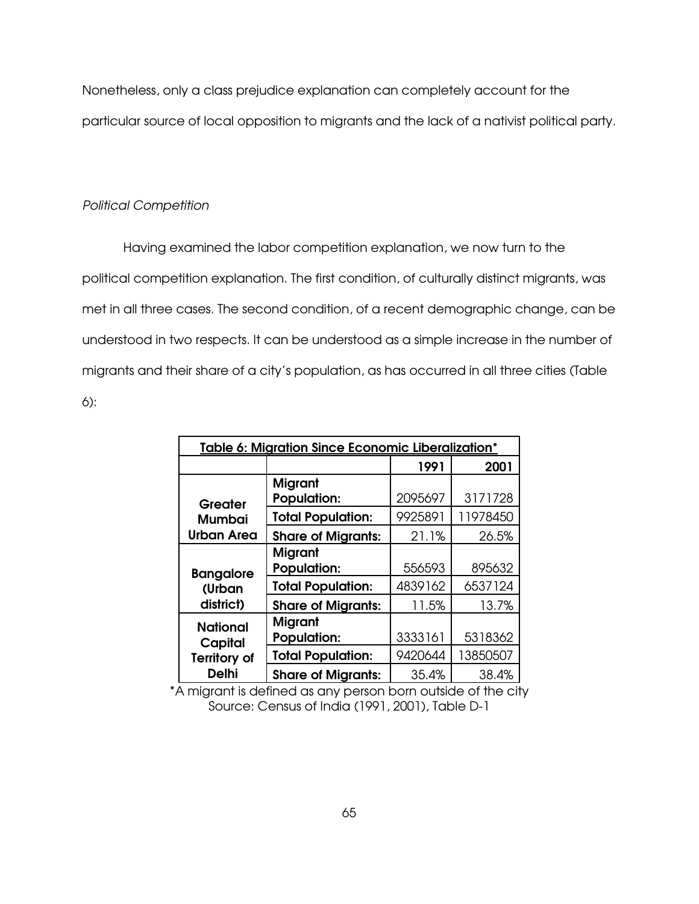Nonetheless, only a class prejudice explanation can completely account for the particular source of local opposition to migrants and the lack of a nativist political party.

#### Political Competition

 Having examined the labor competition explanation, we now turn to the political competition explanation. The first condition, of culturally distinct migrants, was met in all three cases. The second condition, of a recent demographic change, can be understood in two respects. It can be understood as a simple increase in the number of migrants and their share of a city's population, as has occurred in all three cities (Table 6):

| Table 6: Migration Since Economic Liberalization* |                                      |         |          |  |  |
|---------------------------------------------------|--------------------------------------|---------|----------|--|--|
|                                                   | 2001                                 |         |          |  |  |
| Greater                                           | <b>Migrant</b><br><b>Population:</b> | 2095697 | 3171728  |  |  |
| <b>Mumbai</b>                                     | <b>Total Population:</b>             | 9925891 | 11978450 |  |  |
| <b>Urban Area</b>                                 | <b>Share of Migrants:</b>            | 21.1%   | 26.5%    |  |  |
|                                                   | <b>Migrant</b>                       |         |          |  |  |
| <b>Bangalore</b>                                  | <b>Population:</b>                   | 556593  | 895632   |  |  |
| (Urban                                            | <b>Total Population:</b>             | 4839162 | 6537124  |  |  |
| district)                                         | <b>Share of Migrants:</b>            | 11.5%   | 13.7%    |  |  |
| <b>National</b><br>Capital                        | <b>Migrant</b><br><b>Population:</b> | 3333161 | 5318362  |  |  |
| <b>Territory of</b>                               | <b>Total Population:</b>             | 9420644 | 13850507 |  |  |
| <b>Delhi</b>                                      | <b>Share of Migrants:</b>            | 35.4%   | 38.4%    |  |  |

\*A migrant is defined as any person born outside of the city Source: Census of India (1991, 2001), Table D-1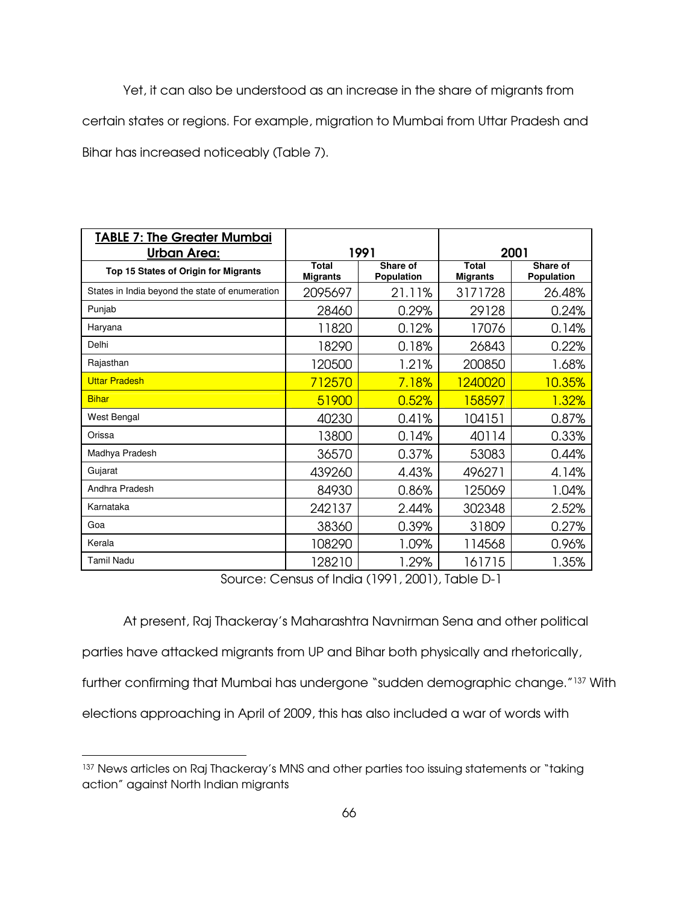Yet, it can also be understood as an increase in the share of migrants from certain states or regions. For example, migration to Mumbai from Uttar Pradesh and Bihar has increased noticeably (Table 7).

| <b>TABLE 7: The Greater Mumbai</b><br><b>Urban Area:</b> | 1991                     |                               | 2001                     |                        |
|----------------------------------------------------------|--------------------------|-------------------------------|--------------------------|------------------------|
| Top 15 States of Origin for Migrants                     | Total<br><b>Migrants</b> | Share of<br><b>Population</b> | Total<br><b>Migrants</b> | Share of<br>Population |
| States in India beyond the state of enumeration          | 2095697                  | 21.11%                        | 3171728                  | 26,48%                 |
| Punjab                                                   | 28460                    | 0.29%                         | 29128                    | 0.24%                  |
| Haryana                                                  | 11820                    | 0.12%                         | 17076                    | 0.14%                  |
| Delhi                                                    | 18290                    | 0.18%                         | 26843                    | 0.22%                  |
| Rajasthan                                                | 120500                   | 1.21%                         | 200850                   | 1.68%                  |
| <b>Uttar Pradesh</b>                                     | 712570                   | 7.18%                         | 1240020                  | 10.35%                 |
| <b>Bihar</b>                                             | 51900                    | 0.52%                         | 158597                   | 1.32%                  |
| West Bengal                                              | 40230                    | 0.41%                         | 104151                   | 0.87%                  |
| Orissa                                                   | 13800                    | 0.14%                         | 40114                    | 0.33%                  |
| Madhya Pradesh                                           | 36570                    | 0.37%                         | 53083                    | 0.44%                  |
| Gujarat                                                  | 439260                   | 4.43%                         | 496271                   | 4.14%                  |
| Andhra Pradesh                                           | 84930                    | 0.86%                         | 125069                   | 1.04%                  |
| Karnataka                                                | 242137                   | 2.44%                         | 302348                   | 2.52%                  |
| Goa                                                      | 38360                    | 0.39%                         | 31809                    | 0.27%                  |
| Kerala                                                   | 108290                   | 1.09%                         | 114568                   | 0.96%                  |
| <b>Tamil Nadu</b>                                        | 128210                   | 1.29%                         | 161715                   | 1.35%                  |

Source: Census of India (1991, 2001), Table D-1

 At present, Raj Thackeray's Maharashtra Navnirman Sena and other political parties have attacked migrants from UP and Bihar both physically and rhetorically, further confirming that Mumbai has undergone "sudden demographic change."137 With elections approaching in April of 2009, this has also included a war of words with

-

<sup>137</sup> News articles on Raj Thackeray's MNS and other parties too issuing statements or "taking action" against North Indian migrants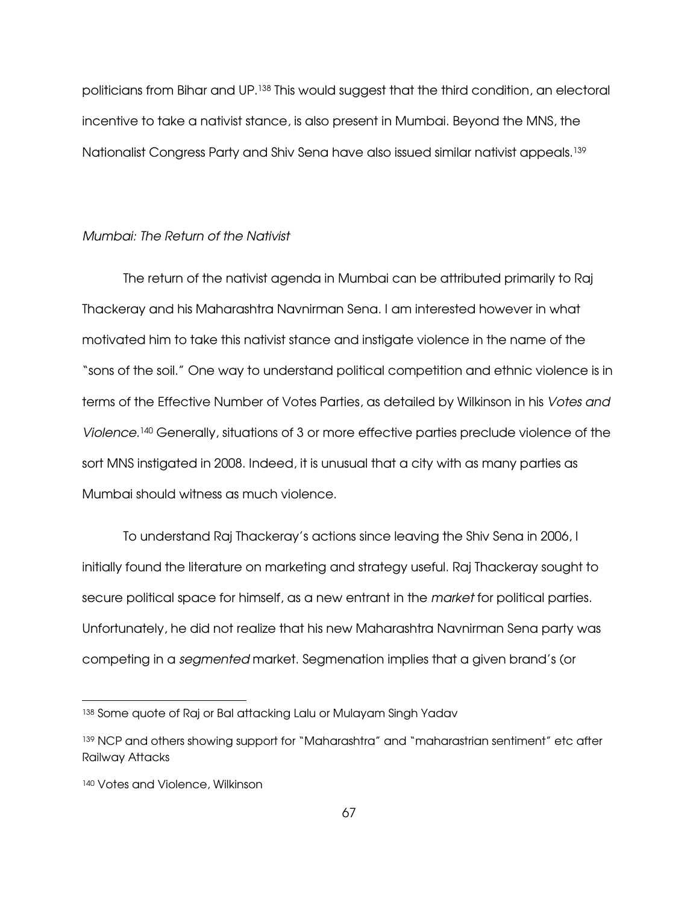politicians from Bihar and UP.138 This would suggest that the third condition, an electoral incentive to take a nativist stance, is also present in Mumbai. Beyond the MNS, the Nationalist Congress Party and Shiv Sena have also issued similar nativist appeals.<sup>139</sup>

#### Mumbai: The Return of the Nativist

The return of the nativist agenda in Mumbai can be attributed primarily to Raj Thackeray and his Maharashtra Navnirman Sena. I am interested however in what motivated him to take this nativist stance and instigate violence in the name of the "sons of the soil." One way to understand political competition and ethnic violence is in terms of the Effective Number of Votes Parties, as detailed by Wilkinson in his Votes and Violence. <sup>140</sup> Generally, situations of 3 or more effective parties preclude violence of the sort MNS instigated in 2008. Indeed, it is unusual that a city with as many parties as Mumbai should witness as much violence.

To understand Raj Thackeray's actions since leaving the Shiv Sena in 2006, I initially found the literature on marketing and strategy useful. Raj Thackeray sought to secure political space for himself, as a new entrant in the *market* for political parties. Unfortunately, he did not realize that his new Maharashtra Navnirman Sena party was competing in a segmented market. Segmenation implies that a given brand's (or

-

<sup>138</sup> Some quote of Raj or Bal attacking Lalu or Mulayam Singh Yadav

<sup>&</sup>lt;sup>139</sup> NCP and others showing support for "Maharashtra" and "maharastrian sentiment" etc after Railway Attacks

<sup>140</sup> Votes and Violence, Wilkinson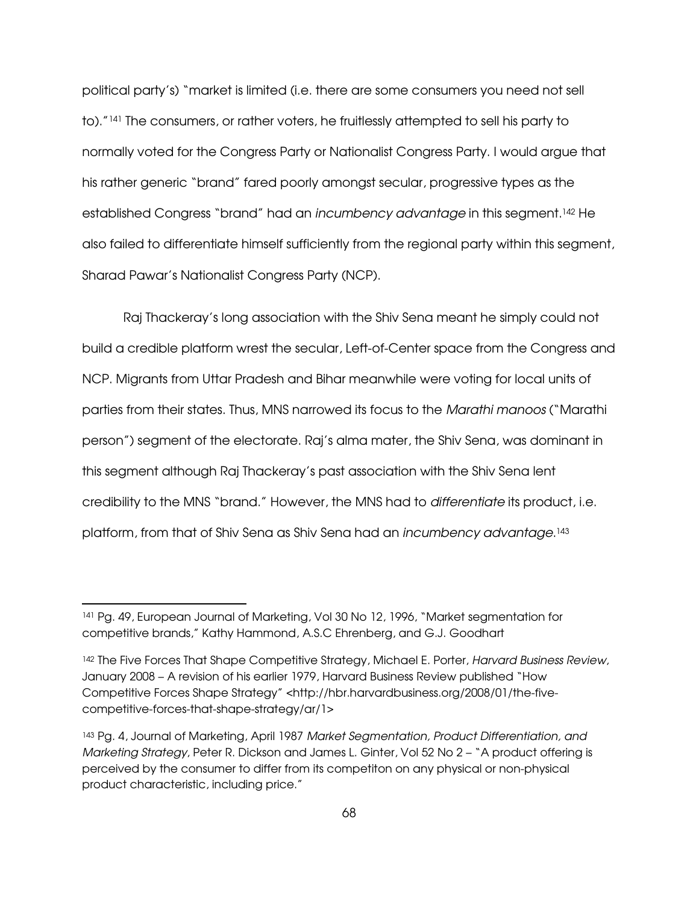political party's) "market is limited (i.e. there are some consumers you need not sell to)."141 The consumers, or rather voters, he fruitlessly attempted to sell his party to normally voted for the Congress Party or Nationalist Congress Party. I would argue that his rather generic "brand" fared poorly amongst secular, progressive types as the established Congress "brand" had an incumbency advantage in this segment.142 He also failed to differentiate himself sufficiently from the regional party within this segment, Sharad Pawar's Nationalist Congress Party (NCP).

Raj Thackeray's long association with the Shiv Sena meant he simply could not build a credible platform wrest the secular, Left-of-Center space from the Congress and NCP. Migrants from Uttar Pradesh and Bihar meanwhile were voting for local units of parties from their states. Thus, MNS narrowed its focus to the Marathi manoos ("Marathi person") segment of the electorate. Raj's alma mater, the Shiv Sena, was dominant in this segment although Raj Thackeray's past association with the Shiv Sena lent credibility to the MNS "brand." However, the MNS had to differentiate its product, i.e. platform, from that of Shiv Sena as Shiv Sena had an *incumbency advantage*.143

 $\overline{a}$ 

<sup>141</sup> Pg. 49, European Journal of Marketing, Vol 30 No 12, 1996, "Market segmentation for competitive brands," Kathy Hammond, A.S.C Ehrenberg, and G.J. Goodhart

<sup>&</sup>lt;sup>142</sup> The Five Forces That Shape Competitive Strategy, Michael E. Porter, Harvard Business Review, January 2008 – A revision of his earlier 1979, Harvard Business Review published "How Competitive Forces Shape Strategy" <http://hbr.harvardbusiness.org/2008/01/the-fivecompetitive-forces-that-shape-strategy/ar/1>

<sup>143</sup> Pg. 4, Journal of Marketing, April 1987 Market Segmentation, Product Differentiation, and Marketing Strategy, Peter R. Dickson and James L. Ginter, Vol 52 No 2 – "A product offering is perceived by the consumer to differ from its competiton on any physical or non-physical product characteristic, including price."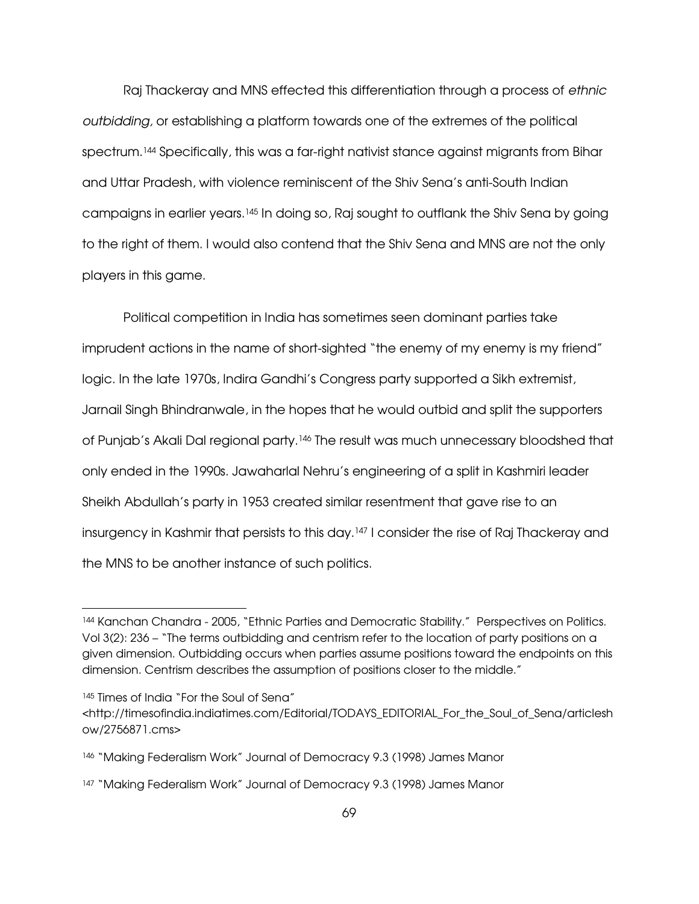Raj Thackeray and MNS effected this differentiation through a process of ethnic outbidding, or establishing a platform towards one of the extremes of the political spectrum.<sup>144</sup> Specifically, this was a far-right nativist stance against migrants from Bihar and Uttar Pradesh, with violence reminiscent of the Shiv Sena's anti-South Indian campaigns in earlier years.145 In doing so, Raj sought to outflank the Shiv Sena by going to the right of them. I would also contend that the Shiv Sena and MNS are not the only players in this game.

 Political competition in India has sometimes seen dominant parties take imprudent actions in the name of short-sighted "the enemy of my enemy is my friend" logic. In the late 1970s, Indira Gandhi's Congress party supported a Sikh extremist, Jarnail Singh Bhindranwale, in the hopes that he would outbid and split the supporters of Punjab's Akali Dal regional party.146 The result was much unnecessary bloodshed that only ended in the 1990s. Jawaharlal Nehru's engineering of a split in Kashmiri leader Sheikh Abdullah's party in 1953 created similar resentment that gave rise to an insurgency in Kashmir that persists to this day.147 I consider the rise of Raj Thackeray and the MNS to be another instance of such politics.

 $\overline{a}$ 

<sup>144</sup> Kanchan Chandra - 2005, "Ethnic Parties and Democratic Stability." Perspectives on Politics. Vol 3(2): 236 – "The terms outbidding and centrism refer to the location of party positions on a given dimension. Outbidding occurs when parties assume positions toward the endpoints on this dimension. Centrism describes the assumption of positions closer to the middle."

<sup>145</sup> Times of India "For the Soul of Sena"

<sup>&</sup>lt;http://timesofindia.indiatimes.com/Editorial/TODAYS\_EDITORIAL\_For\_the\_Soul\_of\_Sena/articlesh ow/2756871.cms>

<sup>146 &</sup>quot;Making Federalism Work" Journal of Democracy 9.3 (1998) James Manor

<sup>147 &</sup>quot;Making Federalism Work" Journal of Democracy 9.3 (1998) James Manor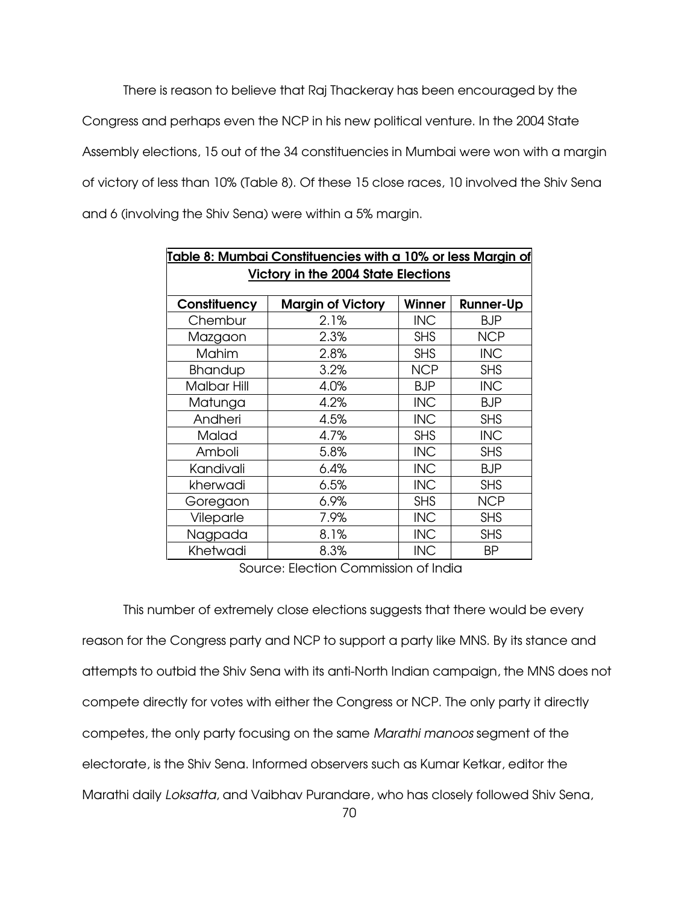There is reason to believe that Raj Thackeray has been encouraged by the Congress and perhaps even the NCP in his new political venture. In the 2004 State Assembly elections, 15 out of the 34 constituencies in Mumbai were won with a margin of victory of less than 10% (Table 8). Of these 15 close races, 10 involved the Shiv Sena and 6 (involving the Shiv Sena) were within a 5% margin.

|                                            | <u>Table 8: Mumbai Constituencies with a 10% or less Margin of</u> |            |                  |  |  |  |  |
|--------------------------------------------|--------------------------------------------------------------------|------------|------------------|--|--|--|--|
| <b>Victory in the 2004 State Elections</b> |                                                                    |            |                  |  |  |  |  |
|                                            |                                                                    |            |                  |  |  |  |  |
| Constituency                               | <b>Margin of Victory</b>                                           | Winner     | <b>Runner-Up</b> |  |  |  |  |
| Chembur                                    | 2.1%                                                               | <b>INC</b> | <b>BJP</b>       |  |  |  |  |
| Mazgaon                                    | 2.3%                                                               | <b>SHS</b> | <b>NCP</b>       |  |  |  |  |
| <b>Mahim</b>                               | 2.8%                                                               | <b>SHS</b> | <b>INC</b>       |  |  |  |  |
| <b>Bhandup</b>                             | 3.2%                                                               | <b>NCP</b> | <b>SHS</b>       |  |  |  |  |
| <b>Malbar Hill</b>                         | 4.0%                                                               | <b>BJP</b> | <b>INC</b>       |  |  |  |  |
| Matunga                                    | 4.2%                                                               | <b>INC</b> | <b>BJP</b>       |  |  |  |  |
| Andheri                                    | 4.5%                                                               | <b>INC</b> | <b>SHS</b>       |  |  |  |  |
| Malad                                      | 4.7%                                                               | <b>SHS</b> | <b>INC</b>       |  |  |  |  |
| Amboli                                     | 5.8%                                                               | <b>INC</b> | <b>SHS</b>       |  |  |  |  |
| Kandivali                                  | 6.4%                                                               | <b>INC</b> | <b>BJP</b>       |  |  |  |  |
| kherwadi                                   | 6.5%                                                               | <b>INC</b> | <b>SHS</b>       |  |  |  |  |
| Goregaon                                   | 6.9%                                                               | <b>SHS</b> | <b>NCP</b>       |  |  |  |  |
| Vileparle                                  | 7.9%                                                               | <b>INC</b> | <b>SHS</b>       |  |  |  |  |
| Nagpada                                    | 8.1%                                                               | <b>INC</b> | <b>SHS</b>       |  |  |  |  |
| Khetwadi                                   | 8.3%                                                               | <b>INC</b> | BP               |  |  |  |  |

Source: Election Commission of India

 This number of extremely close elections suggests that there would be every reason for the Congress party and NCP to support a party like MNS. By its stance and attempts to outbid the Shiv Sena with its anti-North Indian campaign, the MNS does not compete directly for votes with either the Congress or NCP. The only party it directly competes, the only party focusing on the same Marathi manoos segment of the electorate, is the Shiv Sena. Informed observers such as Kumar Ketkar, editor the Marathi daily Loksatta, and Vaibhav Purandare, who has closely followed Shiv Sena,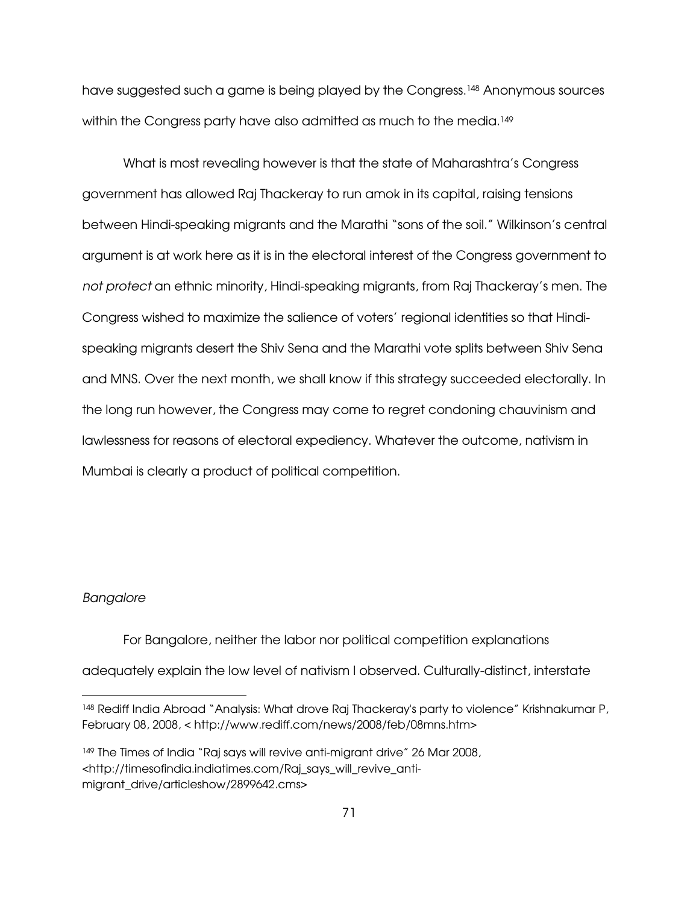have suggested such a game is being played by the Congress.148 Anonymous sources within the Congress party have also admitted as much to the media.<sup>149</sup>

 What is most revealing however is that the state of Maharashtra's Congress government has allowed Raj Thackeray to run amok in its capital, raising tensions between Hindi-speaking migrants and the Marathi "sons of the soil." Wilkinson's central argument is at work here as it is in the electoral interest of the Congress government to not protect an ethnic minority, Hindi-speaking migrants, from Raj Thackeray's men. The Congress wished to maximize the salience of voters' regional identities so that Hindispeaking migrants desert the Shiv Sena and the Marathi vote splits between Shiv Sena and MNS. Over the next month, we shall know if this strategy succeeded electorally. In the long run however, the Congress may come to regret condoning chauvinism and lawlessness for reasons of electoral expediency. Whatever the outcome, nativism in Mumbai is clearly a product of political competition.

## Bangalore

 $\overline{a}$ 

For Bangalore, neither the labor nor political competition explanations

adequately explain the low level of nativism I observed. Culturally-distinct, interstate

<sup>148</sup> Rediff India Abroad "Analysis: What drove Raj Thackeray's party to violence" Krishnakumar P, February 08, 2008, < http://www.rediff.com/news/2008/feb/08mns.htm>

<sup>&</sup>lt;sup>149</sup> The Times of India "Raj says will revive anti-migrant drive" 26 Mar 2008, <http://timesofindia.indiatimes.com/Raj\_says\_will\_revive\_antimigrant\_drive/articleshow/2899642.cms>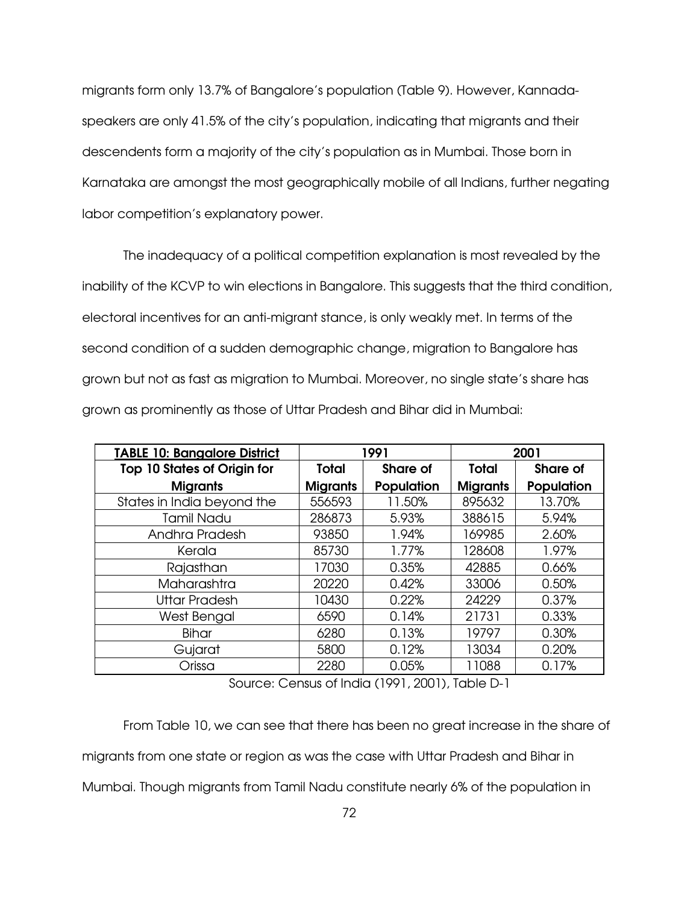migrants form only 13.7% of Bangalore's population (Table 9). However, Kannadaspeakers are only 41.5% of the city's population, indicating that migrants and their descendents form a majority of the city's population as in Mumbai. Those born in Karnataka are amongst the most geographically mobile of all Indians, further negating labor competition's explanatory power.

The inadequacy of a political competition explanation is most revealed by the inability of the KCVP to win elections in Bangalore. This suggests that the third condition, electoral incentives for an anti-migrant stance, is only weakly met. In terms of the second condition of a sudden demographic change, migration to Bangalore has grown but not as fast as migration to Mumbai. Moreover, no single state's share has grown as prominently as those of Uttar Pradesh and Bihar did in Mumbai:

| <b>TABLE 10: Bangalore District</b> | 1991            |            | 2001            |                 |
|-------------------------------------|-----------------|------------|-----------------|-----------------|
| <b>Top 10 States of Origin for</b>  | Total           | Share of   | Total           | <b>Share of</b> |
| <b>Migrants</b>                     | <b>Migrants</b> | Population | <b>Migrants</b> | Population      |
| States in India beyond the          | 556593          | 11.50%     | 895632          | 13.70%          |
| <b>Tamil Nadu</b>                   | 286873          | 5.93%      | 388615          | 5.94%           |
| Andhra Pradesh                      | 93850           | 1.94%      | 169985          | 2.60%           |
| Kerala                              | 85730           | 1.77%      | 128608          | 1.97%           |
| Rajasthan                           | 17030           | 0.35%      | 42885           | 0.66%           |
| Maharashtra                         | 20220           | 0.42%      | 33006           | 0.50%           |
| <b>Uttar Pradesh</b>                | 10430           | 0.22%      | 24229           | 0.37%           |
| West Bengal                         | 6590            | 0.14%      | 21731           | 0.33%           |
| <b>Bihar</b>                        | 6280            | 0.13%      | 19797           | 0.30%           |
| Gujarat                             | 5800            | 0.12%      | 13034           | 0.20%           |
| Orissa                              | 2280            | 0.05%      | 11088           | 0.17%           |

Source: Census of India (1991, 2001), Table D-1

From Table 10, we can see that there has been no great increase in the share of migrants from one state or region as was the case with Uttar Pradesh and Bihar in Mumbai. Though migrants from Tamil Nadu constitute nearly 6% of the population in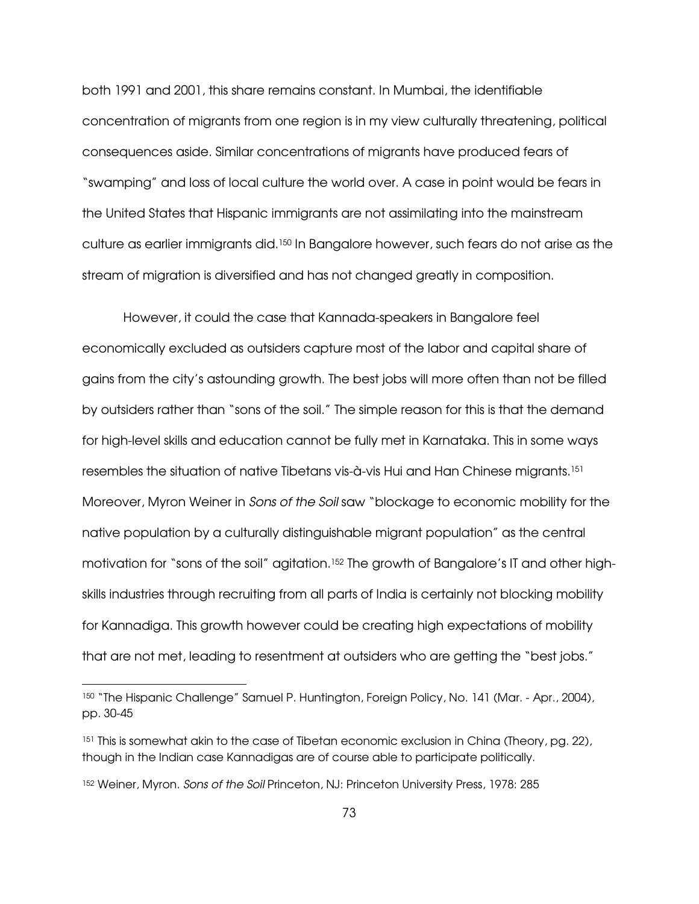both 1991 and 2001, this share remains constant. In Mumbai, the identifiable concentration of migrants from one region is in my view culturally threatening, political consequences aside. Similar concentrations of migrants have produced fears of "swamping" and loss of local culture the world over. A case in point would be fears in the United States that Hispanic immigrants are not assimilating into the mainstream culture as earlier immigrants did.150 In Bangalore however, such fears do not arise as the stream of migration is diversified and has not changed greatly in composition.

However, it could the case that Kannada-speakers in Bangalore feel economically excluded as outsiders capture most of the labor and capital share of gains from the city's astounding growth. The best jobs will more often than not be filled by outsiders rather than "sons of the soil." The simple reason for this is that the demand for high-level skills and education cannot be fully met in Karnataka. This in some ways resembles the situation of native Tibetans vis-à-vis Hui and Han Chinese migrants.<sup>151</sup> Moreover, Myron Weiner in Sons of the Soil saw "blockage to economic mobility for the native population by a culturally distinguishable migrant population" as the central motivation for "sons of the soil" agitation.<sup>152</sup> The growth of Bangalore's IT and other highskills industries through recruiting from all parts of India is certainly not blocking mobility for Kannadiga. This growth however could be creating high expectations of mobility that are not met, leading to resentment at outsiders who are getting the "best jobs."

 $\overline{a}$ 

<sup>150 &</sup>quot;The Hispanic Challenge" Samuel P. Huntington, Foreign Policy, No. 141 (Mar. - Apr., 2004), pp. 30-45

<sup>&</sup>lt;sup>151</sup> This is somewhat akin to the case of Tibetan economic exclusion in China (Theory, pg. 22), though in the Indian case Kannadigas are of course able to participate politically.

<sup>152</sup> Weiner, Myron. Sons of the Soil Princeton, NJ: Princeton University Press, 1978: 285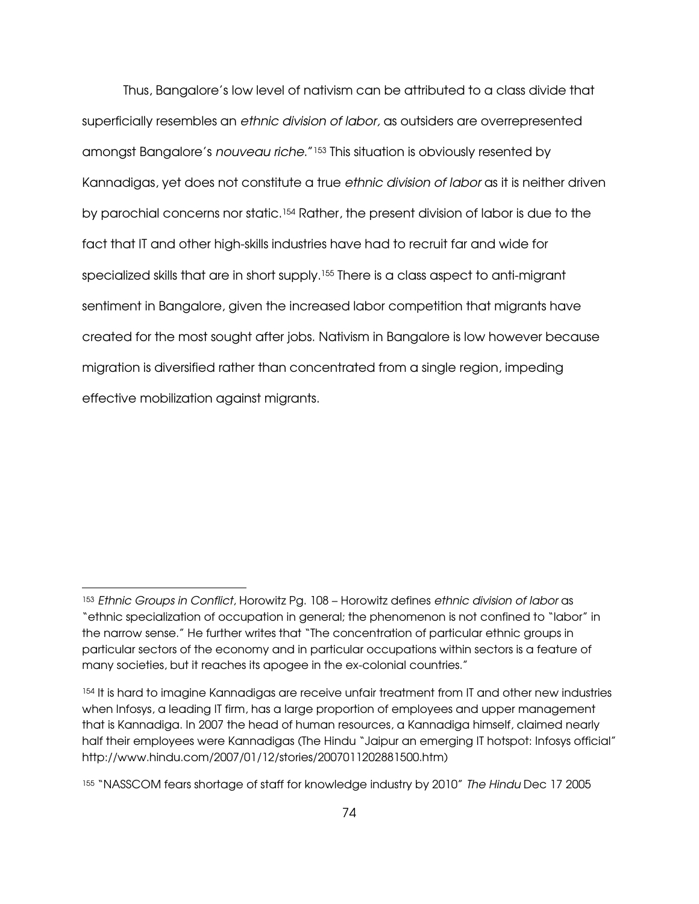Thus, Bangalore's low level of nativism can be attributed to a class divide that superficially resembles an ethnic division of labor, as outsiders are overrepresented amongst Bangalore's *nouveau riche*."<sup>153</sup> This situation is obviously resented by Kannadigas, yet does not constitute a true ethnic division of labor as it is neither driven by parochial concerns nor static.154 Rather, the present division of labor is due to the fact that IT and other high-skills industries have had to recruit far and wide for specialized skills that are in short supply.<sup>155</sup> There is a class aspect to anti-migrant sentiment in Bangalore, given the increased labor competition that migrants have created for the most sought after jobs. Nativism in Bangalore is low however because migration is diversified rather than concentrated from a single region, impeding effective mobilization against migrants.

 $\overline{a}$ 

<sup>153</sup> Ethnic Groups in Conflict, Horowitz Pg. 108 – Horowitz defines ethnic division of labor as "ethnic specialization of occupation in general; the phenomenon is not confined to "labor" in the narrow sense." He further writes that "The concentration of particular ethnic groups in particular sectors of the economy and in particular occupations within sectors is a feature of many societies, but it reaches its apogee in the ex-colonial countries."

<sup>154</sup> It is hard to imagine Kannadigas are receive unfair treatment from IT and other new industries when Infosys, a leading IT firm, has a large proportion of employees and upper management that is Kannadiga. In 2007 the head of human resources, a Kannadiga himself, claimed nearly half their employees were Kannadigas (The Hindu "Jaipur an emerging IT hotspot: Infosys official" http://www.hindu.com/2007/01/12/stories/2007011202881500.htm)

<sup>155</sup> "NASSCOM fears shortage of staff for knowledge industry by 2010" The Hindu Dec 17 2005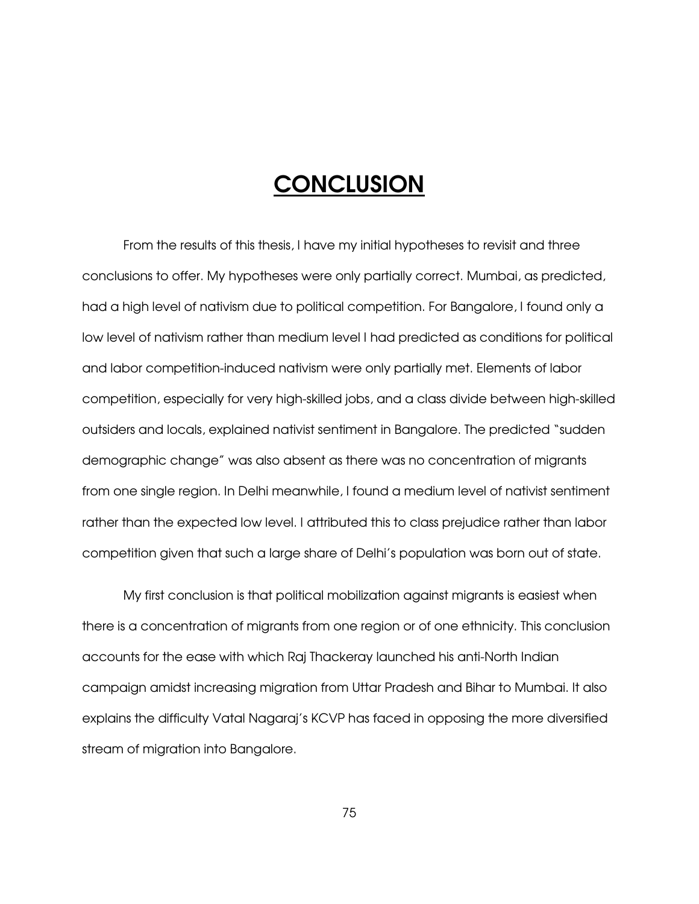## **CONCLUSION**

From the results of this thesis, I have my initial hypotheses to revisit and three conclusions to offer. My hypotheses were only partially correct. Mumbai, as predicted, had a high level of nativism due to political competition. For Bangalore, I found only a low level of nativism rather than medium level I had predicted as conditions for political and labor competition-induced nativism were only partially met. Elements of labor competition, especially for very high-skilled jobs, and a class divide between high-skilled outsiders and locals, explained nativist sentiment in Bangalore. The predicted "sudden demographic change" was also absent as there was no concentration of migrants from one single region. In Delhi meanwhile, I found a medium level of nativist sentiment rather than the expected low level. I attributed this to class prejudice rather than labor competition given that such a large share of Delhi's population was born out of state.

My first conclusion is that political mobilization against migrants is easiest when there is a concentration of migrants from one region or of one ethnicity. This conclusion accounts for the ease with which Raj Thackeray launched his anti-North Indian campaign amidst increasing migration from Uttar Pradesh and Bihar to Mumbai. It also explains the difficulty Vatal Nagaraj's KCVP has faced in opposing the more diversified stream of migration into Bangalore.

75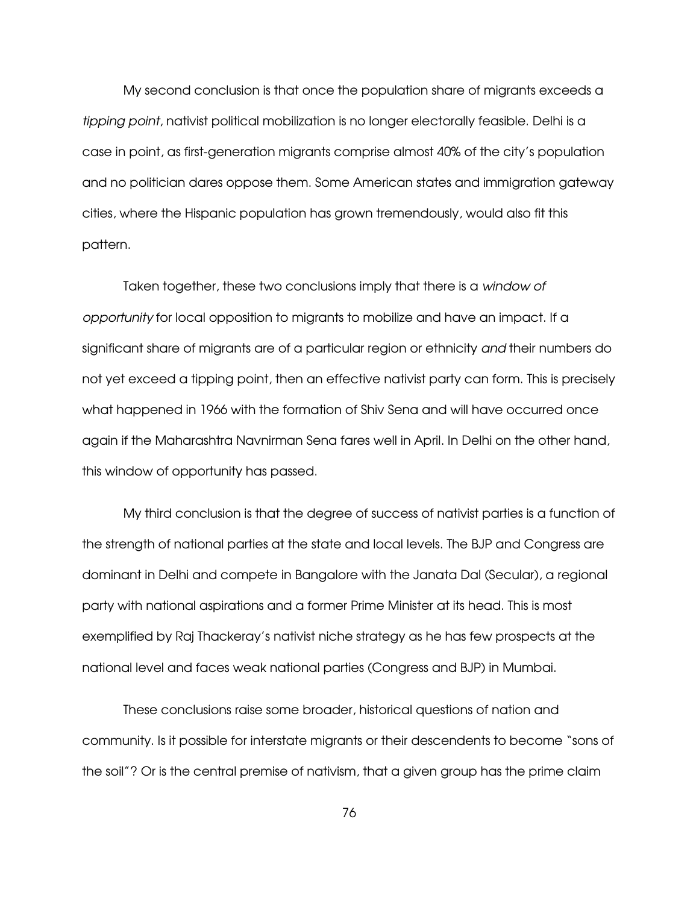My second conclusion is that once the population share of migrants exceeds a tipping point, nativist political mobilization is no longer electorally feasible. Delhi is a case in point, as first-generation migrants comprise almost 40% of the city's population and no politician dares oppose them. Some American states and immigration gateway cities, where the Hispanic population has grown tremendously, would also fit this pattern.

Taken together, these two conclusions imply that there is a window of opportunity for local opposition to migrants to mobilize and have an impact. If a significant share of migrants are of a particular region or ethnicity and their numbers do not yet exceed a tipping point, then an effective nativist party can form. This is precisely what happened in 1966 with the formation of Shiv Sena and will have occurred once again if the Maharashtra Navnirman Sena fares well in April. In Delhi on the other hand, this window of opportunity has passed.

 My third conclusion is that the degree of success of nativist parties is a function of the strength of national parties at the state and local levels. The BJP and Congress are dominant in Delhi and compete in Bangalore with the Janata Dal (Secular), a regional party with national aspirations and a former Prime Minister at its head. This is most exemplified by Raj Thackeray's nativist niche strategy as he has few prospects at the national level and faces weak national parties (Congress and BJP) in Mumbai.

These conclusions raise some broader, historical questions of nation and community. Is it possible for interstate migrants or their descendents to become "sons of the soil"? Or is the central premise of nativism, that a given group has the prime claim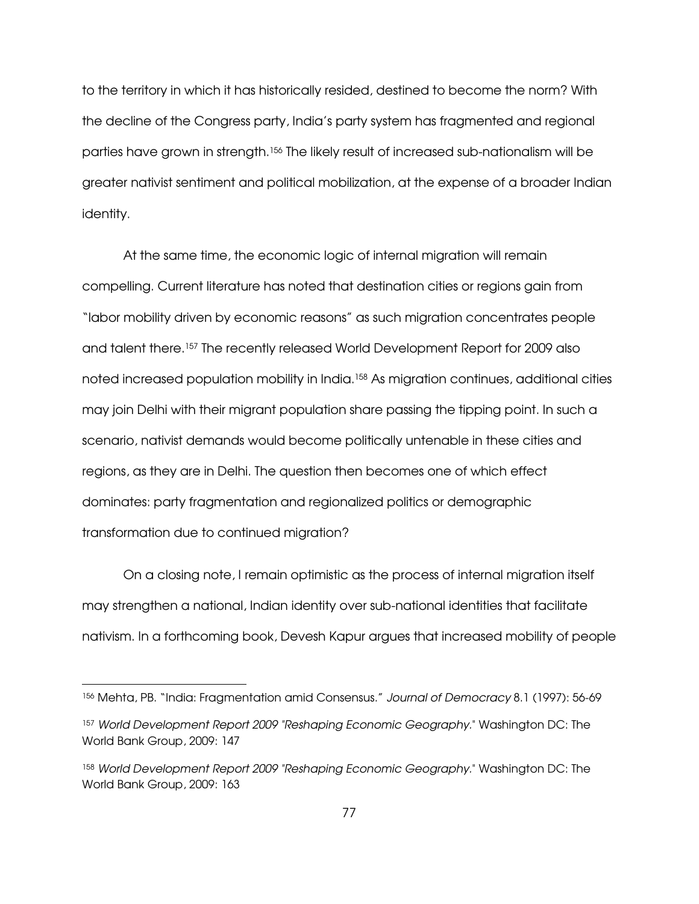to the territory in which it has historically resided, destined to become the norm? With the decline of the Congress party, India's party system has fragmented and regional parties have grown in strength.156 The likely result of increased sub-nationalism will be greater nativist sentiment and political mobilization, at the expense of a broader Indian identity.

At the same time, the economic logic of internal migration will remain compelling. Current literature has noted that destination cities or regions gain from "labor mobility driven by economic reasons" as such migration concentrates people and talent there.157 The recently released World Development Report for 2009 also noted increased population mobility in India.<sup>158</sup> As migration continues, additional cities may join Delhi with their migrant population share passing the tipping point. In such a scenario, nativist demands would become politically untenable in these cities and regions, as they are in Delhi. The question then becomes one of which effect dominates: party fragmentation and regionalized politics or demographic transformation due to continued migration?

On a closing note, I remain optimistic as the process of internal migration itself may strengthen a national, Indian identity over sub-national identities that facilitate nativism. In a forthcoming book, Devesh Kapur argues that increased mobility of people

-

<sup>156</sup> Mehta, PB. "India: Fragmentation amid Consensus." Journal of Democracy 8.1 (1997): 56-69

<sup>157</sup> World Development Report 2009 "Reshaping Economic Geography." Washington DC: The World Bank Group, 2009: 147

<sup>158</sup> World Development Report 2009 "Reshaping Economic Geography." Washington DC: The World Bank Group, 2009: 163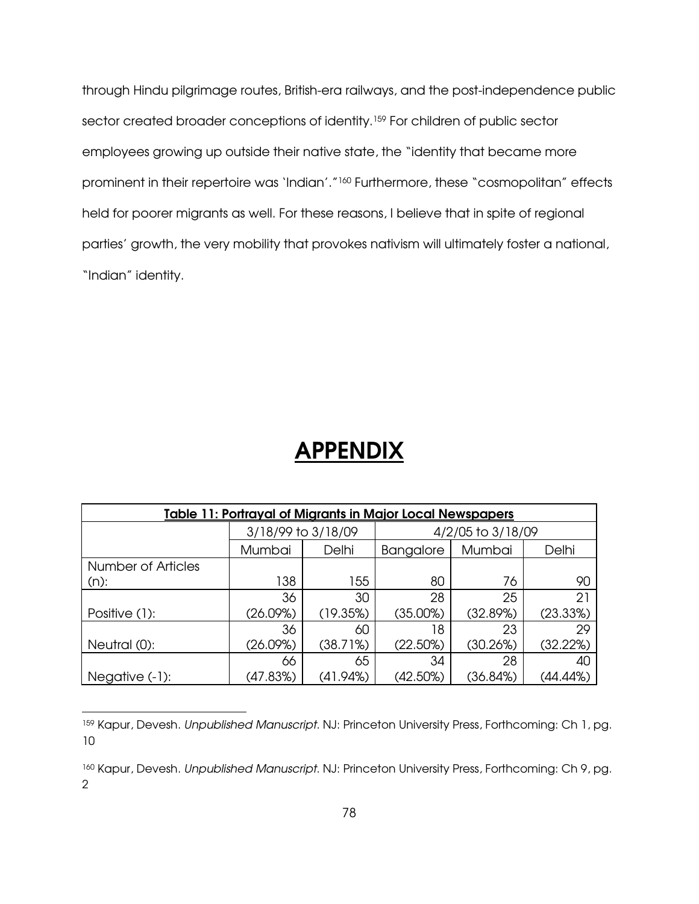through Hindu pilgrimage routes, British-era railways, and the post-independence public sector created broader conceptions of identity.<sup>159</sup> For children of public sector employees growing up outside their native state, the "identity that became more prominent in their repertoire was 'Indian'."<sup>160</sup> Furthermore, these "cosmopolitan" effects held for poorer migrants as well. For these reasons, I believe that in spite of regional parties' growth, the very mobility that provokes nativism will ultimately foster a national, "Indian" identity.

## **APPENDIX**

| Table 11: Portrayal of Migrants in Major Local Newspapers |                    |          |                   |          |          |
|-----------------------------------------------------------|--------------------|----------|-------------------|----------|----------|
|                                                           | 3/18/99 to 3/18/09 |          | 4/2/05 to 3/18/09 |          |          |
|                                                           | Mumbai             | Delhi    | <b>Bangalore</b>  | Mumbai   | Delhi    |
| <b>Number of Articles</b>                                 |                    |          |                   |          |          |
| $(n)$ :                                                   | 138                | 155      | 80                | 76       | 90       |
|                                                           | 36                 | 30       | 28                | 25       | 21       |
| Positive (1):                                             | (26.09%)           | (19.35%) | (35.00%)          | (32.89%) | (23.33%) |
|                                                           | 36                 | 60       | 18                | 23       | 29       |
| Neutral (0):                                              | (26.09%)           | (38.71%) | (22.50%)          | (30.26%) | (32.22%) |
|                                                           | 66                 | 65       | 34                | 28       | 40       |
| Negative (-1):                                            | (47.83%)           | (41.94%) | (42.50%)          | (36.84%) | (44.44%) |

<sup>159</sup> Kapur, Devesh. Unpublished Manuscript. NJ: Princeton University Press, Forthcoming: Ch 1, pg. 10

 $\overline{a}$ 

<sup>160</sup> Kapur, Devesh. Unpublished Manuscript. NJ: Princeton University Press, Forthcoming: Ch 9, pg. 2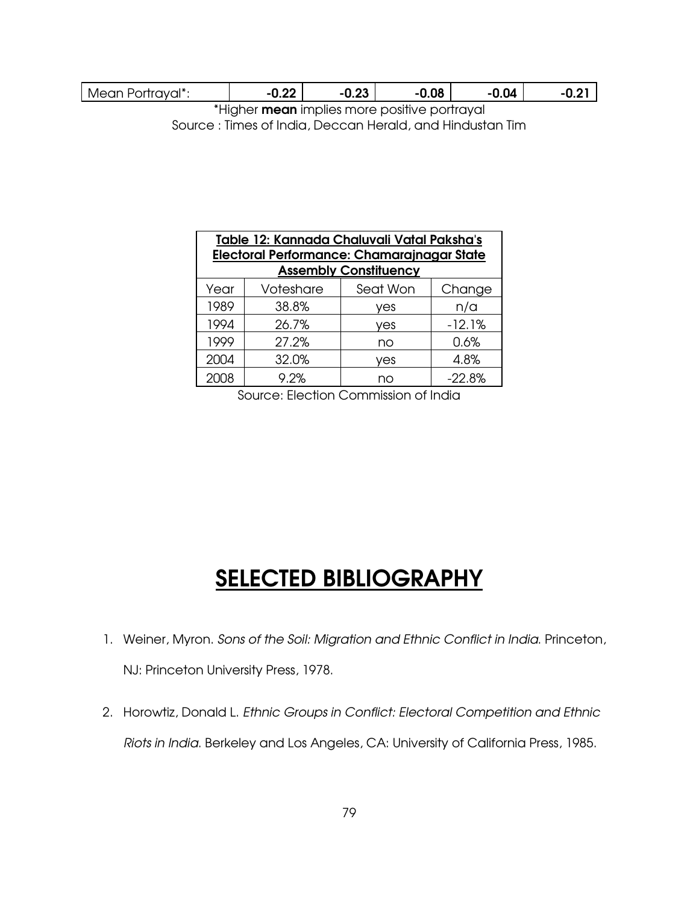|  | vrtraval*:<br>Mear<br>۳ι<br>1VC<br>31 I I C<br>'⊍⊓<br>◡ | nn.<br> | ົດລ<br>u.zu | .08 | 0.04 | -<br>. . |
|--|---------------------------------------------------------|---------|-------------|-----|------|----------|
|--|---------------------------------------------------------|---------|-------------|-----|------|----------|

\*Higher mean implies more positive portrayal Source : Times of India, Deccan Herald, and Hindustan Tim

| Table 12: Kannada Chaluvali Vatal Paksha's<br><b>Electoral Performance: Chamarajnagar State</b><br><b>Assembly Constituency</b> |           |          |          |  |
|---------------------------------------------------------------------------------------------------------------------------------|-----------|----------|----------|--|
| Year                                                                                                                            | Voteshare | Seat Won | Change   |  |
| 1989                                                                                                                            | 38.8%     | ves      | n/a      |  |
| 1994                                                                                                                            | 26.7%     | ves      | $-12.1%$ |  |
| 1999                                                                                                                            | 27.2%     | no       | 0.6%     |  |
| 2004                                                                                                                            | 32.0%     | ves      | 4.8%     |  |
|                                                                                                                                 | 9.2%      | nn       | $-22.8%$ |  |

Source: Election Commission of India

## SELECTED BIBLIOGRAPHY

- 1. Weiner, Myron. Sons of the Soil: Migration and Ethnic Conflict in India. Princeton, NJ: Princeton University Press, 1978.
- 2. Horowtiz, Donald L. Ethnic Groups in Conflict: Electoral Competition and Ethnic Riots in India. Berkeley and Los Angeles, CA: University of California Press, 1985.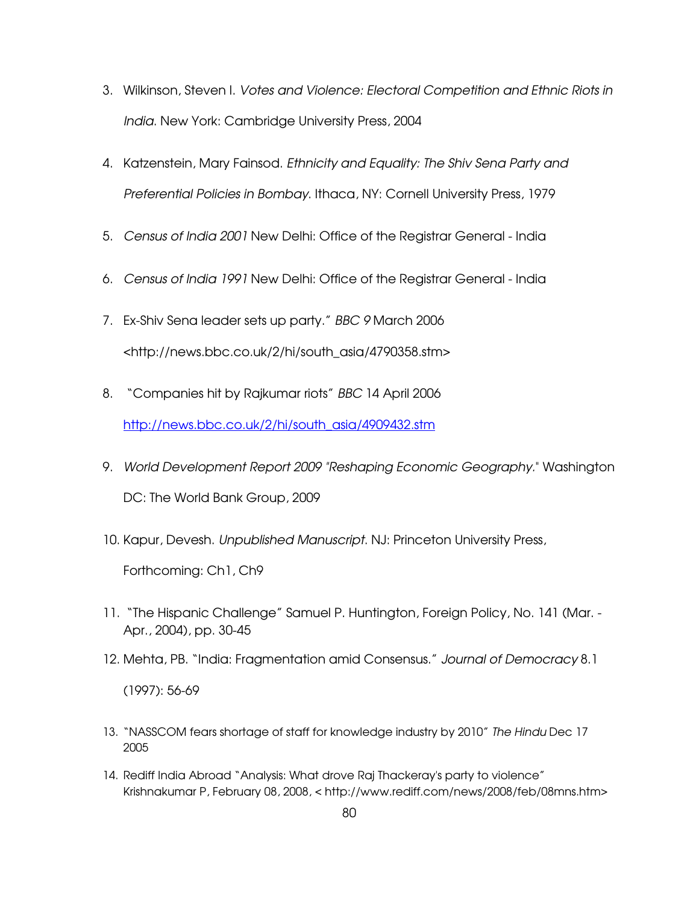- 3. Wilkinson, Steven I. Votes and Violence: Electoral Competition and Ethnic Riots in India. New York: Cambridge University Press, 2004
- 4. Katzenstein, Mary Fainsod. Ethnicity and Equality: The Shiv Sena Party and Preferential Policies in Bombay. Ithaca, NY: Cornell University Press, 1979
- 5. Census of India 2001 New Delhi: Office of the Registrar General India
- 6. Census of India 1991 New Delhi: Office of the Registrar General India
- 7. Ex-Shiv Sena leader sets up party." BBC 9 March 2006 <http://news.bbc.co.uk/2/hi/south\_asia/4790358.stm>
- 8. "Companies hit by Rajkumar riots" BBC 14 April 2006 http://news.bbc.co.uk/2/hi/south\_asia/4909432.stm
- 9. World Development Report 2009 "Reshaping Economic Geography." Washington DC: The World Bank Group, 2009
- 10. Kapur, Devesh. Unpublished Manuscript. NJ: Princeton University Press,

Forthcoming: Ch1, Ch9

- 11. "The Hispanic Challenge" Samuel P. Huntington, Foreign Policy, No. 141 (Mar. Apr., 2004), pp. 30-45
- 12. Mehta, PB. "India: Fragmentation amid Consensus." Journal of Democracy 8.1 (1997): 56-69
- 13. "NASSCOM fears shortage of staff for knowledge industry by 2010" The Hindu Dec 17 2005
- 14. Rediff India Abroad "Analysis: What drove Raj Thackeray's party to violence" Krishnakumar P, February 08, 2008, < http://www.rediff.com/news/2008/feb/08mns.htm>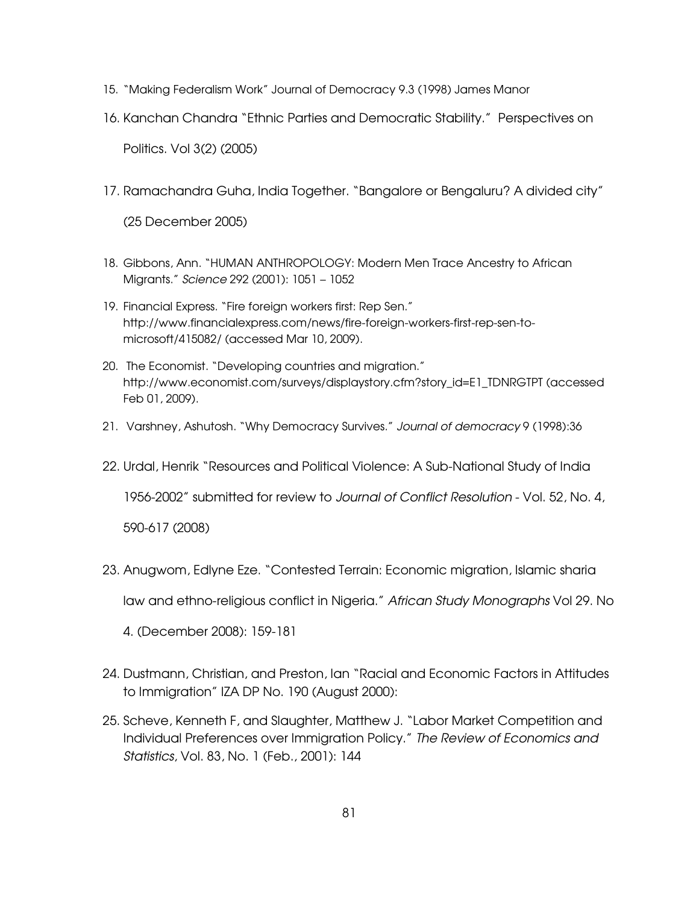- 15. "Making Federalism Work" Journal of Democracy 9.3 (1998) James Manor
- 16. Kanchan Chandra "Ethnic Parties and Democratic Stability." Perspectives on Politics. Vol 3(2) (2005)
- 17. Ramachandra Guha, India Together. "Bangalore or Bengaluru? A divided city" (25 December 2005)
- 18. Gibbons, Ann. "HUMAN ANTHROPOLOGY: Modern Men Trace Ancestry to African Migrants." Science 292 (2001): 1051 – 1052
- 19. Financial Express. "Fire foreign workers first: Rep Sen." http://www.financialexpress.com/news/fire-foreign-workers-first-rep-sen-tomicrosoft/415082/ (accessed Mar 10, 2009).
- 20. The Economist. "Developing countries and migration." http://www.economist.com/surveys/displaystory.cfm?story\_id=E1\_TDNRGTPT (accessed Feb 01, 2009).
- 21. Varshney, Ashutosh. "Why Democracy Survives." Journal of democracy 9 (1998):36
- 22. Urdal, Henrik "Resources and Political Violence: A Sub-National Study of India

1956-2002" submitted for review to Journal of Conflict Resolution - Vol. 52, No. 4,

590-617 (2008)

23. Anugwom, Edlyne Eze. "Contested Terrain: Economic migration, Islamic sharia

law and ethno-religious conflict in Nigeria." African Study Monographs Vol 29. No

- 4. (December 2008): 159-181
- 24. Dustmann, Christian, and Preston, Ian "Racial and Economic Factors in Attitudes to Immigration" IZA DP No. 190 (August 2000):
- 25. Scheve, Kenneth F, and Slaughter, Matthew J. "Labor Market Competition and Individual Preferences over Immigration Policy." The Review of Economics and Statistics, Vol. 83, No. 1 (Feb., 2001): 144